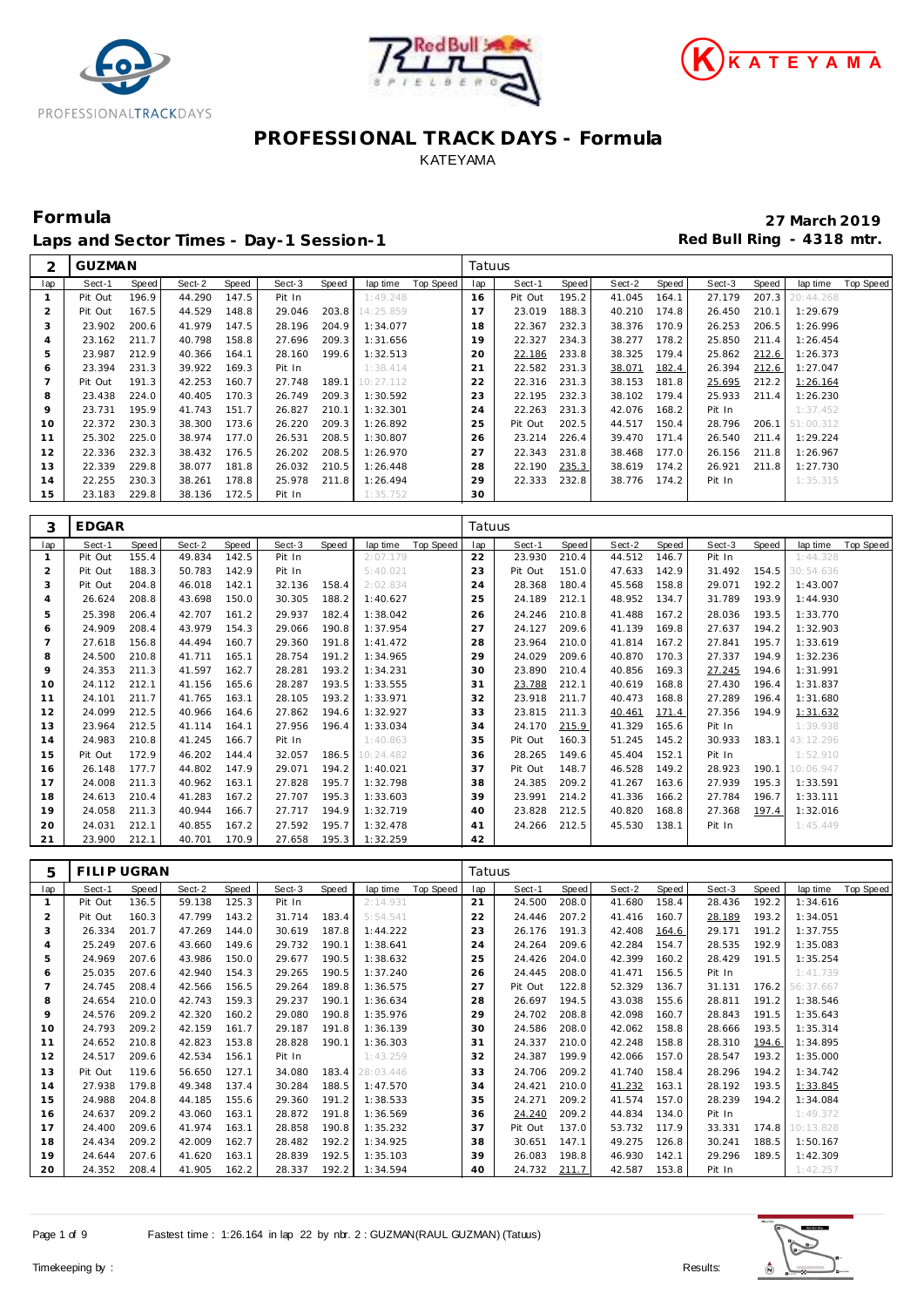





Laps and Sector Times - Day-1 Session-1 **Red Bull Ring - 4318 mtr.** 

**Formula 27 March 2019**

| ⌒   | <b>GUZMAN</b> |       |        |       |        |       |           |           | Tatuus |         |       |        |       |        |       |           |           |
|-----|---------------|-------|--------|-------|--------|-------|-----------|-----------|--------|---------|-------|--------|-------|--------|-------|-----------|-----------|
| lap | Sect-1        | Speed | Sect-2 | Speed | Sect-3 | Speed | lap time  | Top Speed | lap    | Sect-1  | Speed | Sect-2 | Speed | Sect-3 | Speed | lap time  | Top Speed |
|     | Pit Out       | 196.9 | 44.290 | 147.5 | Pit In |       | 1:49.248  |           | 16     | Pit Out | 195.2 | 41.045 | 164.1 | 27.179 | 207.3 | 20:44.268 |           |
| 2   | Pit Out       | 167.5 | 44.529 | 148.8 | 29.046 | 203.8 | 14:25.859 |           | 17     | 23.019  | 188.3 | 40.210 | 174.8 | 26.450 | 210.1 | 1:29.679  |           |
| 3   | 23.902        | 200.6 | 41.979 | 147.5 | 28.196 | 204.9 | 1:34.077  |           | 18     | 22.367  | 232.3 | 38.376 | 170.9 | 26.253 | 206.5 | 1:26.996  |           |
| 4   | 23.162        | 211.7 | 40.798 | 158.8 | 27.696 | 209.3 | 1:31.656  |           | 19     | 22.327  | 234.3 | 38.277 | 178.2 | 25.850 | 211.4 | 1:26.454  |           |
| 5   | 23.987        | 212.9 | 40.366 | 164.1 | 28.160 | 199.6 | 1:32.513  |           | 20     | 22.186  | 233.8 | 38.325 | 179.4 | 25.862 | 212.6 | 1:26.373  |           |
| O   | 23.394        | 231.3 | 39.922 | 169.3 | Pit In |       | 1:38.414  |           | 21     | 22.582  | 231.3 | 38.071 | 182.4 | 26.394 | 212.6 | 1:27.047  |           |
|     | Pit Out       | 191.3 | 42.253 | 160.7 | 27.748 | 189.1 | 10:27.112 |           | 22     | 22.316  | 231.3 | 38.153 | 181.8 | 25.695 | 212.2 | 1:26.164  |           |
| 8   | 23.438        | 224.0 | 40.405 | 170.3 | 26.749 | 209.3 | 1:30.592  |           | 23     | 22.195  | 232.3 | 38.102 | 179.4 | 25.933 | 211.4 | 1:26.230  |           |
| 9   | 23.731        | 195.9 | 41.743 | 151.7 | 26.827 | 210.1 | 1:32.301  |           | 24     | 22.263  | 231.3 | 42.076 | 168.2 | Pit In |       | 1:37.452  |           |
| 10  | 22.372        | 230.3 | 38.300 | 173.6 | 26.220 | 209.3 | 1:26.892  |           | 25     | Pit Out | 202.5 | 44.517 | 150.4 | 28.796 | 206.1 | 51:00.312 |           |
| 11  | 25.302        | 225.0 | 38.974 | 177.0 | 26.531 | 208.5 | 1:30.807  |           | 26     | 23.214  | 226.4 | 39.470 | 171.4 | 26.540 | 211.4 | 1:29.224  |           |
| 12  | 22.336        | 232.3 | 38.432 | 176.5 | 26.202 | 208.5 | 1:26.970  |           | 27     | 22.343  | 231.8 | 38.468 | 177.0 | 26.156 | 211.8 | 1:26.967  |           |
| 13  | 22.339        | 229.8 | 38.077 | 181.8 | 26.032 | 210.5 | 1:26.448  |           | 28     | 22.190  | 235.3 | 38.619 | 174.2 | 26.921 | 211.8 | 1:27.730  |           |
| 14  | 22.255        | 230.3 | 38.261 | 178.8 | 25.978 | 211.8 | 1:26.494  |           | 29     | 22.333  | 232.8 | 38.776 | 174.2 | Pit In |       | 1:35.315  |           |
| 15  | 23.183        | 229.8 | 38.136 | 172.5 | Pit In |       | 1:35.752  |           | 30     |         |       |        |       |        |       |           |           |

| 3              | <b>EDGAR</b> |       |        |       |        |       |           |           | Tatuus |         |       |        |       |        |       |           |           |
|----------------|--------------|-------|--------|-------|--------|-------|-----------|-----------|--------|---------|-------|--------|-------|--------|-------|-----------|-----------|
| lap            | Sect-1       | Speed | Sect-2 | Speed | Sect-3 | Speed | lap time  | Top Speed | lap    | Sect-1  | Speed | Sect-2 | Speed | Sect-3 | Speed | lap time  | Top Speed |
| $\mathbf{1}$   | Pit Out      | 155.4 | 49.834 | 142.5 | Pit In |       | 2:07.179  |           | 22     | 23.930  | 210.4 | 44.512 | 146.7 | Pit In |       | 1:44.328  |           |
| $\overline{2}$ | Pit Out      | 188.3 | 50.783 | 142.9 | Pit In |       | 5:40.021  |           | 23     | Pit Out | 151.0 | 47.633 | 142.9 | 31.492 | 154.5 | 30:54.636 |           |
| 3              | Pit Out      | 204.8 | 46.018 | 142.1 | 32.136 | 158.4 | 2:02.834  |           | 24     | 28.368  | 180.4 | 45.568 | 158.8 | 29.071 | 192.2 | 1:43.007  |           |
| $\overline{4}$ | 26.624       | 208.8 | 43.698 | 150.0 | 30.305 | 188.2 | 1:40.627  |           | 25     | 24.189  | 212.1 | 48.952 | 134.7 | 31.789 | 193.9 | 1:44.930  |           |
| 5              | 25.398       | 206.4 | 42.707 | 161.2 | 29.937 | 182.4 | 1:38.042  |           | 26     | 24.246  | 210.8 | 41.488 | 167.2 | 28.036 | 193.5 | 1:33.770  |           |
| 6              | 24.909       | 208.4 | 43.979 | 154.3 | 29.066 | 190.8 | 1:37.954  |           | 27     | 24.127  | 209.6 | 41.139 | 169.8 | 27.637 | 194.2 | 1:32.903  |           |
| $\overline{7}$ | 27.618       | 156.8 | 44.494 | 160.7 | 29.360 | 191.8 | 1:41.472  |           | 28     | 23.964  | 210.0 | 41.814 | 167.2 | 27.841 | 195.7 | 1:33.619  |           |
| 8              | 24.500       | 210.8 | 41.711 | 165.1 | 28.754 | 191.2 | 1:34.965  |           | 29     | 24.029  | 209.6 | 40.870 | 170.3 | 27.337 | 194.9 | 1:32.236  |           |
| $\circ$        | 24.353       | 211.3 | 41.597 | 162.7 | 28.281 | 193.2 | 1:34.231  |           | 30     | 23.890  | 210.4 | 40.856 | 169.3 | 27.245 | 194.6 | 1:31.991  |           |
| 10             | 24.112       | 212.1 | 41.156 | 165.6 | 28.287 | 193.5 | 1:33.555  |           | 31     | 23.788  | 212.1 | 40.619 | 168.8 | 27.430 | 196.4 | 1:31.837  |           |
| 11             | 24.101       | 211.7 | 41.765 | 163.1 | 28.105 | 193.2 | 1:33.971  |           | 32     | 23.918  | 211.7 | 40.473 | 168.8 | 27.289 | 196.4 | 1:31.680  |           |
| 12             | 24.099       | 212.5 | 40.966 | 164.6 | 27.862 | 194.6 | 1:32.927  |           | 33     | 23.815  | 211.3 | 40.461 | 171.4 | 27.356 | 194.9 | 1:31.632  |           |
| 13             | 23.964       | 212.5 | 41.114 | 164.1 | 27.956 | 196.4 | 1:33.034  |           | 34     | 24.170  | 215.9 | 41.329 | 165.6 | Pit In |       | 1:39.938  |           |
| 14             | 24.983       | 210.8 | 41.245 | 166.7 | Pit In |       | 1:40.863  |           | 35     | Pit Out | 160.3 | 51.245 | 145.2 | 30.933 | 183.1 | 43:12.296 |           |
| 15             | Pit Out      | 172.9 | 46.202 | 144.4 | 32.057 | 186.5 | 10:24.482 |           | 36     | 28.265  | 149.6 | 45.404 | 152.1 | Pit In |       | 1:52.910  |           |
| 16             | 26.148       | 177.7 | 44.802 | 147.9 | 29.071 | 194.2 | 1:40.021  |           | 37     | Pit Out | 148.7 | 46.528 | 149.2 | 28.923 | 190.1 | 10:06.947 |           |
| 17             | 24.008       | 211.3 | 40.962 | 163.1 | 27.828 | 195.7 | 1:32.798  |           | 38     | 24.385  | 209.2 | 41.267 | 163.6 | 27.939 | 195.3 | 1:33.591  |           |
| 18             | 24.613       | 210.4 | 41.283 | 167.2 | 27.707 | 195.3 | 1:33.603  |           | 39     | 23.991  | 214.2 | 41.336 | 166.2 | 27.784 | 196.7 | 1:33.111  |           |
| 19             | 24.058       | 211.3 | 40.944 | 166.7 | 27.717 | 194.9 | 1:32.719  |           | 40     | 23.828  | 212.5 | 40.820 | 168.8 | 27.368 | 197.4 | 1:32.016  |           |
| 20             | 24.031       | 212.1 | 40.855 | 167.2 | 27.592 | 195.7 | 1:32.478  |           | 41     | 24.266  | 212.5 | 45.530 | 138.1 | Pit In |       | 1:45.449  |           |
| 21             | 23.900       | 212.1 | 40.701 | 170.9 | 27.658 | 195.3 | 1:32.259  |           | 42     |         |       |        |       |        |       |           |           |

| 5              | FILIP UGRAN |       |        |       |        |       |           |           | Tatuus |         |       |        |       |        |       |           |           |
|----------------|-------------|-------|--------|-------|--------|-------|-----------|-----------|--------|---------|-------|--------|-------|--------|-------|-----------|-----------|
| lap            | Sect-1      | Speed | Sect-2 | Speed | Sect-3 | Speed | lap time  | Top Speed | lap    | Sect-1  | Speed | Sect-2 | Speed | Sect-3 | Speed | lap time  | Top Speed |
|                | Pit Out     | 136.5 | 59.138 | 125.3 | Pit In |       | 2:14.931  |           | 21     | 24.500  | 208.0 | 41.680 | 158.4 | 28.436 | 192.2 | 1:34.616  |           |
| $\overline{2}$ | Pit Out     | 160.3 | 47.799 | 143.2 | 31.714 | 183.4 | 5:54.541  |           | 22     | 24.446  | 207.2 | 41.416 | 160.7 | 28.189 | 193.2 | 1:34.051  |           |
| 3              | 26.334      | 201.7 | 47.269 | 144.0 | 30.619 | 187.8 | 1:44.222  |           | 23     | 26.176  | 191.3 | 42.408 | 164.6 | 29.171 | 191.2 | 1:37.755  |           |
| 4              | 25.249      | 207.6 | 43.660 | 149.6 | 29.732 | 190.1 | 1:38.641  |           | 24     | 24.264  | 209.6 | 42.284 | 154.7 | 28.535 | 192.9 | 1:35.083  |           |
| 5              | 24.969      | 207.6 | 43.986 | 150.0 | 29.677 | 190.5 | 1:38.632  |           | 25     | 24.426  | 204.0 | 42.399 | 160.2 | 28.429 | 191.5 | 1:35.254  |           |
| 6              | 25.035      | 207.6 | 42.940 | 154.3 | 29.265 | 190.5 | 1:37.240  |           | 26     | 24.445  | 208.0 | 41.471 | 156.5 | Pit In |       | 1:41.739  |           |
|                | 24.745      | 208.4 | 42.566 | 156.5 | 29.264 | 189.8 | 1:36.575  |           | 27     | Pit Out | 122.8 | 52.329 | 136.7 | 31.131 | 176.2 | 56:37.667 |           |
| 8              | 24.654      | 210.0 | 42.743 | 159.3 | 29.237 | 190.1 | 1:36.634  |           | 28     | 26.697  | 194.5 | 43.038 | 155.6 | 28.811 | 191.2 | 1:38.546  |           |
| 9              | 24.576      | 209.2 | 42.320 | 160.2 | 29.080 | 190.8 | 1:35.976  |           | 29     | 24.702  | 208.8 | 42.098 | 160.7 | 28.843 | 191.5 | 1:35.643  |           |
| 10             | 24.793      | 209.2 | 42.159 | 161.7 | 29.187 | 191.8 | 1:36.139  |           | 30     | 24.586  | 208.0 | 42.062 | 158.8 | 28.666 | 193.5 | 1:35.314  |           |
| 11             | 24.652      | 210.8 | 42.823 | 153.8 | 28.828 | 190.1 | 1:36.303  |           | 31     | 24.337  | 210.0 | 42.248 | 158.8 | 28.310 | 194.6 | 1:34.895  |           |
| 12             | 24.517      | 209.6 | 42.534 | 156.1 | Pit In |       | 1:43.259  |           | 32     | 24.387  | 199.9 | 42.066 | 157.0 | 28.547 | 193.2 | 1:35.000  |           |
| 13             | Pit Out     | 119.6 | 56.650 | 127.1 | 34.080 | 183.4 | 28:03.446 |           | 33     | 24.706  | 209.2 | 41.740 | 158.4 | 28.296 | 194.2 | 1:34.742  |           |
| 14             | 27.938      | 179.8 | 49.348 | 137.4 | 30.284 | 188.5 | 1:47.570  |           | 34     | 24.421  | 210.0 | 41.232 | 163.1 | 28.192 | 193.5 | 1:33.845  |           |
| 15             | 24.988      | 204.8 | 44.185 | 155.6 | 29.360 | 191.2 | 1:38.533  |           | 35     | 24.271  | 209.2 | 41.574 | 157.0 | 28.239 | 194.2 | 1:34.084  |           |
| 16             | 24.637      | 209.2 | 43.060 | 163.1 | 28.872 | 191.8 | 1:36.569  |           | 36     | 24.240  | 209.2 | 44.834 | 134.0 | Pit In |       | 1:49.372  |           |
| 17             | 24.400      | 209.6 | 41.974 | 163.1 | 28.858 | 190.8 | 1:35.232  |           | 37     | Pit Out | 137.0 | 53.732 | 117.9 | 33.331 | 174.8 | 10:13.828 |           |
| 18             | 24.434      | 209.2 | 42.009 | 162.7 | 28.482 | 192.2 | 1:34.925  |           | 38     | 30.651  | 147.1 | 49.275 | 126.8 | 30.241 | 188.5 | 1:50.167  |           |
| 19             | 24.644      | 207.6 | 41.620 | 163.1 | 28.839 | 192.5 | 1:35.103  |           | 39     | 26.083  | 198.8 | 46.930 | 142.1 | 29.296 | 189.5 | 1:42.309  |           |
| 20             | 24.352      | 208.4 | 41.905 | 162.2 | 28.337 | 192.2 | 1:34.594  |           | 40     | 24.732  | 211.7 | 42.587 | 153.8 | Pit In |       | 1:42.257  |           |

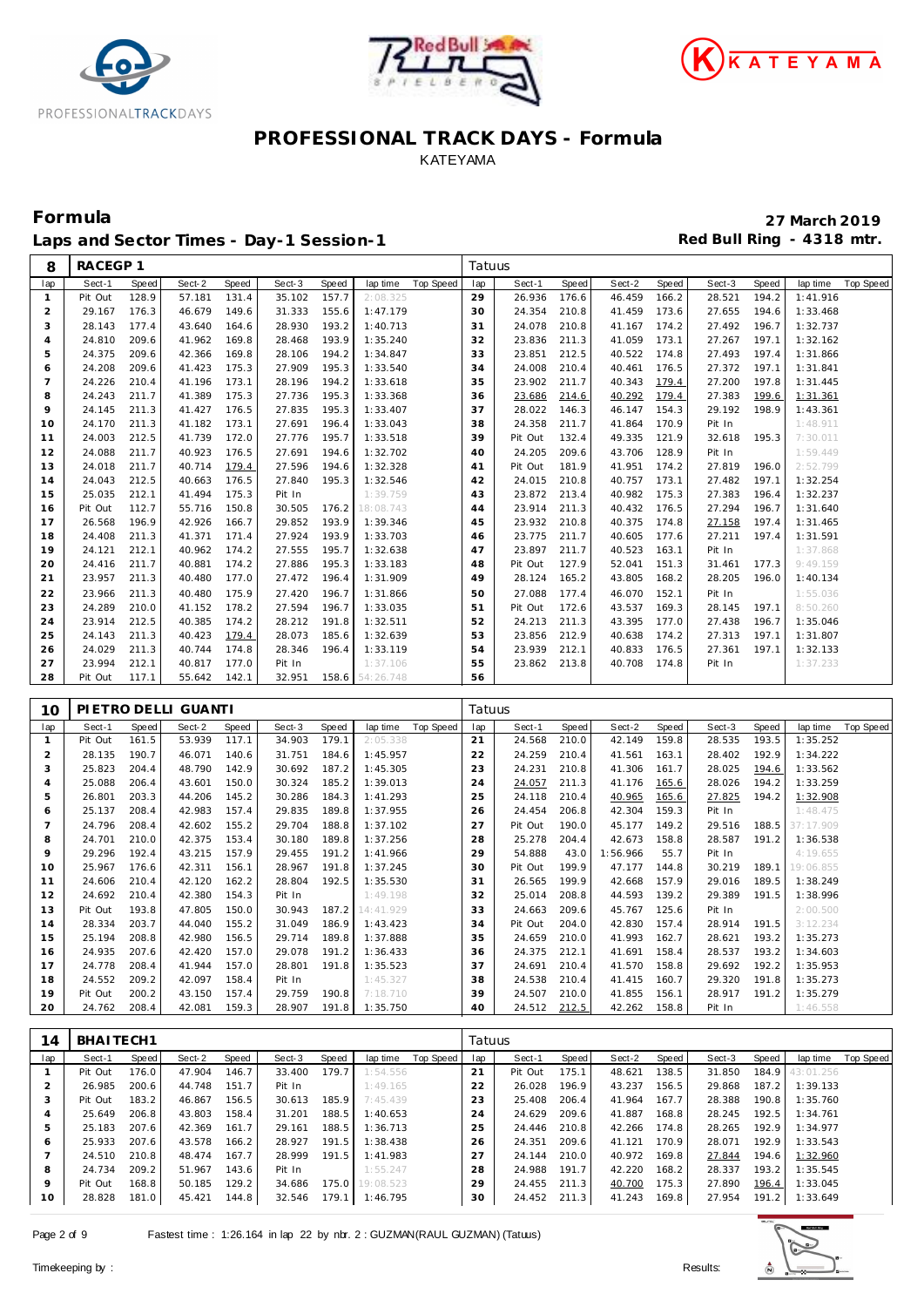





Laps and Sector Times - Day-1 Session-1 **Red Bull Ring - 4318 mtr.** 

| Sect-1<br>Sect-2<br>Speed<br>Sect-3<br>Top Speed<br>Sect-1<br>Speed<br>Sect-2<br>Speed<br>Sect-3<br>Speed<br>lap time<br><b>Top Speed</b><br>lap<br>Speed<br>Speed<br>lap time<br>lap<br>$\mathbf{1}$<br>128.9<br>157.7<br>29<br>28.521<br>194.2<br>1:41.916<br>Pit Out<br>57.181<br>131.4<br>35.102<br>2:08.325<br>26.936<br>176.6<br>46.459<br>166.2<br>149.6<br>$\overline{2}$<br>29.167<br>176.3<br>46.679<br>31.333<br>155.6<br>1:47.179<br>30<br>24.354<br>210.8<br>41.459<br>173.6<br>27.655<br>194.6<br>1:33.468<br>3<br>193.2<br>210.8<br>174.2<br>196.7<br>1:32.737<br>28.143<br>177.4<br>43.640<br>164.6<br>28.930<br>1:40.713<br>31<br>24.078<br>27.492<br>41.167<br>24.810<br>209.6<br>41.962<br>193.9<br>211.3<br>173.1<br>27.267<br>197.1<br>$\overline{4}$<br>169.8<br>28.468<br>1:35.240<br>32<br>23.836<br>41.059<br>1:32.162<br>5<br>194.2<br>33<br>197.4<br>24.375<br>209.6<br>42.366<br>169.8<br>28.106<br>1:34.847<br>23.851<br>212.5<br>40.522<br>174.8<br>27.493<br>1:31.866<br>195.3<br>197.1<br>6<br>24.208<br>209.6<br>41.423<br>175.3<br>27.909<br>1:33.540<br>34<br>24.008<br>210.4<br>40.461<br>176.5<br>27.372<br>1:31.841<br>$\overline{7}$<br>24.226<br>173.1<br>194.2<br>35<br>23.902<br>211.7<br>179.4<br>27.200<br>197.8<br>210.4<br>41.196<br>28.196<br>1:33.618<br>40.343<br>1:31.445<br>195.3<br>8<br>24.243<br>211.7<br>41.389<br>175.3<br>27.736<br>1:33.368<br>36<br>23.686<br>214.6<br>40.292<br>179.4<br>27.383<br>199.6<br>1:31.361<br>9<br>211.3<br>27.835<br>195.3<br>37<br>146.3<br>154.3<br>29.192<br>198.9<br>24.145<br>41.427<br>176.5<br>1:33.407<br>28.022<br>46.147<br>1:43.361<br>24.170<br>211.3<br>41.182<br>173.1<br>27.691<br>196.4<br>38<br>24.358<br>211.7<br>170.9<br>Pit In<br>1:48.911<br>10<br>1:33.043<br>41.864<br>212.5<br>195.7<br>39<br>121.9<br>11<br>24.003<br>41.739<br>172.0<br>27.776<br>1:33.518<br>Pit Out<br>132.4<br>49.335<br>32.618<br>195.3<br>7:30.011<br>12<br>211.7<br>176.5<br>194.6<br>209.6<br>128.9<br>Pit In<br>24.088<br>40.923<br>27.691<br>1:32.702<br>40<br>24.205<br>43.706<br>1:59.449<br>13<br>24.018<br>211.7<br>40.714<br>179.4<br>27.596<br>194.6<br>1:32.328<br>Pit Out<br>181.9<br>41.951<br>174.2<br>27.819<br>196.0<br>2:52.799<br>41<br>197.1<br>14<br>24.043<br>212.5<br>40.663<br>176.5<br>27.840<br>195.3<br>1:32.546<br>42<br>24.015<br>210.8<br>40.757<br>173.1<br>27.482<br>1:32.254<br>15<br>25.035<br>212.1<br>175.3<br>175.3<br>27.383<br>41.494<br>Pit In<br>1:39.759<br>43<br>23.872<br>213.4<br>40.982<br>196.4<br>1:32.237<br>211.3<br>16<br>Pit Out<br>112.7<br>55.716<br>150.8<br>30.505<br>176.2<br>18:08.743<br>44<br>23.914<br>40.432<br>176.5<br>27.294<br>196.7<br>1:31.640<br>26.568<br>196.9<br>42.926<br>29.852<br>193.9<br>23.932<br>210.8<br>40.375<br>174.8<br>197.4<br>17<br>166.7<br>1:39.346<br>45<br>27.158<br>1:31.465<br>211.7<br>18<br>24.408<br>211.3<br>41.371<br>171.4<br>27.924<br>193.9<br>1:33.703<br>46<br>23.775<br>40.605<br>177.6<br>27.211<br>197.4<br>1:31.591<br>19<br>212.1<br>195.7<br>211.7<br>24.121<br>40.962<br>174.2<br>27.555<br>1:32.638<br>47<br>23.897<br>40.523<br>163.1<br>Pit In<br>1:37.868<br>20<br>24.416<br>211.7<br>40.881<br>174.2<br>27.886<br>195.3<br>48<br>Pit Out<br>127.9<br>52.041<br>151.3<br>31.461<br>177.3<br>9:49.159<br>1:33.183<br>23.957<br>196.4<br>21<br>211.3<br>40.480<br>177.0<br>27.472<br>1:31.909<br>49<br>165.2<br>43.805<br>168.2<br>28.205<br>196.0<br>28.124<br>1:40.134<br>175.9<br>196.7<br>22<br>23.966<br>211.3<br>40.480<br>27.420<br>50<br>27.088<br>177.4<br>46.070<br>152.1<br>Pit In<br>1:55.036<br>1:31.866<br>23<br>24.289<br>210.0<br>41.152<br>178.2<br>27.594<br>196.7<br>1:33.035<br>51<br>Pit Out<br>172.6<br>43.537<br>169.3<br>28.145<br>197.1<br>8:50.260<br>24<br>23.914<br>212.5<br>40.385<br>174.2<br>28.212<br>191.8<br>52<br>24.213<br>211.3<br>43.395<br>177.0<br>27.438<br>196.7<br>1:35.046<br>1:32.511<br>25<br>24.143<br>211.3<br>40.423<br>179.4<br>28.073<br>185.6<br>23.856<br>212.9<br>174.2<br>27.313<br>197.1<br>1:32.639<br>53<br>40.638<br>1:31.807<br>26<br>24.029<br>211.3<br>40.744<br>174.8<br>28.346<br>196.4<br>54<br>23.939<br>212.1<br>176.5<br>197.1<br>1:33.119<br>40.833<br>27.361<br>1:32.133<br>23.994<br>212.1<br>40.817<br>177.0<br>55<br>23.862<br>174.8<br>27<br>Pit In<br>1:37.106<br>213.8<br>40.708<br>Pit In<br>1:37.233<br>28<br>Pit Out<br>117.1<br>55.642<br>142.1<br>32.951<br>158.6<br>54:26.748<br>56<br>PIETRO DELLI GUANTI<br>Tatuus<br>10<br>Sect-3<br>lap<br>Sect-1<br>Speed<br>Sect-2<br>Speed<br><b>Speed</b><br>lap time<br><b>Top Speed</b><br>lap<br>Sect-1<br><b>Speed</b><br>Sect-2<br><b>Speed</b><br>Sect-3<br>Speed<br>lap time<br><b>Top Speed</b><br>53.939<br>179.1<br>24.568<br>42.149<br>159.8<br>28.535<br>193.5<br>1:35.252<br>Pit Out<br>161.5<br>117.1<br>34.903<br>21<br>210.0<br>$\mathbf{1}$<br>2:05.338<br>$\overline{2}$<br>190.7<br>192.9<br>1:34.222<br>28.135<br>46.071<br>140.6<br>31.751<br>184.6<br>1:45.957<br>22<br>24.259<br>210.4<br>163.1<br>28.402<br>41.561<br>3<br>25.823<br>204.4<br>48.790<br>142.9<br>30.692<br>187.2<br>1:45.305<br>23<br>24.231<br>210.8<br>41.306<br>161.7<br>28.025<br>194.6<br>1:33.562<br>185.2<br>28.026<br>$\overline{4}$<br>25.088<br>206.4<br>43.601<br>150.0<br>30.324<br>1:39.013<br>24<br>24.057<br>211.3<br>165.6<br>194.2<br>1:33.259<br>41.176<br>5<br>26.801<br>203.3<br>44.206<br>145.2<br>30.286<br>184.3<br>1:41.293<br>25<br>24.118<br>210.4<br>40.965<br>165.6<br>27.825<br>194.2<br>1:32.908<br>189.8<br>208.4<br>42.983<br>157.4<br>29.835<br>1:37.955<br>26<br>206.8<br>42.304<br>159.3<br>Pit In<br>1:48.475<br>25.137<br>24.454<br>6<br>$\overline{7}$<br>24.796<br>208.4<br>42.602<br>155.2<br>29.704<br>188.8<br>1:37.102<br>27<br>Pit Out<br>190.0<br>45.177<br>149.2<br>29.516<br>188.5<br>37:17.909<br>8<br>24.701<br>189.8<br>28<br>25.278<br>204.4<br>158.8<br>28.587<br>191.2<br>210.0<br>42.375<br>153.4<br>30.180<br>1:37.256<br>42.673<br>1:36.538<br>$\circ$<br>29.296<br>192.4<br>43.215<br>157.9<br>29.455<br>191.2<br>29<br>54.888<br>43.0<br>1:56.966<br>55.7<br>4:19.655<br>1:41.966<br>Pit In<br>25.967<br>191.8<br>199.9<br>10<br>176.6<br>42.311<br>156.1<br>28.967<br>1:37.245<br>30<br>Pit Out<br>47.177<br>144.8<br>30.219<br>189.1<br>19:06.855<br>28.804<br>192.5<br>199.9<br>157.9<br>11<br>24.606<br>210.4<br>42.120<br>162.2<br>1:35.530<br>31<br>26.565<br>42.668<br>29.016<br>189.5<br>1:38.249<br>32<br>139.2<br>29.389<br>191.5<br>12<br>24.692<br>210.4<br>42.380<br>154.3<br>Pit In<br>1:49.198<br>25.014<br>208.8<br>44.593<br>1:38.996<br>187.2<br>33<br>13<br>Pit Out<br>193.8<br>47.805<br>150.0<br>30.943<br>14:41.929<br>209.6<br>45.767<br>125.6<br>Pit In<br>2:00.500<br>24.663<br>203.7<br>186.9<br>157.4<br>191.5<br>14<br>28.334<br>44.040<br>155.2<br>31.049<br>1:43.423<br>34<br>Pit Out<br>204.0<br>42.830<br>28.914<br>3:12.234<br>15<br>25.194<br>208.8<br>42.980<br>156.5<br>29.714<br>189.8<br>1:37.888<br>35<br>24.659<br>210.0<br>41.993<br>162.7<br>28.621<br>193.2<br>1:35.273<br>24.935<br>191.2<br>207.6<br>42.420<br>157.0<br>29.078<br>1:36.433<br>36<br>24.375<br>212.1<br>41.691<br>158.4<br>28.537<br>193.2<br>1:34.603<br>16<br>17<br>208.4<br>157.0<br>28.801<br>191.8<br>37<br>210.4<br>158.8<br>29.692<br>192.2<br>1:35.953<br>24.778<br>41.944<br>1:35.523<br>24.691<br>41.570 | 8  | RACEGP 1 |       |        |       |        |          | Tatuus |        |       |        |       |        |       |          |  |
|------------------------------------------------------------------------------------------------------------------------------------------------------------------------------------------------------------------------------------------------------------------------------------------------------------------------------------------------------------------------------------------------------------------------------------------------------------------------------------------------------------------------------------------------------------------------------------------------------------------------------------------------------------------------------------------------------------------------------------------------------------------------------------------------------------------------------------------------------------------------------------------------------------------------------------------------------------------------------------------------------------------------------------------------------------------------------------------------------------------------------------------------------------------------------------------------------------------------------------------------------------------------------------------------------------------------------------------------------------------------------------------------------------------------------------------------------------------------------------------------------------------------------------------------------------------------------------------------------------------------------------------------------------------------------------------------------------------------------------------------------------------------------------------------------------------------------------------------------------------------------------------------------------------------------------------------------------------------------------------------------------------------------------------------------------------------------------------------------------------------------------------------------------------------------------------------------------------------------------------------------------------------------------------------------------------------------------------------------------------------------------------------------------------------------------------------------------------------------------------------------------------------------------------------------------------------------------------------------------------------------------------------------------------------------------------------------------------------------------------------------------------------------------------------------------------------------------------------------------------------------------------------------------------------------------------------------------------------------------------------------------------------------------------------------------------------------------------------------------------------------------------------------------------------------------------------------------------------------------------------------------------------------------------------------------------------------------------------------------------------------------------------------------------------------------------------------------------------------------------------------------------------------------------------------------------------------------------------------------------------------------------------------------------------------------------------------------------------------------------------------------------------------------------------------------------------------------------------------------------------------------------------------------------------------------------------------------------------------------------------------------------------------------------------------------------------------------------------------------------------------------------------------------------------------------------------------------------------------------------------------------------------------------------------------------------------------------------------------------------------------------------------------------------------------------------------------------------------------------------------------------------------------------------------------------------------------------------------------------------------------------------------------------------------------------------------------------------------------------------------------------------------------------------------------------------------------------------------------------------------------------------------------------------------------------------------------------------------------------------------------------------------------------------------------------------------------------------------------------------------------------------------------------------------------------------------------------------------------------------------------------------------------------------------------------------------------------------------------------------------------------------------------------------------------------------------------------------------------------------------------------------------------------------------------------------------------------------------------------------------------------------------------------------------------------------------------------------------------------------------------------------------------------------------------------------------------------------------------------------------------------------------------------------------------------------------------------------------------------------------------------------------------------------------------------------------------------------------------------------------------------------------------------------------------------------------------------------------------------------------------------------------------------------------------------------------------------------------------------------------------------------------------------------------------------------------------------------------------------------------------------------------------------------------------------------------------------------------------------------------------------------------------------------------------------------------------------------------------------------------------------------------------------------------------------------------------------------------------------------------------------------------------------------------------------------------------------------------------------------------------------------------------------------------------------------------------------------------------------------------------------------------------------------------------------------------------------------------------------------------------------------------------------------------------------------------------------------------------------------------------------------------------------------|----|----------|-------|--------|-------|--------|----------|--------|--------|-------|--------|-------|--------|-------|----------|--|
|                                                                                                                                                                                                                                                                                                                                                                                                                                                                                                                                                                                                                                                                                                                                                                                                                                                                                                                                                                                                                                                                                                                                                                                                                                                                                                                                                                                                                                                                                                                                                                                                                                                                                                                                                                                                                                                                                                                                                                                                                                                                                                                                                                                                                                                                                                                                                                                                                                                                                                                                                                                                                                                                                                                                                                                                                                                                                                                                                                                                                                                                                                                                                                                                                                                                                                                                                                                                                                                                                                                                                                                                                                                                                                                                                                                                                                                                                                                                                                                                                                                                                                                                                                                                                                                                                                                                                                                                                                                                                                                                                                                                                                                                                                                                                                                                                                                                                                                                                                                                                                                                                                                                                                                                                                                                                                                                                                                                                                                                                                                                                                                                                                                                                                                                                                                                                                                                                                                                                                                                                                                                                                                                                                                                                                                                                                                                                                                                                                                                                                                                                                                                                                                                                                                                                                                                                                                                                                                                                                                                                                                                                                                                                                                                                                                                                                                                                                                                                  |    |          |       |        |       |        |          |        |        |       |        |       |        |       |          |  |
|                                                                                                                                                                                                                                                                                                                                                                                                                                                                                                                                                                                                                                                                                                                                                                                                                                                                                                                                                                                                                                                                                                                                                                                                                                                                                                                                                                                                                                                                                                                                                                                                                                                                                                                                                                                                                                                                                                                                                                                                                                                                                                                                                                                                                                                                                                                                                                                                                                                                                                                                                                                                                                                                                                                                                                                                                                                                                                                                                                                                                                                                                                                                                                                                                                                                                                                                                                                                                                                                                                                                                                                                                                                                                                                                                                                                                                                                                                                                                                                                                                                                                                                                                                                                                                                                                                                                                                                                                                                                                                                                                                                                                                                                                                                                                                                                                                                                                                                                                                                                                                                                                                                                                                                                                                                                                                                                                                                                                                                                                                                                                                                                                                                                                                                                                                                                                                                                                                                                                                                                                                                                                                                                                                                                                                                                                                                                                                                                                                                                                                                                                                                                                                                                                                                                                                                                                                                                                                                                                                                                                                                                                                                                                                                                                                                                                                                                                                                                                  |    |          |       |        |       |        |          |        |        |       |        |       |        |       |          |  |
|                                                                                                                                                                                                                                                                                                                                                                                                                                                                                                                                                                                                                                                                                                                                                                                                                                                                                                                                                                                                                                                                                                                                                                                                                                                                                                                                                                                                                                                                                                                                                                                                                                                                                                                                                                                                                                                                                                                                                                                                                                                                                                                                                                                                                                                                                                                                                                                                                                                                                                                                                                                                                                                                                                                                                                                                                                                                                                                                                                                                                                                                                                                                                                                                                                                                                                                                                                                                                                                                                                                                                                                                                                                                                                                                                                                                                                                                                                                                                                                                                                                                                                                                                                                                                                                                                                                                                                                                                                                                                                                                                                                                                                                                                                                                                                                                                                                                                                                                                                                                                                                                                                                                                                                                                                                                                                                                                                                                                                                                                                                                                                                                                                                                                                                                                                                                                                                                                                                                                                                                                                                                                                                                                                                                                                                                                                                                                                                                                                                                                                                                                                                                                                                                                                                                                                                                                                                                                                                                                                                                                                                                                                                                                                                                                                                                                                                                                                                                                  |    |          |       |        |       |        |          |        |        |       |        |       |        |       |          |  |
|                                                                                                                                                                                                                                                                                                                                                                                                                                                                                                                                                                                                                                                                                                                                                                                                                                                                                                                                                                                                                                                                                                                                                                                                                                                                                                                                                                                                                                                                                                                                                                                                                                                                                                                                                                                                                                                                                                                                                                                                                                                                                                                                                                                                                                                                                                                                                                                                                                                                                                                                                                                                                                                                                                                                                                                                                                                                                                                                                                                                                                                                                                                                                                                                                                                                                                                                                                                                                                                                                                                                                                                                                                                                                                                                                                                                                                                                                                                                                                                                                                                                                                                                                                                                                                                                                                                                                                                                                                                                                                                                                                                                                                                                                                                                                                                                                                                                                                                                                                                                                                                                                                                                                                                                                                                                                                                                                                                                                                                                                                                                                                                                                                                                                                                                                                                                                                                                                                                                                                                                                                                                                                                                                                                                                                                                                                                                                                                                                                                                                                                                                                                                                                                                                                                                                                                                                                                                                                                                                                                                                                                                                                                                                                                                                                                                                                                                                                                                                  |    |          |       |        |       |        |          |        |        |       |        |       |        |       |          |  |
|                                                                                                                                                                                                                                                                                                                                                                                                                                                                                                                                                                                                                                                                                                                                                                                                                                                                                                                                                                                                                                                                                                                                                                                                                                                                                                                                                                                                                                                                                                                                                                                                                                                                                                                                                                                                                                                                                                                                                                                                                                                                                                                                                                                                                                                                                                                                                                                                                                                                                                                                                                                                                                                                                                                                                                                                                                                                                                                                                                                                                                                                                                                                                                                                                                                                                                                                                                                                                                                                                                                                                                                                                                                                                                                                                                                                                                                                                                                                                                                                                                                                                                                                                                                                                                                                                                                                                                                                                                                                                                                                                                                                                                                                                                                                                                                                                                                                                                                                                                                                                                                                                                                                                                                                                                                                                                                                                                                                                                                                                                                                                                                                                                                                                                                                                                                                                                                                                                                                                                                                                                                                                                                                                                                                                                                                                                                                                                                                                                                                                                                                                                                                                                                                                                                                                                                                                                                                                                                                                                                                                                                                                                                                                                                                                                                                                                                                                                                                                  |    |          |       |        |       |        |          |        |        |       |        |       |        |       |          |  |
|                                                                                                                                                                                                                                                                                                                                                                                                                                                                                                                                                                                                                                                                                                                                                                                                                                                                                                                                                                                                                                                                                                                                                                                                                                                                                                                                                                                                                                                                                                                                                                                                                                                                                                                                                                                                                                                                                                                                                                                                                                                                                                                                                                                                                                                                                                                                                                                                                                                                                                                                                                                                                                                                                                                                                                                                                                                                                                                                                                                                                                                                                                                                                                                                                                                                                                                                                                                                                                                                                                                                                                                                                                                                                                                                                                                                                                                                                                                                                                                                                                                                                                                                                                                                                                                                                                                                                                                                                                                                                                                                                                                                                                                                                                                                                                                                                                                                                                                                                                                                                                                                                                                                                                                                                                                                                                                                                                                                                                                                                                                                                                                                                                                                                                                                                                                                                                                                                                                                                                                                                                                                                                                                                                                                                                                                                                                                                                                                                                                                                                                                                                                                                                                                                                                                                                                                                                                                                                                                                                                                                                                                                                                                                                                                                                                                                                                                                                                                                  |    |          |       |        |       |        |          |        |        |       |        |       |        |       |          |  |
|                                                                                                                                                                                                                                                                                                                                                                                                                                                                                                                                                                                                                                                                                                                                                                                                                                                                                                                                                                                                                                                                                                                                                                                                                                                                                                                                                                                                                                                                                                                                                                                                                                                                                                                                                                                                                                                                                                                                                                                                                                                                                                                                                                                                                                                                                                                                                                                                                                                                                                                                                                                                                                                                                                                                                                                                                                                                                                                                                                                                                                                                                                                                                                                                                                                                                                                                                                                                                                                                                                                                                                                                                                                                                                                                                                                                                                                                                                                                                                                                                                                                                                                                                                                                                                                                                                                                                                                                                                                                                                                                                                                                                                                                                                                                                                                                                                                                                                                                                                                                                                                                                                                                                                                                                                                                                                                                                                                                                                                                                                                                                                                                                                                                                                                                                                                                                                                                                                                                                                                                                                                                                                                                                                                                                                                                                                                                                                                                                                                                                                                                                                                                                                                                                                                                                                                                                                                                                                                                                                                                                                                                                                                                                                                                                                                                                                                                                                                                                  |    |          |       |        |       |        |          |        |        |       |        |       |        |       |          |  |
|                                                                                                                                                                                                                                                                                                                                                                                                                                                                                                                                                                                                                                                                                                                                                                                                                                                                                                                                                                                                                                                                                                                                                                                                                                                                                                                                                                                                                                                                                                                                                                                                                                                                                                                                                                                                                                                                                                                                                                                                                                                                                                                                                                                                                                                                                                                                                                                                                                                                                                                                                                                                                                                                                                                                                                                                                                                                                                                                                                                                                                                                                                                                                                                                                                                                                                                                                                                                                                                                                                                                                                                                                                                                                                                                                                                                                                                                                                                                                                                                                                                                                                                                                                                                                                                                                                                                                                                                                                                                                                                                                                                                                                                                                                                                                                                                                                                                                                                                                                                                                                                                                                                                                                                                                                                                                                                                                                                                                                                                                                                                                                                                                                                                                                                                                                                                                                                                                                                                                                                                                                                                                                                                                                                                                                                                                                                                                                                                                                                                                                                                                                                                                                                                                                                                                                                                                                                                                                                                                                                                                                                                                                                                                                                                                                                                                                                                                                                                                  |    |          |       |        |       |        |          |        |        |       |        |       |        |       |          |  |
|                                                                                                                                                                                                                                                                                                                                                                                                                                                                                                                                                                                                                                                                                                                                                                                                                                                                                                                                                                                                                                                                                                                                                                                                                                                                                                                                                                                                                                                                                                                                                                                                                                                                                                                                                                                                                                                                                                                                                                                                                                                                                                                                                                                                                                                                                                                                                                                                                                                                                                                                                                                                                                                                                                                                                                                                                                                                                                                                                                                                                                                                                                                                                                                                                                                                                                                                                                                                                                                                                                                                                                                                                                                                                                                                                                                                                                                                                                                                                                                                                                                                                                                                                                                                                                                                                                                                                                                                                                                                                                                                                                                                                                                                                                                                                                                                                                                                                                                                                                                                                                                                                                                                                                                                                                                                                                                                                                                                                                                                                                                                                                                                                                                                                                                                                                                                                                                                                                                                                                                                                                                                                                                                                                                                                                                                                                                                                                                                                                                                                                                                                                                                                                                                                                                                                                                                                                                                                                                                                                                                                                                                                                                                                                                                                                                                                                                                                                                                                  |    |          |       |        |       |        |          |        |        |       |        |       |        |       |          |  |
|                                                                                                                                                                                                                                                                                                                                                                                                                                                                                                                                                                                                                                                                                                                                                                                                                                                                                                                                                                                                                                                                                                                                                                                                                                                                                                                                                                                                                                                                                                                                                                                                                                                                                                                                                                                                                                                                                                                                                                                                                                                                                                                                                                                                                                                                                                                                                                                                                                                                                                                                                                                                                                                                                                                                                                                                                                                                                                                                                                                                                                                                                                                                                                                                                                                                                                                                                                                                                                                                                                                                                                                                                                                                                                                                                                                                                                                                                                                                                                                                                                                                                                                                                                                                                                                                                                                                                                                                                                                                                                                                                                                                                                                                                                                                                                                                                                                                                                                                                                                                                                                                                                                                                                                                                                                                                                                                                                                                                                                                                                                                                                                                                                                                                                                                                                                                                                                                                                                                                                                                                                                                                                                                                                                                                                                                                                                                                                                                                                                                                                                                                                                                                                                                                                                                                                                                                                                                                                                                                                                                                                                                                                                                                                                                                                                                                                                                                                                                                  |    |          |       |        |       |        |          |        |        |       |        |       |        |       |          |  |
|                                                                                                                                                                                                                                                                                                                                                                                                                                                                                                                                                                                                                                                                                                                                                                                                                                                                                                                                                                                                                                                                                                                                                                                                                                                                                                                                                                                                                                                                                                                                                                                                                                                                                                                                                                                                                                                                                                                                                                                                                                                                                                                                                                                                                                                                                                                                                                                                                                                                                                                                                                                                                                                                                                                                                                                                                                                                                                                                                                                                                                                                                                                                                                                                                                                                                                                                                                                                                                                                                                                                                                                                                                                                                                                                                                                                                                                                                                                                                                                                                                                                                                                                                                                                                                                                                                                                                                                                                                                                                                                                                                                                                                                                                                                                                                                                                                                                                                                                                                                                                                                                                                                                                                                                                                                                                                                                                                                                                                                                                                                                                                                                                                                                                                                                                                                                                                                                                                                                                                                                                                                                                                                                                                                                                                                                                                                                                                                                                                                                                                                                                                                                                                                                                                                                                                                                                                                                                                                                                                                                                                                                                                                                                                                                                                                                                                                                                                                                                  |    |          |       |        |       |        |          |        |        |       |        |       |        |       |          |  |
|                                                                                                                                                                                                                                                                                                                                                                                                                                                                                                                                                                                                                                                                                                                                                                                                                                                                                                                                                                                                                                                                                                                                                                                                                                                                                                                                                                                                                                                                                                                                                                                                                                                                                                                                                                                                                                                                                                                                                                                                                                                                                                                                                                                                                                                                                                                                                                                                                                                                                                                                                                                                                                                                                                                                                                                                                                                                                                                                                                                                                                                                                                                                                                                                                                                                                                                                                                                                                                                                                                                                                                                                                                                                                                                                                                                                                                                                                                                                                                                                                                                                                                                                                                                                                                                                                                                                                                                                                                                                                                                                                                                                                                                                                                                                                                                                                                                                                                                                                                                                                                                                                                                                                                                                                                                                                                                                                                                                                                                                                                                                                                                                                                                                                                                                                                                                                                                                                                                                                                                                                                                                                                                                                                                                                                                                                                                                                                                                                                                                                                                                                                                                                                                                                                                                                                                                                                                                                                                                                                                                                                                                                                                                                                                                                                                                                                                                                                                                                  |    |          |       |        |       |        |          |        |        |       |        |       |        |       |          |  |
|                                                                                                                                                                                                                                                                                                                                                                                                                                                                                                                                                                                                                                                                                                                                                                                                                                                                                                                                                                                                                                                                                                                                                                                                                                                                                                                                                                                                                                                                                                                                                                                                                                                                                                                                                                                                                                                                                                                                                                                                                                                                                                                                                                                                                                                                                                                                                                                                                                                                                                                                                                                                                                                                                                                                                                                                                                                                                                                                                                                                                                                                                                                                                                                                                                                                                                                                                                                                                                                                                                                                                                                                                                                                                                                                                                                                                                                                                                                                                                                                                                                                                                                                                                                                                                                                                                                                                                                                                                                                                                                                                                                                                                                                                                                                                                                                                                                                                                                                                                                                                                                                                                                                                                                                                                                                                                                                                                                                                                                                                                                                                                                                                                                                                                                                                                                                                                                                                                                                                                                                                                                                                                                                                                                                                                                                                                                                                                                                                                                                                                                                                                                                                                                                                                                                                                                                                                                                                                                                                                                                                                                                                                                                                                                                                                                                                                                                                                                                                  |    |          |       |        |       |        |          |        |        |       |        |       |        |       |          |  |
|                                                                                                                                                                                                                                                                                                                                                                                                                                                                                                                                                                                                                                                                                                                                                                                                                                                                                                                                                                                                                                                                                                                                                                                                                                                                                                                                                                                                                                                                                                                                                                                                                                                                                                                                                                                                                                                                                                                                                                                                                                                                                                                                                                                                                                                                                                                                                                                                                                                                                                                                                                                                                                                                                                                                                                                                                                                                                                                                                                                                                                                                                                                                                                                                                                                                                                                                                                                                                                                                                                                                                                                                                                                                                                                                                                                                                                                                                                                                                                                                                                                                                                                                                                                                                                                                                                                                                                                                                                                                                                                                                                                                                                                                                                                                                                                                                                                                                                                                                                                                                                                                                                                                                                                                                                                                                                                                                                                                                                                                                                                                                                                                                                                                                                                                                                                                                                                                                                                                                                                                                                                                                                                                                                                                                                                                                                                                                                                                                                                                                                                                                                                                                                                                                                                                                                                                                                                                                                                                                                                                                                                                                                                                                                                                                                                                                                                                                                                                                  |    |          |       |        |       |        |          |        |        |       |        |       |        |       |          |  |
|                                                                                                                                                                                                                                                                                                                                                                                                                                                                                                                                                                                                                                                                                                                                                                                                                                                                                                                                                                                                                                                                                                                                                                                                                                                                                                                                                                                                                                                                                                                                                                                                                                                                                                                                                                                                                                                                                                                                                                                                                                                                                                                                                                                                                                                                                                                                                                                                                                                                                                                                                                                                                                                                                                                                                                                                                                                                                                                                                                                                                                                                                                                                                                                                                                                                                                                                                                                                                                                                                                                                                                                                                                                                                                                                                                                                                                                                                                                                                                                                                                                                                                                                                                                                                                                                                                                                                                                                                                                                                                                                                                                                                                                                                                                                                                                                                                                                                                                                                                                                                                                                                                                                                                                                                                                                                                                                                                                                                                                                                                                                                                                                                                                                                                                                                                                                                                                                                                                                                                                                                                                                                                                                                                                                                                                                                                                                                                                                                                                                                                                                                                                                                                                                                                                                                                                                                                                                                                                                                                                                                                                                                                                                                                                                                                                                                                                                                                                                                  |    |          |       |        |       |        |          |        |        |       |        |       |        |       |          |  |
|                                                                                                                                                                                                                                                                                                                                                                                                                                                                                                                                                                                                                                                                                                                                                                                                                                                                                                                                                                                                                                                                                                                                                                                                                                                                                                                                                                                                                                                                                                                                                                                                                                                                                                                                                                                                                                                                                                                                                                                                                                                                                                                                                                                                                                                                                                                                                                                                                                                                                                                                                                                                                                                                                                                                                                                                                                                                                                                                                                                                                                                                                                                                                                                                                                                                                                                                                                                                                                                                                                                                                                                                                                                                                                                                                                                                                                                                                                                                                                                                                                                                                                                                                                                                                                                                                                                                                                                                                                                                                                                                                                                                                                                                                                                                                                                                                                                                                                                                                                                                                                                                                                                                                                                                                                                                                                                                                                                                                                                                                                                                                                                                                                                                                                                                                                                                                                                                                                                                                                                                                                                                                                                                                                                                                                                                                                                                                                                                                                                                                                                                                                                                                                                                                                                                                                                                                                                                                                                                                                                                                                                                                                                                                                                                                                                                                                                                                                                                                  |    |          |       |        |       |        |          |        |        |       |        |       |        |       |          |  |
|                                                                                                                                                                                                                                                                                                                                                                                                                                                                                                                                                                                                                                                                                                                                                                                                                                                                                                                                                                                                                                                                                                                                                                                                                                                                                                                                                                                                                                                                                                                                                                                                                                                                                                                                                                                                                                                                                                                                                                                                                                                                                                                                                                                                                                                                                                                                                                                                                                                                                                                                                                                                                                                                                                                                                                                                                                                                                                                                                                                                                                                                                                                                                                                                                                                                                                                                                                                                                                                                                                                                                                                                                                                                                                                                                                                                                                                                                                                                                                                                                                                                                                                                                                                                                                                                                                                                                                                                                                                                                                                                                                                                                                                                                                                                                                                                                                                                                                                                                                                                                                                                                                                                                                                                                                                                                                                                                                                                                                                                                                                                                                                                                                                                                                                                                                                                                                                                                                                                                                                                                                                                                                                                                                                                                                                                                                                                                                                                                                                                                                                                                                                                                                                                                                                                                                                                                                                                                                                                                                                                                                                                                                                                                                                                                                                                                                                                                                                                                  |    |          |       |        |       |        |          |        |        |       |        |       |        |       |          |  |
|                                                                                                                                                                                                                                                                                                                                                                                                                                                                                                                                                                                                                                                                                                                                                                                                                                                                                                                                                                                                                                                                                                                                                                                                                                                                                                                                                                                                                                                                                                                                                                                                                                                                                                                                                                                                                                                                                                                                                                                                                                                                                                                                                                                                                                                                                                                                                                                                                                                                                                                                                                                                                                                                                                                                                                                                                                                                                                                                                                                                                                                                                                                                                                                                                                                                                                                                                                                                                                                                                                                                                                                                                                                                                                                                                                                                                                                                                                                                                                                                                                                                                                                                                                                                                                                                                                                                                                                                                                                                                                                                                                                                                                                                                                                                                                                                                                                                                                                                                                                                                                                                                                                                                                                                                                                                                                                                                                                                                                                                                                                                                                                                                                                                                                                                                                                                                                                                                                                                                                                                                                                                                                                                                                                                                                                                                                                                                                                                                                                                                                                                                                                                                                                                                                                                                                                                                                                                                                                                                                                                                                                                                                                                                                                                                                                                                                                                                                                                                  |    |          |       |        |       |        |          |        |        |       |        |       |        |       |          |  |
|                                                                                                                                                                                                                                                                                                                                                                                                                                                                                                                                                                                                                                                                                                                                                                                                                                                                                                                                                                                                                                                                                                                                                                                                                                                                                                                                                                                                                                                                                                                                                                                                                                                                                                                                                                                                                                                                                                                                                                                                                                                                                                                                                                                                                                                                                                                                                                                                                                                                                                                                                                                                                                                                                                                                                                                                                                                                                                                                                                                                                                                                                                                                                                                                                                                                                                                                                                                                                                                                                                                                                                                                                                                                                                                                                                                                                                                                                                                                                                                                                                                                                                                                                                                                                                                                                                                                                                                                                                                                                                                                                                                                                                                                                                                                                                                                                                                                                                                                                                                                                                                                                                                                                                                                                                                                                                                                                                                                                                                                                                                                                                                                                                                                                                                                                                                                                                                                                                                                                                                                                                                                                                                                                                                                                                                                                                                                                                                                                                                                                                                                                                                                                                                                                                                                                                                                                                                                                                                                                                                                                                                                                                                                                                                                                                                                                                                                                                                                                  |    |          |       |        |       |        |          |        |        |       |        |       |        |       |          |  |
|                                                                                                                                                                                                                                                                                                                                                                                                                                                                                                                                                                                                                                                                                                                                                                                                                                                                                                                                                                                                                                                                                                                                                                                                                                                                                                                                                                                                                                                                                                                                                                                                                                                                                                                                                                                                                                                                                                                                                                                                                                                                                                                                                                                                                                                                                                                                                                                                                                                                                                                                                                                                                                                                                                                                                                                                                                                                                                                                                                                                                                                                                                                                                                                                                                                                                                                                                                                                                                                                                                                                                                                                                                                                                                                                                                                                                                                                                                                                                                                                                                                                                                                                                                                                                                                                                                                                                                                                                                                                                                                                                                                                                                                                                                                                                                                                                                                                                                                                                                                                                                                                                                                                                                                                                                                                                                                                                                                                                                                                                                                                                                                                                                                                                                                                                                                                                                                                                                                                                                                                                                                                                                                                                                                                                                                                                                                                                                                                                                                                                                                                                                                                                                                                                                                                                                                                                                                                                                                                                                                                                                                                                                                                                                                                                                                                                                                                                                                                                  |    |          |       |        |       |        |          |        |        |       |        |       |        |       |          |  |
|                                                                                                                                                                                                                                                                                                                                                                                                                                                                                                                                                                                                                                                                                                                                                                                                                                                                                                                                                                                                                                                                                                                                                                                                                                                                                                                                                                                                                                                                                                                                                                                                                                                                                                                                                                                                                                                                                                                                                                                                                                                                                                                                                                                                                                                                                                                                                                                                                                                                                                                                                                                                                                                                                                                                                                                                                                                                                                                                                                                                                                                                                                                                                                                                                                                                                                                                                                                                                                                                                                                                                                                                                                                                                                                                                                                                                                                                                                                                                                                                                                                                                                                                                                                                                                                                                                                                                                                                                                                                                                                                                                                                                                                                                                                                                                                                                                                                                                                                                                                                                                                                                                                                                                                                                                                                                                                                                                                                                                                                                                                                                                                                                                                                                                                                                                                                                                                                                                                                                                                                                                                                                                                                                                                                                                                                                                                                                                                                                                                                                                                                                                                                                                                                                                                                                                                                                                                                                                                                                                                                                                                                                                                                                                                                                                                                                                                                                                                                                  |    |          |       |        |       |        |          |        |        |       |        |       |        |       |          |  |
|                                                                                                                                                                                                                                                                                                                                                                                                                                                                                                                                                                                                                                                                                                                                                                                                                                                                                                                                                                                                                                                                                                                                                                                                                                                                                                                                                                                                                                                                                                                                                                                                                                                                                                                                                                                                                                                                                                                                                                                                                                                                                                                                                                                                                                                                                                                                                                                                                                                                                                                                                                                                                                                                                                                                                                                                                                                                                                                                                                                                                                                                                                                                                                                                                                                                                                                                                                                                                                                                                                                                                                                                                                                                                                                                                                                                                                                                                                                                                                                                                                                                                                                                                                                                                                                                                                                                                                                                                                                                                                                                                                                                                                                                                                                                                                                                                                                                                                                                                                                                                                                                                                                                                                                                                                                                                                                                                                                                                                                                                                                                                                                                                                                                                                                                                                                                                                                                                                                                                                                                                                                                                                                                                                                                                                                                                                                                                                                                                                                                                                                                                                                                                                                                                                                                                                                                                                                                                                                                                                                                                                                                                                                                                                                                                                                                                                                                                                                                                  |    |          |       |        |       |        |          |        |        |       |        |       |        |       |          |  |
|                                                                                                                                                                                                                                                                                                                                                                                                                                                                                                                                                                                                                                                                                                                                                                                                                                                                                                                                                                                                                                                                                                                                                                                                                                                                                                                                                                                                                                                                                                                                                                                                                                                                                                                                                                                                                                                                                                                                                                                                                                                                                                                                                                                                                                                                                                                                                                                                                                                                                                                                                                                                                                                                                                                                                                                                                                                                                                                                                                                                                                                                                                                                                                                                                                                                                                                                                                                                                                                                                                                                                                                                                                                                                                                                                                                                                                                                                                                                                                                                                                                                                                                                                                                                                                                                                                                                                                                                                                                                                                                                                                                                                                                                                                                                                                                                                                                                                                                                                                                                                                                                                                                                                                                                                                                                                                                                                                                                                                                                                                                                                                                                                                                                                                                                                                                                                                                                                                                                                                                                                                                                                                                                                                                                                                                                                                                                                                                                                                                                                                                                                                                                                                                                                                                                                                                                                                                                                                                                                                                                                                                                                                                                                                                                                                                                                                                                                                                                                  |    |          |       |        |       |        |          |        |        |       |        |       |        |       |          |  |
|                                                                                                                                                                                                                                                                                                                                                                                                                                                                                                                                                                                                                                                                                                                                                                                                                                                                                                                                                                                                                                                                                                                                                                                                                                                                                                                                                                                                                                                                                                                                                                                                                                                                                                                                                                                                                                                                                                                                                                                                                                                                                                                                                                                                                                                                                                                                                                                                                                                                                                                                                                                                                                                                                                                                                                                                                                                                                                                                                                                                                                                                                                                                                                                                                                                                                                                                                                                                                                                                                                                                                                                                                                                                                                                                                                                                                                                                                                                                                                                                                                                                                                                                                                                                                                                                                                                                                                                                                                                                                                                                                                                                                                                                                                                                                                                                                                                                                                                                                                                                                                                                                                                                                                                                                                                                                                                                                                                                                                                                                                                                                                                                                                                                                                                                                                                                                                                                                                                                                                                                                                                                                                                                                                                                                                                                                                                                                                                                                                                                                                                                                                                                                                                                                                                                                                                                                                                                                                                                                                                                                                                                                                                                                                                                                                                                                                                                                                                                                  |    |          |       |        |       |        |          |        |        |       |        |       |        |       |          |  |
|                                                                                                                                                                                                                                                                                                                                                                                                                                                                                                                                                                                                                                                                                                                                                                                                                                                                                                                                                                                                                                                                                                                                                                                                                                                                                                                                                                                                                                                                                                                                                                                                                                                                                                                                                                                                                                                                                                                                                                                                                                                                                                                                                                                                                                                                                                                                                                                                                                                                                                                                                                                                                                                                                                                                                                                                                                                                                                                                                                                                                                                                                                                                                                                                                                                                                                                                                                                                                                                                                                                                                                                                                                                                                                                                                                                                                                                                                                                                                                                                                                                                                                                                                                                                                                                                                                                                                                                                                                                                                                                                                                                                                                                                                                                                                                                                                                                                                                                                                                                                                                                                                                                                                                                                                                                                                                                                                                                                                                                                                                                                                                                                                                                                                                                                                                                                                                                                                                                                                                                                                                                                                                                                                                                                                                                                                                                                                                                                                                                                                                                                                                                                                                                                                                                                                                                                                                                                                                                                                                                                                                                                                                                                                                                                                                                                                                                                                                                                                  |    |          |       |        |       |        |          |        |        |       |        |       |        |       |          |  |
|                                                                                                                                                                                                                                                                                                                                                                                                                                                                                                                                                                                                                                                                                                                                                                                                                                                                                                                                                                                                                                                                                                                                                                                                                                                                                                                                                                                                                                                                                                                                                                                                                                                                                                                                                                                                                                                                                                                                                                                                                                                                                                                                                                                                                                                                                                                                                                                                                                                                                                                                                                                                                                                                                                                                                                                                                                                                                                                                                                                                                                                                                                                                                                                                                                                                                                                                                                                                                                                                                                                                                                                                                                                                                                                                                                                                                                                                                                                                                                                                                                                                                                                                                                                                                                                                                                                                                                                                                                                                                                                                                                                                                                                                                                                                                                                                                                                                                                                                                                                                                                                                                                                                                                                                                                                                                                                                                                                                                                                                                                                                                                                                                                                                                                                                                                                                                                                                                                                                                                                                                                                                                                                                                                                                                                                                                                                                                                                                                                                                                                                                                                                                                                                                                                                                                                                                                                                                                                                                                                                                                                                                                                                                                                                                                                                                                                                                                                                                                  |    |          |       |        |       |        |          |        |        |       |        |       |        |       |          |  |
|                                                                                                                                                                                                                                                                                                                                                                                                                                                                                                                                                                                                                                                                                                                                                                                                                                                                                                                                                                                                                                                                                                                                                                                                                                                                                                                                                                                                                                                                                                                                                                                                                                                                                                                                                                                                                                                                                                                                                                                                                                                                                                                                                                                                                                                                                                                                                                                                                                                                                                                                                                                                                                                                                                                                                                                                                                                                                                                                                                                                                                                                                                                                                                                                                                                                                                                                                                                                                                                                                                                                                                                                                                                                                                                                                                                                                                                                                                                                                                                                                                                                                                                                                                                                                                                                                                                                                                                                                                                                                                                                                                                                                                                                                                                                                                                                                                                                                                                                                                                                                                                                                                                                                                                                                                                                                                                                                                                                                                                                                                                                                                                                                                                                                                                                                                                                                                                                                                                                                                                                                                                                                                                                                                                                                                                                                                                                                                                                                                                                                                                                                                                                                                                                                                                                                                                                                                                                                                                                                                                                                                                                                                                                                                                                                                                                                                                                                                                                                  |    |          |       |        |       |        |          |        |        |       |        |       |        |       |          |  |
|                                                                                                                                                                                                                                                                                                                                                                                                                                                                                                                                                                                                                                                                                                                                                                                                                                                                                                                                                                                                                                                                                                                                                                                                                                                                                                                                                                                                                                                                                                                                                                                                                                                                                                                                                                                                                                                                                                                                                                                                                                                                                                                                                                                                                                                                                                                                                                                                                                                                                                                                                                                                                                                                                                                                                                                                                                                                                                                                                                                                                                                                                                                                                                                                                                                                                                                                                                                                                                                                                                                                                                                                                                                                                                                                                                                                                                                                                                                                                                                                                                                                                                                                                                                                                                                                                                                                                                                                                                                                                                                                                                                                                                                                                                                                                                                                                                                                                                                                                                                                                                                                                                                                                                                                                                                                                                                                                                                                                                                                                                                                                                                                                                                                                                                                                                                                                                                                                                                                                                                                                                                                                                                                                                                                                                                                                                                                                                                                                                                                                                                                                                                                                                                                                                                                                                                                                                                                                                                                                                                                                                                                                                                                                                                                                                                                                                                                                                                                                  |    |          |       |        |       |        |          |        |        |       |        |       |        |       |          |  |
|                                                                                                                                                                                                                                                                                                                                                                                                                                                                                                                                                                                                                                                                                                                                                                                                                                                                                                                                                                                                                                                                                                                                                                                                                                                                                                                                                                                                                                                                                                                                                                                                                                                                                                                                                                                                                                                                                                                                                                                                                                                                                                                                                                                                                                                                                                                                                                                                                                                                                                                                                                                                                                                                                                                                                                                                                                                                                                                                                                                                                                                                                                                                                                                                                                                                                                                                                                                                                                                                                                                                                                                                                                                                                                                                                                                                                                                                                                                                                                                                                                                                                                                                                                                                                                                                                                                                                                                                                                                                                                                                                                                                                                                                                                                                                                                                                                                                                                                                                                                                                                                                                                                                                                                                                                                                                                                                                                                                                                                                                                                                                                                                                                                                                                                                                                                                                                                                                                                                                                                                                                                                                                                                                                                                                                                                                                                                                                                                                                                                                                                                                                                                                                                                                                                                                                                                                                                                                                                                                                                                                                                                                                                                                                                                                                                                                                                                                                                                                  |    |          |       |        |       |        |          |        |        |       |        |       |        |       |          |  |
|                                                                                                                                                                                                                                                                                                                                                                                                                                                                                                                                                                                                                                                                                                                                                                                                                                                                                                                                                                                                                                                                                                                                                                                                                                                                                                                                                                                                                                                                                                                                                                                                                                                                                                                                                                                                                                                                                                                                                                                                                                                                                                                                                                                                                                                                                                                                                                                                                                                                                                                                                                                                                                                                                                                                                                                                                                                                                                                                                                                                                                                                                                                                                                                                                                                                                                                                                                                                                                                                                                                                                                                                                                                                                                                                                                                                                                                                                                                                                                                                                                                                                                                                                                                                                                                                                                                                                                                                                                                                                                                                                                                                                                                                                                                                                                                                                                                                                                                                                                                                                                                                                                                                                                                                                                                                                                                                                                                                                                                                                                                                                                                                                                                                                                                                                                                                                                                                                                                                                                                                                                                                                                                                                                                                                                                                                                                                                                                                                                                                                                                                                                                                                                                                                                                                                                                                                                                                                                                                                                                                                                                                                                                                                                                                                                                                                                                                                                                                                  |    |          |       |        |       |        |          |        |        |       |        |       |        |       |          |  |
|                                                                                                                                                                                                                                                                                                                                                                                                                                                                                                                                                                                                                                                                                                                                                                                                                                                                                                                                                                                                                                                                                                                                                                                                                                                                                                                                                                                                                                                                                                                                                                                                                                                                                                                                                                                                                                                                                                                                                                                                                                                                                                                                                                                                                                                                                                                                                                                                                                                                                                                                                                                                                                                                                                                                                                                                                                                                                                                                                                                                                                                                                                                                                                                                                                                                                                                                                                                                                                                                                                                                                                                                                                                                                                                                                                                                                                                                                                                                                                                                                                                                                                                                                                                                                                                                                                                                                                                                                                                                                                                                                                                                                                                                                                                                                                                                                                                                                                                                                                                                                                                                                                                                                                                                                                                                                                                                                                                                                                                                                                                                                                                                                                                                                                                                                                                                                                                                                                                                                                                                                                                                                                                                                                                                                                                                                                                                                                                                                                                                                                                                                                                                                                                                                                                                                                                                                                                                                                                                                                                                                                                                                                                                                                                                                                                                                                                                                                                                                  |    |          |       |        |       |        |          |        |        |       |        |       |        |       |          |  |
|                                                                                                                                                                                                                                                                                                                                                                                                                                                                                                                                                                                                                                                                                                                                                                                                                                                                                                                                                                                                                                                                                                                                                                                                                                                                                                                                                                                                                                                                                                                                                                                                                                                                                                                                                                                                                                                                                                                                                                                                                                                                                                                                                                                                                                                                                                                                                                                                                                                                                                                                                                                                                                                                                                                                                                                                                                                                                                                                                                                                                                                                                                                                                                                                                                                                                                                                                                                                                                                                                                                                                                                                                                                                                                                                                                                                                                                                                                                                                                                                                                                                                                                                                                                                                                                                                                                                                                                                                                                                                                                                                                                                                                                                                                                                                                                                                                                                                                                                                                                                                                                                                                                                                                                                                                                                                                                                                                                                                                                                                                                                                                                                                                                                                                                                                                                                                                                                                                                                                                                                                                                                                                                                                                                                                                                                                                                                                                                                                                                                                                                                                                                                                                                                                                                                                                                                                                                                                                                                                                                                                                                                                                                                                                                                                                                                                                                                                                                                                  |    |          |       |        |       |        |          |        |        |       |        |       |        |       |          |  |
|                                                                                                                                                                                                                                                                                                                                                                                                                                                                                                                                                                                                                                                                                                                                                                                                                                                                                                                                                                                                                                                                                                                                                                                                                                                                                                                                                                                                                                                                                                                                                                                                                                                                                                                                                                                                                                                                                                                                                                                                                                                                                                                                                                                                                                                                                                                                                                                                                                                                                                                                                                                                                                                                                                                                                                                                                                                                                                                                                                                                                                                                                                                                                                                                                                                                                                                                                                                                                                                                                                                                                                                                                                                                                                                                                                                                                                                                                                                                                                                                                                                                                                                                                                                                                                                                                                                                                                                                                                                                                                                                                                                                                                                                                                                                                                                                                                                                                                                                                                                                                                                                                                                                                                                                                                                                                                                                                                                                                                                                                                                                                                                                                                                                                                                                                                                                                                                                                                                                                                                                                                                                                                                                                                                                                                                                                                                                                                                                                                                                                                                                                                                                                                                                                                                                                                                                                                                                                                                                                                                                                                                                                                                                                                                                                                                                                                                                                                                                                  |    |          |       |        |       |        |          |        |        |       |        |       |        |       |          |  |
|                                                                                                                                                                                                                                                                                                                                                                                                                                                                                                                                                                                                                                                                                                                                                                                                                                                                                                                                                                                                                                                                                                                                                                                                                                                                                                                                                                                                                                                                                                                                                                                                                                                                                                                                                                                                                                                                                                                                                                                                                                                                                                                                                                                                                                                                                                                                                                                                                                                                                                                                                                                                                                                                                                                                                                                                                                                                                                                                                                                                                                                                                                                                                                                                                                                                                                                                                                                                                                                                                                                                                                                                                                                                                                                                                                                                                                                                                                                                                                                                                                                                                                                                                                                                                                                                                                                                                                                                                                                                                                                                                                                                                                                                                                                                                                                                                                                                                                                                                                                                                                                                                                                                                                                                                                                                                                                                                                                                                                                                                                                                                                                                                                                                                                                                                                                                                                                                                                                                                                                                                                                                                                                                                                                                                                                                                                                                                                                                                                                                                                                                                                                                                                                                                                                                                                                                                                                                                                                                                                                                                                                                                                                                                                                                                                                                                                                                                                                                                  |    |          |       |        |       |        |          |        |        |       |        |       |        |       |          |  |
|                                                                                                                                                                                                                                                                                                                                                                                                                                                                                                                                                                                                                                                                                                                                                                                                                                                                                                                                                                                                                                                                                                                                                                                                                                                                                                                                                                                                                                                                                                                                                                                                                                                                                                                                                                                                                                                                                                                                                                                                                                                                                                                                                                                                                                                                                                                                                                                                                                                                                                                                                                                                                                                                                                                                                                                                                                                                                                                                                                                                                                                                                                                                                                                                                                                                                                                                                                                                                                                                                                                                                                                                                                                                                                                                                                                                                                                                                                                                                                                                                                                                                                                                                                                                                                                                                                                                                                                                                                                                                                                                                                                                                                                                                                                                                                                                                                                                                                                                                                                                                                                                                                                                                                                                                                                                                                                                                                                                                                                                                                                                                                                                                                                                                                                                                                                                                                                                                                                                                                                                                                                                                                                                                                                                                                                                                                                                                                                                                                                                                                                                                                                                                                                                                                                                                                                                                                                                                                                                                                                                                                                                                                                                                                                                                                                                                                                                                                                                                  |    |          |       |        |       |        |          |        |        |       |        |       |        |       |          |  |
|                                                                                                                                                                                                                                                                                                                                                                                                                                                                                                                                                                                                                                                                                                                                                                                                                                                                                                                                                                                                                                                                                                                                                                                                                                                                                                                                                                                                                                                                                                                                                                                                                                                                                                                                                                                                                                                                                                                                                                                                                                                                                                                                                                                                                                                                                                                                                                                                                                                                                                                                                                                                                                                                                                                                                                                                                                                                                                                                                                                                                                                                                                                                                                                                                                                                                                                                                                                                                                                                                                                                                                                                                                                                                                                                                                                                                                                                                                                                                                                                                                                                                                                                                                                                                                                                                                                                                                                                                                                                                                                                                                                                                                                                                                                                                                                                                                                                                                                                                                                                                                                                                                                                                                                                                                                                                                                                                                                                                                                                                                                                                                                                                                                                                                                                                                                                                                                                                                                                                                                                                                                                                                                                                                                                                                                                                                                                                                                                                                                                                                                                                                                                                                                                                                                                                                                                                                                                                                                                                                                                                                                                                                                                                                                                                                                                                                                                                                                                                  |    |          |       |        |       |        |          |        |        |       |        |       |        |       |          |  |
|                                                                                                                                                                                                                                                                                                                                                                                                                                                                                                                                                                                                                                                                                                                                                                                                                                                                                                                                                                                                                                                                                                                                                                                                                                                                                                                                                                                                                                                                                                                                                                                                                                                                                                                                                                                                                                                                                                                                                                                                                                                                                                                                                                                                                                                                                                                                                                                                                                                                                                                                                                                                                                                                                                                                                                                                                                                                                                                                                                                                                                                                                                                                                                                                                                                                                                                                                                                                                                                                                                                                                                                                                                                                                                                                                                                                                                                                                                                                                                                                                                                                                                                                                                                                                                                                                                                                                                                                                                                                                                                                                                                                                                                                                                                                                                                                                                                                                                                                                                                                                                                                                                                                                                                                                                                                                                                                                                                                                                                                                                                                                                                                                                                                                                                                                                                                                                                                                                                                                                                                                                                                                                                                                                                                                                                                                                                                                                                                                                                                                                                                                                                                                                                                                                                                                                                                                                                                                                                                                                                                                                                                                                                                                                                                                                                                                                                                                                                                                  |    |          |       |        |       |        |          |        |        |       |        |       |        |       |          |  |
|                                                                                                                                                                                                                                                                                                                                                                                                                                                                                                                                                                                                                                                                                                                                                                                                                                                                                                                                                                                                                                                                                                                                                                                                                                                                                                                                                                                                                                                                                                                                                                                                                                                                                                                                                                                                                                                                                                                                                                                                                                                                                                                                                                                                                                                                                                                                                                                                                                                                                                                                                                                                                                                                                                                                                                                                                                                                                                                                                                                                                                                                                                                                                                                                                                                                                                                                                                                                                                                                                                                                                                                                                                                                                                                                                                                                                                                                                                                                                                                                                                                                                                                                                                                                                                                                                                                                                                                                                                                                                                                                                                                                                                                                                                                                                                                                                                                                                                                                                                                                                                                                                                                                                                                                                                                                                                                                                                                                                                                                                                                                                                                                                                                                                                                                                                                                                                                                                                                                                                                                                                                                                                                                                                                                                                                                                                                                                                                                                                                                                                                                                                                                                                                                                                                                                                                                                                                                                                                                                                                                                                                                                                                                                                                                                                                                                                                                                                                                                  |    |          |       |        |       |        |          |        |        |       |        |       |        |       |          |  |
|                                                                                                                                                                                                                                                                                                                                                                                                                                                                                                                                                                                                                                                                                                                                                                                                                                                                                                                                                                                                                                                                                                                                                                                                                                                                                                                                                                                                                                                                                                                                                                                                                                                                                                                                                                                                                                                                                                                                                                                                                                                                                                                                                                                                                                                                                                                                                                                                                                                                                                                                                                                                                                                                                                                                                                                                                                                                                                                                                                                                                                                                                                                                                                                                                                                                                                                                                                                                                                                                                                                                                                                                                                                                                                                                                                                                                                                                                                                                                                                                                                                                                                                                                                                                                                                                                                                                                                                                                                                                                                                                                                                                                                                                                                                                                                                                                                                                                                                                                                                                                                                                                                                                                                                                                                                                                                                                                                                                                                                                                                                                                                                                                                                                                                                                                                                                                                                                                                                                                                                                                                                                                                                                                                                                                                                                                                                                                                                                                                                                                                                                                                                                                                                                                                                                                                                                                                                                                                                                                                                                                                                                                                                                                                                                                                                                                                                                                                                                                  |    |          |       |        |       |        |          |        |        |       |        |       |        |       |          |  |
|                                                                                                                                                                                                                                                                                                                                                                                                                                                                                                                                                                                                                                                                                                                                                                                                                                                                                                                                                                                                                                                                                                                                                                                                                                                                                                                                                                                                                                                                                                                                                                                                                                                                                                                                                                                                                                                                                                                                                                                                                                                                                                                                                                                                                                                                                                                                                                                                                                                                                                                                                                                                                                                                                                                                                                                                                                                                                                                                                                                                                                                                                                                                                                                                                                                                                                                                                                                                                                                                                                                                                                                                                                                                                                                                                                                                                                                                                                                                                                                                                                                                                                                                                                                                                                                                                                                                                                                                                                                                                                                                                                                                                                                                                                                                                                                                                                                                                                                                                                                                                                                                                                                                                                                                                                                                                                                                                                                                                                                                                                                                                                                                                                                                                                                                                                                                                                                                                                                                                                                                                                                                                                                                                                                                                                                                                                                                                                                                                                                                                                                                                                                                                                                                                                                                                                                                                                                                                                                                                                                                                                                                                                                                                                                                                                                                                                                                                                                                                  |    |          |       |        |       |        |          |        |        |       |        |       |        |       |          |  |
|                                                                                                                                                                                                                                                                                                                                                                                                                                                                                                                                                                                                                                                                                                                                                                                                                                                                                                                                                                                                                                                                                                                                                                                                                                                                                                                                                                                                                                                                                                                                                                                                                                                                                                                                                                                                                                                                                                                                                                                                                                                                                                                                                                                                                                                                                                                                                                                                                                                                                                                                                                                                                                                                                                                                                                                                                                                                                                                                                                                                                                                                                                                                                                                                                                                                                                                                                                                                                                                                                                                                                                                                                                                                                                                                                                                                                                                                                                                                                                                                                                                                                                                                                                                                                                                                                                                                                                                                                                                                                                                                                                                                                                                                                                                                                                                                                                                                                                                                                                                                                                                                                                                                                                                                                                                                                                                                                                                                                                                                                                                                                                                                                                                                                                                                                                                                                                                                                                                                                                                                                                                                                                                                                                                                                                                                                                                                                                                                                                                                                                                                                                                                                                                                                                                                                                                                                                                                                                                                                                                                                                                                                                                                                                                                                                                                                                                                                                                                                  |    |          |       |        |       |        |          |        |        |       |        |       |        |       |          |  |
|                                                                                                                                                                                                                                                                                                                                                                                                                                                                                                                                                                                                                                                                                                                                                                                                                                                                                                                                                                                                                                                                                                                                                                                                                                                                                                                                                                                                                                                                                                                                                                                                                                                                                                                                                                                                                                                                                                                                                                                                                                                                                                                                                                                                                                                                                                                                                                                                                                                                                                                                                                                                                                                                                                                                                                                                                                                                                                                                                                                                                                                                                                                                                                                                                                                                                                                                                                                                                                                                                                                                                                                                                                                                                                                                                                                                                                                                                                                                                                                                                                                                                                                                                                                                                                                                                                                                                                                                                                                                                                                                                                                                                                                                                                                                                                                                                                                                                                                                                                                                                                                                                                                                                                                                                                                                                                                                                                                                                                                                                                                                                                                                                                                                                                                                                                                                                                                                                                                                                                                                                                                                                                                                                                                                                                                                                                                                                                                                                                                                                                                                                                                                                                                                                                                                                                                                                                                                                                                                                                                                                                                                                                                                                                                                                                                                                                                                                                                                                  |    |          |       |        |       |        |          |        |        |       |        |       |        |       |          |  |
|                                                                                                                                                                                                                                                                                                                                                                                                                                                                                                                                                                                                                                                                                                                                                                                                                                                                                                                                                                                                                                                                                                                                                                                                                                                                                                                                                                                                                                                                                                                                                                                                                                                                                                                                                                                                                                                                                                                                                                                                                                                                                                                                                                                                                                                                                                                                                                                                                                                                                                                                                                                                                                                                                                                                                                                                                                                                                                                                                                                                                                                                                                                                                                                                                                                                                                                                                                                                                                                                                                                                                                                                                                                                                                                                                                                                                                                                                                                                                                                                                                                                                                                                                                                                                                                                                                                                                                                                                                                                                                                                                                                                                                                                                                                                                                                                                                                                                                                                                                                                                                                                                                                                                                                                                                                                                                                                                                                                                                                                                                                                                                                                                                                                                                                                                                                                                                                                                                                                                                                                                                                                                                                                                                                                                                                                                                                                                                                                                                                                                                                                                                                                                                                                                                                                                                                                                                                                                                                                                                                                                                                                                                                                                                                                                                                                                                                                                                                                                  |    |          |       |        |       |        |          |        |        |       |        |       |        |       |          |  |
|                                                                                                                                                                                                                                                                                                                                                                                                                                                                                                                                                                                                                                                                                                                                                                                                                                                                                                                                                                                                                                                                                                                                                                                                                                                                                                                                                                                                                                                                                                                                                                                                                                                                                                                                                                                                                                                                                                                                                                                                                                                                                                                                                                                                                                                                                                                                                                                                                                                                                                                                                                                                                                                                                                                                                                                                                                                                                                                                                                                                                                                                                                                                                                                                                                                                                                                                                                                                                                                                                                                                                                                                                                                                                                                                                                                                                                                                                                                                                                                                                                                                                                                                                                                                                                                                                                                                                                                                                                                                                                                                                                                                                                                                                                                                                                                                                                                                                                                                                                                                                                                                                                                                                                                                                                                                                                                                                                                                                                                                                                                                                                                                                                                                                                                                                                                                                                                                                                                                                                                                                                                                                                                                                                                                                                                                                                                                                                                                                                                                                                                                                                                                                                                                                                                                                                                                                                                                                                                                                                                                                                                                                                                                                                                                                                                                                                                                                                                                                  |    |          |       |        |       |        |          |        |        |       |        |       |        |       |          |  |
|                                                                                                                                                                                                                                                                                                                                                                                                                                                                                                                                                                                                                                                                                                                                                                                                                                                                                                                                                                                                                                                                                                                                                                                                                                                                                                                                                                                                                                                                                                                                                                                                                                                                                                                                                                                                                                                                                                                                                                                                                                                                                                                                                                                                                                                                                                                                                                                                                                                                                                                                                                                                                                                                                                                                                                                                                                                                                                                                                                                                                                                                                                                                                                                                                                                                                                                                                                                                                                                                                                                                                                                                                                                                                                                                                                                                                                                                                                                                                                                                                                                                                                                                                                                                                                                                                                                                                                                                                                                                                                                                                                                                                                                                                                                                                                                                                                                                                                                                                                                                                                                                                                                                                                                                                                                                                                                                                                                                                                                                                                                                                                                                                                                                                                                                                                                                                                                                                                                                                                                                                                                                                                                                                                                                                                                                                                                                                                                                                                                                                                                                                                                                                                                                                                                                                                                                                                                                                                                                                                                                                                                                                                                                                                                                                                                                                                                                                                                                                  |    |          |       |        |       |        |          |        |        |       |        |       |        |       |          |  |
|                                                                                                                                                                                                                                                                                                                                                                                                                                                                                                                                                                                                                                                                                                                                                                                                                                                                                                                                                                                                                                                                                                                                                                                                                                                                                                                                                                                                                                                                                                                                                                                                                                                                                                                                                                                                                                                                                                                                                                                                                                                                                                                                                                                                                                                                                                                                                                                                                                                                                                                                                                                                                                                                                                                                                                                                                                                                                                                                                                                                                                                                                                                                                                                                                                                                                                                                                                                                                                                                                                                                                                                                                                                                                                                                                                                                                                                                                                                                                                                                                                                                                                                                                                                                                                                                                                                                                                                                                                                                                                                                                                                                                                                                                                                                                                                                                                                                                                                                                                                                                                                                                                                                                                                                                                                                                                                                                                                                                                                                                                                                                                                                                                                                                                                                                                                                                                                                                                                                                                                                                                                                                                                                                                                                                                                                                                                                                                                                                                                                                                                                                                                                                                                                                                                                                                                                                                                                                                                                                                                                                                                                                                                                                                                                                                                                                                                                                                                                                  |    |          |       |        |       |        |          |        |        |       |        |       |        |       |          |  |
|                                                                                                                                                                                                                                                                                                                                                                                                                                                                                                                                                                                                                                                                                                                                                                                                                                                                                                                                                                                                                                                                                                                                                                                                                                                                                                                                                                                                                                                                                                                                                                                                                                                                                                                                                                                                                                                                                                                                                                                                                                                                                                                                                                                                                                                                                                                                                                                                                                                                                                                                                                                                                                                                                                                                                                                                                                                                                                                                                                                                                                                                                                                                                                                                                                                                                                                                                                                                                                                                                                                                                                                                                                                                                                                                                                                                                                                                                                                                                                                                                                                                                                                                                                                                                                                                                                                                                                                                                                                                                                                                                                                                                                                                                                                                                                                                                                                                                                                                                                                                                                                                                                                                                                                                                                                                                                                                                                                                                                                                                                                                                                                                                                                                                                                                                                                                                                                                                                                                                                                                                                                                                                                                                                                                                                                                                                                                                                                                                                                                                                                                                                                                                                                                                                                                                                                                                                                                                                                                                                                                                                                                                                                                                                                                                                                                                                                                                                                                                  |    |          |       |        |       |        |          |        |        |       |        |       |        |       |          |  |
|                                                                                                                                                                                                                                                                                                                                                                                                                                                                                                                                                                                                                                                                                                                                                                                                                                                                                                                                                                                                                                                                                                                                                                                                                                                                                                                                                                                                                                                                                                                                                                                                                                                                                                                                                                                                                                                                                                                                                                                                                                                                                                                                                                                                                                                                                                                                                                                                                                                                                                                                                                                                                                                                                                                                                                                                                                                                                                                                                                                                                                                                                                                                                                                                                                                                                                                                                                                                                                                                                                                                                                                                                                                                                                                                                                                                                                                                                                                                                                                                                                                                                                                                                                                                                                                                                                                                                                                                                                                                                                                                                                                                                                                                                                                                                                                                                                                                                                                                                                                                                                                                                                                                                                                                                                                                                                                                                                                                                                                                                                                                                                                                                                                                                                                                                                                                                                                                                                                                                                                                                                                                                                                                                                                                                                                                                                                                                                                                                                                                                                                                                                                                                                                                                                                                                                                                                                                                                                                                                                                                                                                                                                                                                                                                                                                                                                                                                                                                                  |    |          |       |        |       |        |          |        |        |       |        |       |        |       |          |  |
|                                                                                                                                                                                                                                                                                                                                                                                                                                                                                                                                                                                                                                                                                                                                                                                                                                                                                                                                                                                                                                                                                                                                                                                                                                                                                                                                                                                                                                                                                                                                                                                                                                                                                                                                                                                                                                                                                                                                                                                                                                                                                                                                                                                                                                                                                                                                                                                                                                                                                                                                                                                                                                                                                                                                                                                                                                                                                                                                                                                                                                                                                                                                                                                                                                                                                                                                                                                                                                                                                                                                                                                                                                                                                                                                                                                                                                                                                                                                                                                                                                                                                                                                                                                                                                                                                                                                                                                                                                                                                                                                                                                                                                                                                                                                                                                                                                                                                                                                                                                                                                                                                                                                                                                                                                                                                                                                                                                                                                                                                                                                                                                                                                                                                                                                                                                                                                                                                                                                                                                                                                                                                                                                                                                                                                                                                                                                                                                                                                                                                                                                                                                                                                                                                                                                                                                                                                                                                                                                                                                                                                                                                                                                                                                                                                                                                                                                                                                                                  |    |          |       |        |       |        |          |        |        |       |        |       |        |       |          |  |
|                                                                                                                                                                                                                                                                                                                                                                                                                                                                                                                                                                                                                                                                                                                                                                                                                                                                                                                                                                                                                                                                                                                                                                                                                                                                                                                                                                                                                                                                                                                                                                                                                                                                                                                                                                                                                                                                                                                                                                                                                                                                                                                                                                                                                                                                                                                                                                                                                                                                                                                                                                                                                                                                                                                                                                                                                                                                                                                                                                                                                                                                                                                                                                                                                                                                                                                                                                                                                                                                                                                                                                                                                                                                                                                                                                                                                                                                                                                                                                                                                                                                                                                                                                                                                                                                                                                                                                                                                                                                                                                                                                                                                                                                                                                                                                                                                                                                                                                                                                                                                                                                                                                                                                                                                                                                                                                                                                                                                                                                                                                                                                                                                                                                                                                                                                                                                                                                                                                                                                                                                                                                                                                                                                                                                                                                                                                                                                                                                                                                                                                                                                                                                                                                                                                                                                                                                                                                                                                                                                                                                                                                                                                                                                                                                                                                                                                                                                                                                  | 18 | 24.552   | 209.2 | 42.097 | 158.4 | Pit In | 1:45.327 | 38     | 24.538 | 210.4 | 41.415 | 160.7 | 29.320 | 191.8 | 1:35.273 |  |
| 19<br>200.2<br>157.4<br>190.8<br>39<br>210.0<br>28.917<br>191.2<br>Pit Out<br>43.150<br>29.759<br>7:18.710<br>24.507<br>41.855<br>156.1<br>1:35.279                                                                                                                                                                                                                                                                                                                                                                                                                                                                                                                                                                                                                                                                                                                                                                                                                                                                                                                                                                                                                                                                                                                                                                                                                                                                                                                                                                                                                                                                                                                                                                                                                                                                                                                                                                                                                                                                                                                                                                                                                                                                                                                                                                                                                                                                                                                                                                                                                                                                                                                                                                                                                                                                                                                                                                                                                                                                                                                                                                                                                                                                                                                                                                                                                                                                                                                                                                                                                                                                                                                                                                                                                                                                                                                                                                                                                                                                                                                                                                                                                                                                                                                                                                                                                                                                                                                                                                                                                                                                                                                                                                                                                                                                                                                                                                                                                                                                                                                                                                                                                                                                                                                                                                                                                                                                                                                                                                                                                                                                                                                                                                                                                                                                                                                                                                                                                                                                                                                                                                                                                                                                                                                                                                                                                                                                                                                                                                                                                                                                                                                                                                                                                                                                                                                                                                                                                                                                                                                                                                                                                                                                                                                                                                                                                                                              |    |          |       |        |       |        |          |        |        |       |        |       |        |       |          |  |
| 191.8<br>20<br>24.762<br>208.4<br>42.081<br>159.3<br>28.907<br>1:35.750<br>40<br>24.512<br>212.5<br>42.262<br>158.8<br>1:46.558<br>Pit In                                                                                                                                                                                                                                                                                                                                                                                                                                                                                                                                                                                                                                                                                                                                                                                                                                                                                                                                                                                                                                                                                                                                                                                                                                                                                                                                                                                                                                                                                                                                                                                                                                                                                                                                                                                                                                                                                                                                                                                                                                                                                                                                                                                                                                                                                                                                                                                                                                                                                                                                                                                                                                                                                                                                                                                                                                                                                                                                                                                                                                                                                                                                                                                                                                                                                                                                                                                                                                                                                                                                                                                                                                                                                                                                                                                                                                                                                                                                                                                                                                                                                                                                                                                                                                                                                                                                                                                                                                                                                                                                                                                                                                                                                                                                                                                                                                                                                                                                                                                                                                                                                                                                                                                                                                                                                                                                                                                                                                                                                                                                                                                                                                                                                                                                                                                                                                                                                                                                                                                                                                                                                                                                                                                                                                                                                                                                                                                                                                                                                                                                                                                                                                                                                                                                                                                                                                                                                                                                                                                                                                                                                                                                                                                                                                                                        |    |          |       |        |       |        |          |        |        |       |        |       |        |       |          |  |

| 14  | BHAITECH1 |       |        |       |        |       |                 |           | Tatuus |         |       |        |       |        |       |                 |           |
|-----|-----------|-------|--------|-------|--------|-------|-----------------|-----------|--------|---------|-------|--------|-------|--------|-------|-----------------|-----------|
| lap | Sect-1    | Speed | Sect-2 | Speed | Sect-3 | Speed | lap time        | Top Speed | lap    | Sect-1  | Speed | Sect-2 | Speed | Sect-3 | Speed | lap time        | Top Speed |
|     | Pit Out   | 176.0 | 47.904 | 146.7 | 33.400 | 179.7 | 1:54.556        |           | 21     | Pit Out | 175.1 | 48.621 | 138.5 | 31.850 |       | 184.9 43:01.256 |           |
| 2   | 26.985    | 200.6 | 44.748 | 151.7 | Pit In |       | 1:49.165        |           | 22     | 26.028  | 196.9 | 43.237 | 156.5 | 29.868 | 187.2 | 1:39.133        |           |
| 3   | Pit Out   | 183.2 | 46.867 | 156.5 | 30.613 | 185.9 | 7:45.439        |           | 23     | 25.408  | 206.4 | 41.964 | 167.7 | 28.388 | 190.8 | 1:35.760        |           |
| 4   | 25.649    | 206.8 | 43.803 | 158.4 | 31.201 | 188.5 | 1:40.653        |           | 24     | 24.629  | 209.6 | 41.887 | 168.8 | 28.245 | 192.5 | 1:34.761        |           |
| 5   | 25.183    | 207.6 | 42.369 | 161.7 | 29.161 | 188.5 | 1:36.713        |           | 25     | 24.446  | 210.8 | 42.266 | 174.8 | 28.265 | 192.9 | 1:34.977        |           |
| 6   | 25.933    | 207.6 | 43.578 | 166.2 | 28.927 | 191.5 | 1:38.438        |           | 26     | 24.351  | 209.6 | 41.121 | 170.9 | 28.071 | 192.9 | 1:33.543        |           |
|     | 24.510    | 210.8 | 48.474 | 167.7 | 28.999 | 191.5 | 1:41.983        |           | 27     | 24.144  | 210.0 | 40.972 | 169.8 | 27.844 | 194.6 | 1:32.960        |           |
| 8   | 24.734    | 209.2 | 51.967 | 143.6 | Pit In |       | 1:55.247        |           | 28     | 24.988  | 191.7 | 42.220 | 168.2 | 28.337 | 193.2 | 1:35.545        |           |
| 9   | Pit Out   | 168.8 | 50.185 | 129.2 | 34.686 |       | 175.0 19:08.523 |           | 29     | 24.455  | 211.3 | 40.700 | 175.3 | 27.890 | 196.4 | 1:33.045        |           |
| 10  | 28.828    | 181.0 | 45.421 | 144.8 | 32.546 | 179.1 | 1:46.795        |           | 30     | 24.452  | 211.3 | 41.243 | 169.8 | 27.954 |       | 191.2 1:33.649  |           |

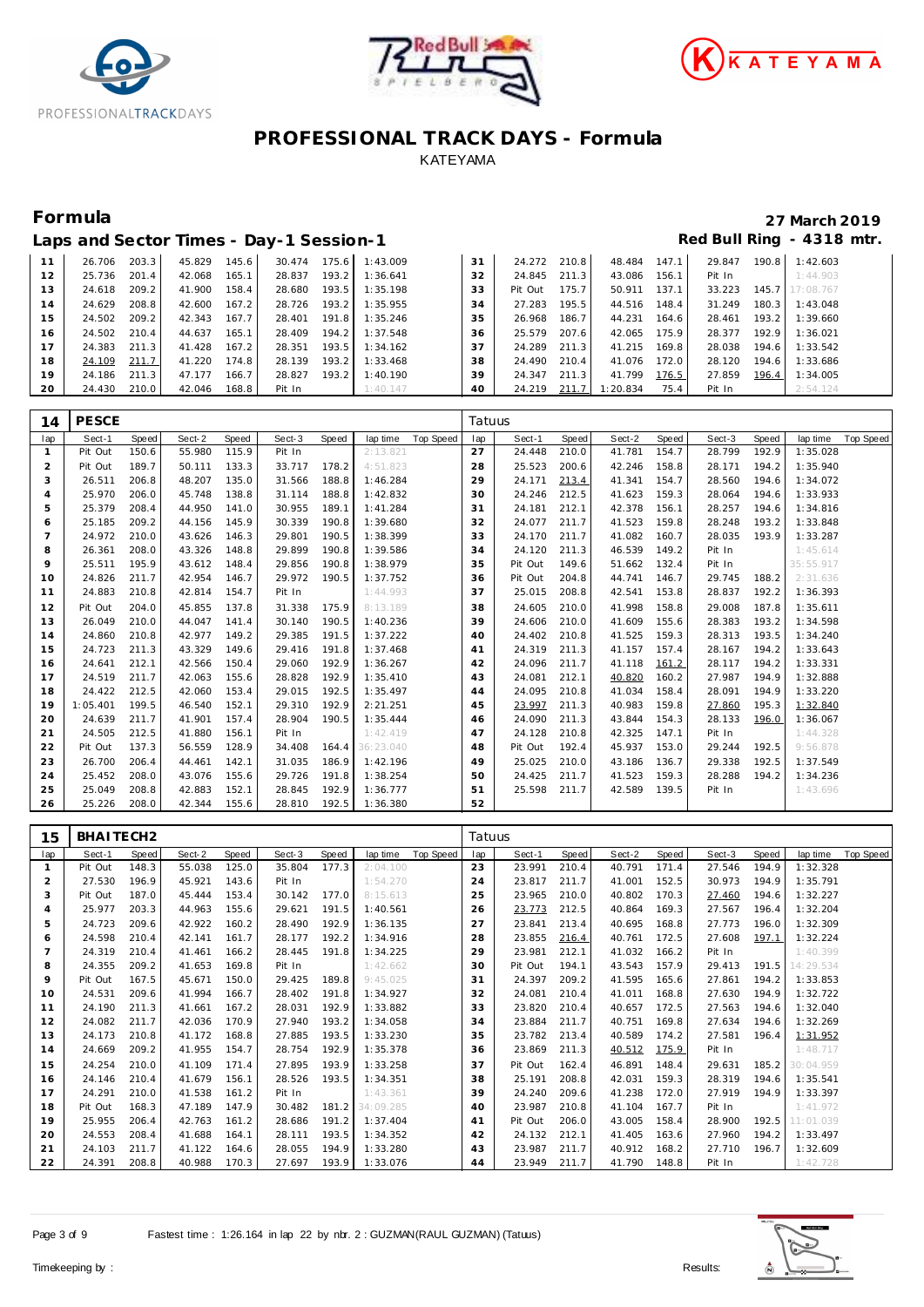





### **Formula 27 March 2019 Laps and Sector Times - Day-1 Session-1 Red Bull Ring - 4318 mtr.**

|    |        |       |        |       | Laps and Sociol Times Day Toossion T |       |                       |    |              |       |                            |       |        |       |                 |
|----|--------|-------|--------|-------|--------------------------------------|-------|-----------------------|----|--------------|-------|----------------------------|-------|--------|-------|-----------------|
| 11 | 26.706 | 203.3 | 45.829 | 145.6 |                                      |       | 30.474 175.6 1:43.009 | 31 | 24.272 210.8 |       | 48.484 147.1               |       | 29.847 |       | 190.8 1:42.603  |
| 12 | 25.736 | 201.4 | 42.068 | 165.1 | 28.837                               |       | 193.2 1:36.641        | 32 | 24.845 211.3 |       | 43.086 156.1               |       | Pit In |       | 1:44.903        |
| 13 | 24.618 | 209.2 | 41.900 | 158.4 | 28.680                               | 193.5 | 1:35.198              | 33 | Pit Out      | 175.7 | 50.911 137.1               |       | 33.223 |       | 145.7 17:08.767 |
| 14 | 24.629 | 208.8 | 42.600 | 167.2 | 28.726                               |       | 193.2 1:35.955        | 34 | 27.283 195.5 |       | 44.516                     | 148.4 | 31.249 | 180.3 | 1:43.048        |
| 15 | 24.502 | 209.2 | 42.343 | 167.7 |                                      |       | 28.401 191.8 1:35.246 | 35 | 26.968       | 186.7 | 44.231                     | 164.6 | 28.461 | 193.2 | 1:39.660        |
| 16 | 24.502 | 210.4 | 44.637 | 165.1 | 28.409                               |       | 194.2 1:37.548        | 36 | 25.579 207.6 |       | 42.065 175.9               |       | 28.377 | 192.9 | 1:36.021        |
| 17 | 24.383 | 211.3 | 41.428 | 167.2 | 28.351                               |       | $193.5$ 1:34.162      | 37 | 24.289 211.3 |       | 41.215 169.8               |       | 28.038 | 194.6 | 1:33.542        |
| 18 | 24.109 | 211.7 | 41.220 | 174.8 | 28.139                               |       | 193.2 1:33.468        | 38 | 24.490 210.4 |       | 41.076                     | 172.0 | 28.120 | 194.6 | 1:33.686        |
| 19 | 24.186 | 211.3 | 47.177 | 166.7 | 28.827                               |       | 193.2 1:40.190        | 39 | 24.347 211.3 |       | 41.799                     | 176.5 | 27.859 | 196.4 | 1:34.005        |
| 20 | 24.430 | 210.0 | 42.046 | 168.8 | Pit In                               |       | 1:40.147              | 40 |              |       | 24.219 211.7 1:20.834 75.4 |       | Pit In |       | 2:54.124        |

| 14             | <b>PESCE</b> |       |        |       |        |       |           |                  | Tatuus |         |       |        |       |        |       |           |           |
|----------------|--------------|-------|--------|-------|--------|-------|-----------|------------------|--------|---------|-------|--------|-------|--------|-------|-----------|-----------|
| lap            | Sect-1       | Speed | Sect-2 | Speed | Sect-3 | Speed | lap time  | <b>Top Speed</b> | lap    | Sect-1  | Speed | Sect-2 | Speed | Sect-3 | Speed | lap time  | Top Speed |
| $\mathbf{1}$   | Pit Out      | 150.6 | 55.980 | 115.9 | Pit In |       | 2:13.821  |                  | 27     | 24.448  | 210.0 | 41.781 | 154.7 | 28.799 | 192.9 | 1:35.028  |           |
| $\overline{2}$ | Pit Out      | 189.7 | 50.111 | 133.3 | 33.717 | 178.2 | 4:51.823  |                  | 28     | 25.523  | 200.6 | 42.246 | 158.8 | 28.171 | 194.2 | 1:35.940  |           |
| 3              | 26.511       | 206.8 | 48.207 | 135.0 | 31.566 | 188.8 | 1:46.284  |                  | 29     | 24.171  | 213.4 | 41.341 | 154.7 | 28.560 | 194.6 | 1:34.072  |           |
| $\overline{4}$ | 25.970       | 206.0 | 45.748 | 138.8 | 31.114 | 188.8 | 1:42.832  |                  | 30     | 24.246  | 212.5 | 41.623 | 159.3 | 28.064 | 194.6 | 1:33.933  |           |
| 5              | 25.379       | 208.4 | 44.950 | 141.0 | 30.955 | 189.1 | 1:41.284  |                  | 31     | 24.181  | 212.1 | 42.378 | 156.1 | 28.257 | 194.6 | 1:34.816  |           |
| 6              | 25.185       | 209.2 | 44.156 | 145.9 | 30.339 | 190.8 | 1:39.680  |                  | 32     | 24.077  | 211.7 | 41.523 | 159.8 | 28.248 | 193.2 | 1:33.848  |           |
| $\overline{7}$ | 24.972       | 210.0 | 43.626 | 146.3 | 29.801 | 190.5 | 1:38.399  |                  | 33     | 24.170  | 211.7 | 41.082 | 160.7 | 28.035 | 193.9 | 1:33.287  |           |
| 8              | 26.361       | 208.0 | 43.326 | 148.8 | 29.899 | 190.8 | 1:39.586  |                  | 34     | 24.120  | 211.3 | 46.539 | 149.2 | Pit In |       | 1:45.614  |           |
| 9              | 25.511       | 195.9 | 43.612 | 148.4 | 29.856 | 190.8 | 1:38.979  |                  | 35     | Pit Out | 149.6 | 51.662 | 132.4 | Pit In |       | 35:55.917 |           |
| 10             | 24.826       | 211.7 | 42.954 | 146.7 | 29.972 | 190.5 | 1:37.752  |                  | 36     | Pit Out | 204.8 | 44.741 | 146.7 | 29.745 | 188.2 | 2:31.636  |           |
| 11             | 24.883       | 210.8 | 42.814 | 154.7 | Pit In |       | 1:44.993  |                  | 37     | 25.015  | 208.8 | 42.541 | 153.8 | 28.837 | 192.2 | 1:36.393  |           |
| 12             | Pit Out      | 204.0 | 45.855 | 137.8 | 31.338 | 175.9 | 8:13.189  |                  | 38     | 24.605  | 210.0 | 41.998 | 158.8 | 29.008 | 187.8 | 1:35.611  |           |
| 13             | 26.049       | 210.0 | 44.047 | 141.4 | 30.140 | 190.5 | 1:40.236  |                  | 39     | 24.606  | 210.0 | 41.609 | 155.6 | 28.383 | 193.2 | 1:34.598  |           |
| 14             | 24.860       | 210.8 | 42.977 | 149.2 | 29.385 | 191.5 | 1:37.222  |                  | 40     | 24.402  | 210.8 | 41.525 | 159.3 | 28.313 | 193.5 | 1:34.240  |           |
| 15             | 24.723       | 211.3 | 43.329 | 149.6 | 29.416 | 191.8 | 1:37.468  |                  | 41     | 24.319  | 211.3 | 41.157 | 157.4 | 28.167 | 194.2 | 1:33.643  |           |
| 16             | 24.641       | 212.1 | 42.566 | 150.4 | 29.060 | 192.9 | 1:36.267  |                  | 42     | 24.096  | 211.7 | 41.118 | 161.2 | 28.117 | 194.2 | 1:33.331  |           |
| 17             | 24.519       | 211.7 | 42.063 | 155.6 | 28.828 | 192.9 | 1:35.410  |                  | 43     | 24.081  | 212.1 | 40.820 | 160.2 | 27.987 | 194.9 | 1:32.888  |           |
| 18             | 24.422       | 212.5 | 42.060 | 153.4 | 29.015 | 192.5 | 1:35.497  |                  | 44     | 24.095  | 210.8 | 41.034 | 158.4 | 28.091 | 194.9 | 1:33.220  |           |
| 19             | 1:05.401     | 199.5 | 46.540 | 152.1 | 29.310 | 192.9 | 2:21.251  |                  | 45     | 23.997  | 211.3 | 40.983 | 159.8 | 27.860 | 195.3 | 1:32.840  |           |
| 20             | 24.639       | 211.7 | 41.901 | 157.4 | 28.904 | 190.5 | 1:35.444  |                  | 46     | 24.090  | 211.3 | 43.844 | 154.3 | 28.133 | 196.0 | 1:36.067  |           |
| 21             | 24.505       | 212.5 | 41.880 | 156.1 | Pit In |       | 1:42.419  |                  | 47     | 24.128  | 210.8 | 42.325 | 147.1 | Pit In |       | 1:44.328  |           |
| 22             | Pit Out      | 137.3 | 56.559 | 128.9 | 34.408 | 164.4 | 36:23.040 |                  | 48     | Pit Out | 192.4 | 45.937 | 153.0 | 29.244 | 192.5 | 9:56.878  |           |
| 23             | 26.700       | 206.4 | 44.461 | 142.1 | 31.035 | 186.9 | 1:42.196  |                  | 49     | 25.025  | 210.0 | 43.186 | 136.7 | 29.338 | 192.5 | 1:37.549  |           |
| 24             | 25.452       | 208.0 | 43.076 | 155.6 | 29.726 | 191.8 | 1:38.254  |                  | 50     | 24.425  | 211.7 | 41.523 | 159.3 | 28.288 | 194.2 | 1:34.236  |           |
| 25             | 25.049       | 208.8 | 42.883 | 152.1 | 28.845 | 192.9 | 1:36.777  |                  | 51     | 25.598  | 211.7 | 42.589 | 139.5 | Pit In |       | 1:43.696  |           |
| 26             | 25.226       | 208.0 | 42.344 | 155.6 | 28.810 | 192.5 | 1:36.380  |                  | 52     |         |       |        |       |        |       |           |           |

| 15             | BHAITECH2 |              |        |       |        |       |                 |                  | Tatuus |         |       |        |       |        |       |           |                  |
|----------------|-----------|--------------|--------|-------|--------|-------|-----------------|------------------|--------|---------|-------|--------|-------|--------|-------|-----------|------------------|
| lap            | Sect-1    | <b>Speed</b> | Sect-2 | Speed | Sect-3 | Speed | lap time        | <b>Top Speed</b> | lap    | Sect-1  | Speed | Sect-2 | Speed | Sect-3 | Speed | lap time  | <b>Top Speed</b> |
|                | Pit Out   | 148.3        | 55.038 | 125.0 | 35.804 | 177.3 | 2:04.100        |                  | 23     | 23.991  | 210.4 | 40.791 | 171.4 | 27.546 | 194.9 | 1:32.328  |                  |
| $\overline{2}$ | 27.530    | 196.9        | 45.921 | 143.6 | Pit In |       | 1:54.270        |                  | 24     | 23.817  | 211.7 | 41.001 | 152.5 | 30.973 | 194.9 | 1:35.791  |                  |
| 3              | Pit Out   | 187.0        | 45.444 | 153.4 | 30.142 | 177.0 | 8:15.613        |                  | 25     | 23.965  | 210.0 | 40.802 | 170.3 | 27.460 | 194.6 | 1:32.227  |                  |
| 4              | 25.977    | 203.3        | 44.963 | 155.6 | 29.621 | 191.5 | 1:40.561        |                  | 26     | 23.773  | 212.5 | 40.864 | 169.3 | 27.567 | 196.4 | 1:32.204  |                  |
| 5              | 24.723    | 209.6        | 42.922 | 160.2 | 28.490 | 192.9 | 1:36.135        |                  | 27     | 23.841  | 213.4 | 40.695 | 168.8 | 27.773 | 196.0 | 1:32.309  |                  |
| 6              | 24.598    | 210.4        | 42.141 | 161.7 | 28.177 | 192.2 | 1:34.916        |                  | 28     | 23.855  | 216.4 | 40.761 | 172.5 | 27.608 | 197.1 | 1:32.224  |                  |
|                | 24.319    | 210.4        | 41.461 | 166.2 | 28.445 | 191.8 | 1:34.225        |                  | 29     | 23.981  | 212.1 | 41.032 | 166.2 | Pit In |       | 1:40.399  |                  |
| 8              | 24.355    | 209.2        | 41.653 | 169.8 | Pit In |       | 1:42.662        |                  | 30     | Pit Out | 194.1 | 43.543 | 157.9 | 29.413 | 191.5 | 14:29.534 |                  |
| 9              | Pit Out   | 167.5        | 45.671 | 150.0 | 29.425 | 189.8 | 9:45.025        |                  | 31     | 24.397  | 209.2 | 41.595 | 165.6 | 27.861 | 194.2 | 1:33.853  |                  |
| 10             | 24.531    | 209.6        | 41.994 | 166.7 | 28.402 | 191.8 | 1:34.927        |                  | 32     | 24.081  | 210.4 | 41.011 | 168.8 | 27.630 | 194.9 | 1:32.722  |                  |
| 11             | 24.190    | 211.3        | 41.661 | 167.2 | 28.031 | 192.9 | 1:33.882        |                  | 33     | 23.820  | 210.4 | 40.657 | 172.5 | 27.563 | 194.6 | 1:32.040  |                  |
| 12             | 24.082    | 211.7        | 42.036 | 170.9 | 27.940 | 193.2 | 1:34.058        |                  | 34     | 23.884  | 211.7 | 40.751 | 169.8 | 27.634 | 194.6 | 1:32.269  |                  |
| 13             | 24.173    | 210.8        | 41.172 | 168.8 | 27.885 | 193.5 | 1:33.230        |                  | 35     | 23.782  | 213.4 | 40.589 | 174.2 | 27.581 | 196.4 | 1:31.952  |                  |
| 14             | 24.669    | 209.2        | 41.955 | 154.7 | 28.754 | 192.9 | 1:35.378        |                  | 36     | 23.869  | 211.3 | 40.512 | 175.9 | Pit In |       | 1:48.717  |                  |
| 15             | 24.254    | 210.0        | 41.109 | 171.4 | 27.895 | 193.9 | 1:33.258        |                  | 37     | Pit Out | 162.4 | 46.891 | 148.4 | 29.631 | 185.2 | 30:04.959 |                  |
| 16             | 24.146    | 210.4        | 41.679 | 156.1 | 28.526 | 193.5 | 1:34.351        |                  | 38     | 25.191  | 208.8 | 42.031 | 159.3 | 28.319 | 194.6 | 1:35.541  |                  |
| 17             | 24.291    | 210.0        | 41.538 | 161.2 | Pit In |       | 1:43.361        |                  | 39     | 24.240  | 209.6 | 41.238 | 172.0 | 27.919 | 194.9 | 1:33.397  |                  |
| 18             | Pit Out   | 168.3        | 47.189 | 147.9 | 30.482 |       | 181.2 34:09.285 |                  | 40     | 23.987  | 210.8 | 41.104 | 167.7 | Pit In |       | 1:41.972  |                  |
| 19             | 25.955    | 206.4        | 42.763 | 161.2 | 28.686 | 191.2 | 1:37.404        |                  | 41     | Pit Out | 206.0 | 43.005 | 158.4 | 28.900 | 192.5 | 11:01.039 |                  |
| 20             | 24.553    | 208.4        | 41.688 | 164.1 | 28.111 | 193.5 | 1:34.352        |                  | 42     | 24.132  | 212.1 | 41.405 | 163.6 | 27.960 | 194.2 | 1:33.497  |                  |
| 21             | 24.103    | 211.7        | 41.122 | 164.6 | 28.055 | 194.9 | 1:33.280        |                  | 43     | 23.987  | 211.7 | 40.912 | 168.2 | 27.710 | 196.7 | 1:32.609  |                  |
| 22             | 24.391    | 208.8        | 40.988 | 170.3 | 27.697 | 193.9 | 1:33.076        |                  | 44     | 23.949  | 211.7 | 41.790 | 148.8 | Pit In |       | 1:42.728  |                  |

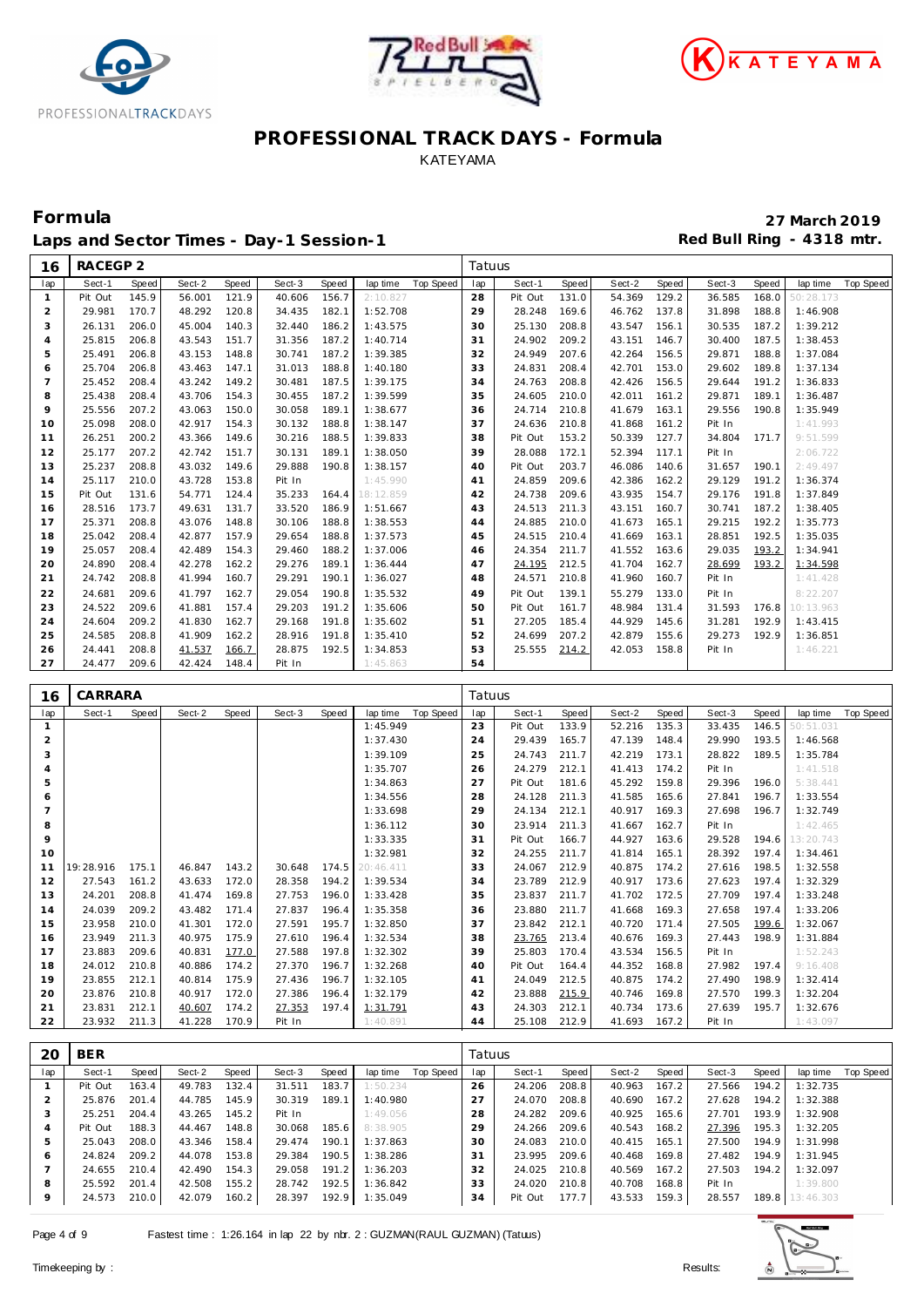





Laps and Sector Times - Day-1 Session-1 **Red Bull Ring - 4318 mtr.** 

| 16             | RACEGP 2 |       |        |       |        |       |           |           | Tatuus |         |       |        |       |        |       |           |           |
|----------------|----------|-------|--------|-------|--------|-------|-----------|-----------|--------|---------|-------|--------|-------|--------|-------|-----------|-----------|
| lap            | Sect-1   | Speed | Sect-2 | Speed | Sect-3 | Speed | lap time  | Top Speed | lap    | Sect-1  | Speed | Sect-2 | Speed | Sect-3 | Speed | lap time  | Top Speed |
| 1              | Pit Out  | 145.9 | 56.001 | 121.9 | 40.606 | 156.7 | 2:10.827  |           | 28     | Pit Out | 131.0 | 54.369 | 129.2 | 36.585 | 168.0 | 50:28.173 |           |
| 2              | 29.981   | 170.7 | 48.292 | 120.8 | 34.435 | 182.1 | 1:52.708  |           | 29     | 28.248  | 169.6 | 46.762 | 137.8 | 31.898 | 188.8 | 1:46.908  |           |
| 3              | 26.131   | 206.0 | 45.004 | 140.3 | 32.440 | 186.2 | 1:43.575  |           | 30     | 25.130  | 208.8 | 43.547 | 156.1 | 30.535 | 187.2 | 1:39.212  |           |
| $\overline{4}$ | 25.815   | 206.8 | 43.543 | 151.7 | 31.356 | 187.2 | 1:40.714  |           | 31     | 24.902  | 209.2 | 43.151 | 146.7 | 30.400 | 187.5 | 1:38.453  |           |
| 5              | 25.491   | 206.8 | 43.153 | 148.8 | 30.741 | 187.2 | 1:39.385  |           | 32     | 24.949  | 207.6 | 42.264 | 156.5 | 29.871 | 188.8 | 1:37.084  |           |
| 6              | 25.704   | 206.8 | 43.463 | 147.1 | 31.013 | 188.8 | 1:40.180  |           | 33     | 24.831  | 208.4 | 42.701 | 153.0 | 29.602 | 189.8 | 1:37.134  |           |
| $\overline{7}$ | 25.452   | 208.4 | 43.242 | 149.2 | 30.481 | 187.5 | 1:39.175  |           | 34     | 24.763  | 208.8 | 42.426 | 156.5 | 29.644 | 191.2 | 1:36.833  |           |
| 8              | 25.438   | 208.4 | 43.706 | 154.3 | 30.455 | 187.2 | 1:39.599  |           | 35     | 24.605  | 210.0 | 42.011 | 161.2 | 29.871 | 189.1 | 1:36.487  |           |
| 9              | 25.556   | 207.2 | 43.063 | 150.0 | 30.058 | 189.1 | 1:38.677  |           | 36     | 24.714  | 210.8 | 41.679 | 163.1 | 29.556 | 190.8 | 1:35.949  |           |
| 10             | 25.098   | 208.0 | 42.917 | 154.3 | 30.132 | 188.8 | 1:38.147  |           | 37     | 24.636  | 210.8 | 41.868 | 161.2 | Pit In |       | 1:41.993  |           |
| 11             | 26.251   | 200.2 | 43.366 | 149.6 | 30.216 | 188.5 | 1:39.833  |           | 38     | Pit Out | 153.2 | 50.339 | 127.7 | 34.804 | 171.7 | 9:51.599  |           |
| 12             | 25.177   | 207.2 | 42.742 | 151.7 | 30.131 | 189.1 | 1:38.050  |           | 39     | 28.088  | 172.1 | 52.394 | 117.1 | Pit In |       | 2:06.722  |           |
| 13             | 25.237   | 208.8 | 43.032 | 149.6 | 29.888 | 190.8 | 1:38.157  |           | 40     | Pit Out | 203.7 | 46.086 | 140.6 | 31.657 | 190.1 | 2:49.497  |           |
| 14             | 25.117   | 210.0 | 43.728 | 153.8 | Pit In |       | 1:45.990  |           | 41     | 24.859  | 209.6 | 42.386 | 162.2 | 29.129 | 191.2 | 1:36.374  |           |
| 15             | Pit Out  | 131.6 | 54.771 | 124.4 | 35.233 | 164.4 | 18:12.859 |           | 42     | 24.738  | 209.6 | 43.935 | 154.7 | 29.176 | 191.8 | 1:37.849  |           |
| 16             | 28.516   | 173.7 | 49.631 | 131.7 | 33.520 | 186.9 | 1:51.667  |           | 43     | 24.513  | 211.3 | 43.151 | 160.7 | 30.741 | 187.2 | 1:38.405  |           |
| 17             | 25.371   | 208.8 | 43.076 | 148.8 | 30.106 | 188.8 | 1:38.553  |           | 44     | 24.885  | 210.0 | 41.673 | 165.1 | 29.215 | 192.2 | 1:35.773  |           |
| 18             | 25.042   | 208.4 | 42.877 | 157.9 | 29.654 | 188.8 | 1:37.573  |           | 45     | 24.515  | 210.4 | 41.669 | 163.1 | 28.851 | 192.5 | 1:35.035  |           |
| 19             | 25.057   | 208.4 | 42.489 | 154.3 | 29.460 | 188.2 | 1:37.006  |           | 46     | 24.354  | 211.7 | 41.552 | 163.6 | 29.035 | 193.2 | 1:34.941  |           |
| 20             | 24.890   | 208.4 | 42.278 | 162.2 | 29.276 | 189.1 | 1:36.444  |           | 47     | 24.195  | 212.5 | 41.704 | 162.7 | 28.699 | 193.2 | 1:34.598  |           |
| 21             | 24.742   | 208.8 | 41.994 | 160.7 | 29.291 | 190.1 | 1:36.027  |           | 48     | 24.571  | 210.8 | 41.960 | 160.7 | Pit In |       | 1:41.428  |           |
| 22             | 24.681   | 209.6 | 41.797 | 162.7 | 29.054 | 190.8 | 1:35.532  |           | 49     | Pit Out | 139.1 | 55.279 | 133.0 | Pit In |       | 8:22.207  |           |
| 23             | 24.522   | 209.6 | 41.881 | 157.4 | 29.203 | 191.2 | 1:35.606  |           | 50     | Pit Out | 161.7 | 48.984 | 131.4 | 31.593 | 176.8 | 10:13.963 |           |
| 24             | 24.604   | 209.2 | 41.830 | 162.7 | 29.168 | 191.8 | 1:35.602  |           | 51     | 27.205  | 185.4 | 44.929 | 145.6 | 31.281 | 192.9 | 1:43.415  |           |
| 25             | 24.585   | 208.8 | 41.909 | 162.2 | 28.916 | 191.8 | 1:35.410  |           | 52     | 24.699  | 207.2 | 42.879 | 155.6 | 29.273 | 192.9 | 1:36.851  |           |
| 26             | 24.441   | 208.8 | 41.537 | 166.7 | 28.875 | 192.5 | 1:34.853  |           | 53     | 25.555  | 214.2 | 42.053 | 158.8 | Pit In |       | 1:46.221  |           |
| 27             | 24.477   | 209.6 | 42.424 | 148.4 | Pit In |       | 1:45.863  |           | 54     |         |       |        |       |        |       |           |           |
|                |          |       |        |       |        |       |           |           |        |         |       |        |       |        |       |           |           |
| 16             | CARRARA  |       |        |       |        |       |           |           | Tatuus |         |       |        |       |        |       |           |           |
| lap            | Sect-1   | Speed | Sect-2 | Speed | Sect-3 | Speed | lap time  | Top Speed | lap    | Sect-1  | Speed | Sect-2 | Speed | Sect-3 | Speed | lap time  | Top Speed |

| lap            | Sect-1    | Speed | Sect-2 | Speed | Sect-3 | Speed | lap time  | Top Speed | lap | Sect-1  | Speed | Sect-2 | Speed | Sect-3 | Speed | lap time  | Top Speed |
|----------------|-----------|-------|--------|-------|--------|-------|-----------|-----------|-----|---------|-------|--------|-------|--------|-------|-----------|-----------|
|                |           |       |        |       |        |       | 1:45.949  |           | 23  | Pit Out | 133.9 | 52.216 | 135.3 | 33.435 | 146.5 | 50:51.031 |           |
| $\overline{2}$ |           |       |        |       |        |       | 1:37.430  |           | 24  | 29.439  | 165.7 | 47.139 | 148.4 | 29.990 | 193.5 | 1:46.568  |           |
| 3              |           |       |        |       |        |       | 1:39.109  |           | 25  | 24.743  | 211.7 | 42.219 | 173.1 | 28.822 | 189.5 | 1:35.784  |           |
| 4              |           |       |        |       |        |       | 1:35.707  |           | 26  | 24.279  | 212.1 | 41.413 | 174.2 | Pit In |       | 1:41.518  |           |
| 5              |           |       |        |       |        |       | 1:34.863  |           | 27  | Pit Out | 181.6 | 45.292 | 159.8 | 29.396 | 196.0 | 5:38.441  |           |
| 6              |           |       |        |       |        |       | 1:34.556  |           | 28  | 24.128  | 211.3 | 41.585 | 165.6 | 27.841 | 196.7 | 1:33.554  |           |
| $\overline{7}$ |           |       |        |       |        |       | 1:33.698  |           | 29  | 24.134  | 212.1 | 40.917 | 169.3 | 27.698 | 196.7 | 1:32.749  |           |
| 8              |           |       |        |       |        |       | 1:36.112  |           | 30  | 23.914  | 211.3 | 41.667 | 162.7 | Pit In |       | 1:42.465  |           |
| 9              |           |       |        |       |        |       | 1:33.335  |           | 31  | Pit Out | 166.7 | 44.927 | 163.6 | 29.528 | 194.6 | 13:20.743 |           |
| 10             |           |       |        |       |        |       | 1:32.981  |           | 32  | 24.255  | 211.7 | 41.814 | 165.1 | 28.392 | 197.4 | 1:34.461  |           |
| 11             | 19:28.916 | 175.1 | 46.847 | 143.2 | 30.648 | 174.5 | 20:46.411 |           | 33  | 24.067  | 212.9 | 40.875 | 174.2 | 27.616 | 198.5 | 1:32.558  |           |
| 12             | 27.543    | 161.2 | 43.633 | 172.0 | 28.358 | 194.2 | 1:39.534  |           | 34  | 23.789  | 212.9 | 40.917 | 173.6 | 27.623 | 197.4 | 1:32.329  |           |
| 13             | 24.201    | 208.8 | 41.474 | 169.8 | 27.753 | 196.0 | 1:33.428  |           | 35  | 23.837  | 211.7 | 41.702 | 172.5 | 27.709 | 197.4 | 1:33.248  |           |
| 14             | 24.039    | 209.2 | 43.482 | 171.4 | 27.837 | 196.4 | 1:35.358  |           | 36  | 23.880  | 211.7 | 41.668 | 169.3 | 27.658 | 197.4 | 1:33.206  |           |
| 15             | 23.958    | 210.0 | 41.301 | 172.0 | 27.591 | 195.7 | 1:32.850  |           | 37  | 23.842  | 212.1 | 40.720 | 171.4 | 27.505 | 199.6 | 1:32.067  |           |
| 16             | 23.949    | 211.3 | 40.975 | 175.9 | 27.610 | 196.4 | 1:32.534  |           | 38  | 23.765  | 213.4 | 40.676 | 169.3 | 27.443 | 198.9 | 1:31.884  |           |
| 17             | 23.883    | 209.6 | 40.831 | 177.0 | 27.588 | 197.8 | 1:32.302  |           | 39  | 25.803  | 170.4 | 43.534 | 156.5 | Pit In |       | 1:52.243  |           |
| 18             | 24.012    | 210.8 | 40.886 | 174.2 | 27.370 | 196.7 | 1:32.268  |           | 40  | Pit Out | 164.4 | 44.352 | 168.8 | 27.982 | 197.4 | 9:16.408  |           |
| 19             | 23.855    | 212.1 | 40.814 | 175.9 | 27.436 | 196.7 | 1:32.105  |           | 41  | 24.049  | 212.5 | 40.875 | 174.2 | 27.490 | 198.9 | 1:32.414  |           |
| 20             | 23.876    | 210.8 | 40.917 | 172.0 | 27.386 | 196.4 | 1:32.179  |           | 42  | 23.888  | 215.9 | 40.746 | 169.8 | 27.570 | 199.3 | 1:32.204  |           |
| 21             | 23.831    | 212.1 | 40.607 | 174.2 | 27.353 | 197.4 | 1:31.791  |           | 43  | 24.303  | 212.1 | 40.734 | 173.6 | 27.639 | 195.7 | 1:32.676  |           |
| 22             | 23.932    | 211.3 | 41.228 | 170.9 | Pit In |       | 1:40.891  |           | 44  | 25.108  | 212.9 | 41.693 | 167.2 | Pit In |       | 1:43.097  |           |

| 20      | <b>BER</b> |       |        |       |        |         |          |           | Tatuus |         |       |        |       |        |       |                 |           |
|---------|------------|-------|--------|-------|--------|---------|----------|-----------|--------|---------|-------|--------|-------|--------|-------|-----------------|-----------|
| lap     | Sect-1     | Speed | Sect-2 | Speed | Sect-3 | Speed   | lap time | Top Speed | lap    | Sect-1  | Speed | Sect-2 | Speed | Sect-3 | Speed | lap time        | Top Speed |
|         | Pit Out    | 163.4 | 49.783 | 132.4 | 31.511 | 183.7   | 1:50.234 |           | 26     | 24.206  | 208.8 | 40.963 | 167.2 | 27.566 | 194.2 | 1:32.735        |           |
|         | 25.876     | 201.4 | 44.785 | 145.9 | 30.319 | 189.1   | 1:40.980 |           | 27     | 24.070  | 208.8 | 40.690 | 167.2 | 27.628 | 194.2 | 1:32.388        |           |
| 3       | 25.251     | 204.4 | 43.265 | 145.2 | Pit In |         | 1:49.056 |           | 28     | 24.282  | 209.6 | 40.925 | 165.6 | 27.701 | 193.9 | 1:32.908        |           |
| 4       | Pit Out    | 188.3 | 44.467 | 148.8 | 30.068 | 185.6   | 8:38.905 |           | 29     | 24.266  | 209.6 | 40.543 | 168.2 | 27.396 | 195.3 | 1:32.205        |           |
| 5       | 25.043     | 208.0 | 43.346 | 158.4 | 29.474 | 190.1   | 1:37.863 |           | 30     | 24.083  | 210.0 | 40.415 | 165.1 | 27.500 | 194.9 | 1:31.998        |           |
| 6       | 24.824     | 209.2 | 44.078 | 153.8 | 29.384 | 190.5   | 1:38.286 |           | 31     | 23.995  | 209.6 | 40.468 | 169.8 | 27.482 | 194.9 | 1:31.945        |           |
|         | 24.655     | 210.4 | 42.490 | 154.3 | 29.058 | 191.2   | 1:36.203 |           | 32     | 24.025  | 210.8 | 40.569 | 167.2 | 27.503 | 194.2 | 1:32.097        |           |
| 8       | 25.592     | 201.4 | 42.508 | 155.2 | 28.742 | 192.5   | 1:36.842 |           | 33     | 24.020  | 210.8 | 40.708 | 168.8 | Pit In |       | 1:39.800        |           |
| $\circ$ | 24.573     | 210.0 | 42.079 | 160.2 | 28.397 | 192.9 I | 1:35.049 |           | 34     | Pit Out | 177.7 | 43.533 | 159.3 | 28.557 |       | 189.8 13:46.303 |           |

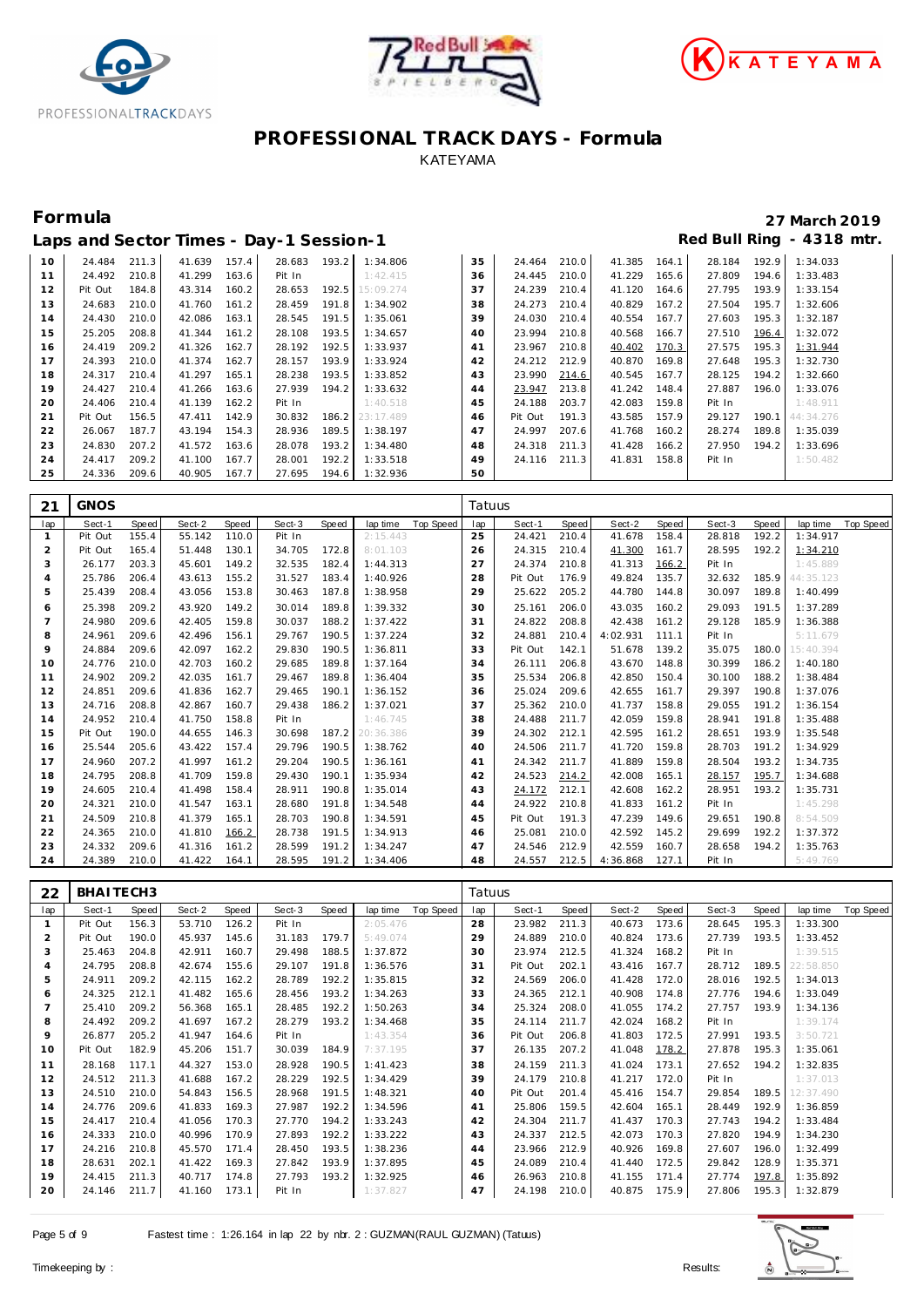





|    |         |       |        |       | Laps and Sector Times - Day-1 Session-1 |       |                 |    |         |       |        |       |        |       | Red Bull Ring - 4318 mtr. |
|----|---------|-------|--------|-------|-----------------------------------------|-------|-----------------|----|---------|-------|--------|-------|--------|-------|---------------------------|
| 10 | 24.484  | 211.3 | 41.639 | 157.4 | 28.683                                  | 193.2 | 1:34.806        | 35 | 24.464  | 210.0 | 41.385 | 164.1 | 28.184 | 192.9 | 1:34.033                  |
| 11 | 24.492  | 210.8 | 41.299 | 163.6 | Pit In                                  |       | 1:42.415        | 36 | 24.445  | 210.0 | 41.229 | 165.6 | 27.809 | 194.6 | 1:33.483                  |
| 12 | Pit Out | 184.8 | 43.314 | 160.2 | 28.653                                  | 192.5 | 15:09.274       | 37 | 24.239  | 210.4 | 41.120 | 164.6 | 27.795 | 193.9 | 1:33.154                  |
| 13 | 24.683  | 210.0 | 41.760 | 161.2 | 28.459                                  | 191.8 | 1:34.902        | 38 | 24.273  | 210.4 | 40.829 | 167.2 | 27.504 | 195.7 | 1:32.606                  |
| 14 | 24.430  | 210.0 | 42.086 | 163.1 | 28.545                                  | 191.5 | 1:35.061        | 39 | 24.030  | 210.4 | 40.554 | 167.7 | 27.603 | 195.3 | 1:32.187                  |
| 15 | 25.205  | 208.8 | 41.344 | 161.2 | 28.108                                  | 193.5 | 1:34.657        | 40 | 23.994  | 210.8 | 40.568 | 166.7 | 27.510 | 196.4 | 1:32.072                  |
| 16 | 24.419  | 209.2 | 41.326 | 162.7 | 28.192                                  | 192.5 | 1:33.937        | 41 | 23.967  | 210.8 | 40.402 | 170.3 | 27.575 | 195.3 | 1:31.944                  |
| 17 | 24.393  | 210.0 | 41.374 | 162.7 | 28.157                                  | 193.9 | 1:33.924        | 42 | 24.212  | 212.9 | 40.870 | 169.8 | 27.648 | 195.3 | 1:32.730                  |
| 18 | 24.317  | 210.4 | 41.297 | 165.1 | 28.238                                  | 193.5 | 1:33.852        | 43 | 23.990  | 214.6 | 40.545 | 167.7 | 28.125 | 194.2 | 1:32.660                  |
| 19 | 24.427  | 210.4 | 41.266 | 163.6 | 27.939                                  | 194.2 | 1:33.632        | 44 | 23.947  | 213.8 | 41.242 | 148.4 | 27.887 | 196.0 | 1:33.076                  |
| 20 | 24.406  | 210.4 | 41.139 | 162.2 | Pit In                                  |       | 1:40.518        | 45 | 24.188  | 203.7 | 42.083 | 159.8 | Pit In |       | 1:48.911                  |
| 21 | Pit Out | 156.5 | 47.411 | 142.9 | 30.832                                  |       | 186.2 23:17.489 | 46 | Pit Out | 191.3 | 43.585 | 157.9 | 29.127 | 190.1 | 44: 34.276                |
| 22 | 26.067  | 187.7 | 43.194 | 154.3 | 28.936                                  | 189.5 | 1:38.197        | 47 | 24.997  | 207.6 | 41.768 | 160.2 | 28.274 | 189.8 | 1:35.039                  |
| 23 | 24.830  | 207.2 | 41.572 | 163.6 | 28.078                                  | 193.2 | 1:34.480        | 48 | 24.318  | 211.3 | 41.428 | 166.2 | 27.950 | 194.2 | 1:33.696                  |
| 24 | 24.417  | 209.2 | 41.100 | 167.7 | 28.001                                  | 192.2 | 1:33.518        | 49 | 24.116  | 211.3 | 41.831 | 158.8 | Pit In |       | 1:50.482                  |
| 25 | 24.336  | 209.6 | 40.905 | 167.7 | 27.695                                  | 194.6 | 1:32.936        | 50 |         |       |        |       |        |       |                           |

| 21             | <b>GNOS</b> |       |        |       |        |       |           |           | Tatuus |         |       |          |       |        |       |                 |           |
|----------------|-------------|-------|--------|-------|--------|-------|-----------|-----------|--------|---------|-------|----------|-------|--------|-------|-----------------|-----------|
| lap            | Sect-1      | Speed | Sect-2 | Speed | Sect-3 | Speed | lap time  | Top Speed | lap    | Sect-1  | Speed | Sect-2   | Speed | Sect-3 | Speed | lap time        | Top Speed |
| $\mathbf{1}$   | Pit Out     | 155.4 | 55.142 | 110.0 | Pit In |       | 2:15.443  |           | 25     | 24.421  | 210.4 | 41.678   | 158.4 | 28.818 | 192.2 | 1:34.917        |           |
| $\overline{2}$ | Pit Out     | 165.4 | 51.448 | 130.1 | 34.705 | 172.8 | 8:01.103  |           | 26     | 24.315  | 210.4 | 41.300   | 161.7 | 28.595 | 192.2 | 1:34.210        |           |
| 3              | 26.177      | 203.3 | 45.601 | 149.2 | 32.535 | 182.4 | 1:44.313  |           | 27     | 24.374  | 210.8 | 41.313   | 166.2 | Pit In |       | 1:45.889        |           |
| $\overline{4}$ | 25.786      | 206.4 | 43.613 | 155.2 | 31.527 | 183.4 | 1:40.926  |           | 28     | Pit Out | 176.9 | 49.824   | 135.7 | 32.632 |       | 185.9 44:35.123 |           |
| 5              | 25.439      | 208.4 | 43.056 | 153.8 | 30.463 | 187.8 | 1:38.958  |           | 29     | 25.622  | 205.2 | 44.780   | 144.8 | 30.097 | 189.8 | 1:40.499        |           |
| 6              | 25.398      | 209.2 | 43.920 | 149.2 | 30.014 | 189.8 | 1:39.332  |           | 30     | 25.161  | 206.0 | 43.035   | 160.2 | 29.093 | 191.5 | 1:37.289        |           |
| $\overline{7}$ | 24.980      | 209.6 | 42.405 | 159.8 | 30.037 | 188.2 | 1:37.422  |           | 31     | 24.822  | 208.8 | 42.438   | 161.2 | 29.128 | 185.9 | 1:36.388        |           |
| 8              | 24.961      | 209.6 | 42.496 | 156.1 | 29.767 | 190.5 | 1:37.224  |           | 32     | 24.881  | 210.4 | 4:02.931 | 111.1 | Pit In |       | 5:11.679        |           |
| 9              | 24.884      | 209.6 | 42.097 | 162.2 | 29.830 | 190.5 | 1:36.811  |           | 33     | Pit Out | 142.1 | 51.678   | 139.2 | 35.075 |       | 180.0 15:40.394 |           |
| 10             | 24.776      | 210.0 | 42.703 | 160.2 | 29.685 | 189.8 | 1:37.164  |           | 34     | 26.111  | 206.8 | 43.670   | 148.8 | 30.399 | 186.2 | 1:40.180        |           |
| 11             | 24.902      | 209.2 | 42.035 | 161.7 | 29.467 | 189.8 | 1:36.404  |           | 35     | 25.534  | 206.8 | 42.850   | 150.4 | 30.100 | 188.2 | 1:38.484        |           |
| 12             | 24.851      | 209.6 | 41.836 | 162.7 | 29.465 | 190.1 | 1:36.152  |           | 36     | 25.024  | 209.6 | 42.655   | 161.7 | 29.397 | 190.8 | 1:37.076        |           |
| 13             | 24.716      | 208.8 | 42.867 | 160.7 | 29.438 | 186.2 | 1:37.021  |           | 37     | 25.362  | 210.0 | 41.737   | 158.8 | 29.055 | 191.2 | 1:36.154        |           |
| 14             | 24.952      | 210.4 | 41.750 | 158.8 | Pit In |       | 1:46.745  |           | 38     | 24.488  | 211.7 | 42.059   | 159.8 | 28.941 | 191.8 | 1:35.488        |           |
| 15             | Pit Out     | 190.0 | 44.655 | 146.3 | 30.698 | 187.2 | 20:36.386 |           | 39     | 24.302  | 212.1 | 42.595   | 161.2 | 28.651 | 193.9 | 1:35.548        |           |
| 16             | 25.544      | 205.6 | 43.422 | 157.4 | 29.796 | 190.5 | 1:38.762  |           | 40     | 24.506  | 211.7 | 41.720   | 159.8 | 28.703 | 191.2 | 1:34.929        |           |
| 17             | 24.960      | 207.2 | 41.997 | 161.2 | 29.204 | 190.5 | 1:36.161  |           | 41     | 24.342  | 211.7 | 41.889   | 159.8 | 28.504 | 193.2 | 1:34.735        |           |
| 18             | 24.795      | 208.8 | 41.709 | 159.8 | 29.430 | 190.1 | 1:35.934  |           | 42     | 24.523  | 214.2 | 42.008   | 165.1 | 28.157 | 195.7 | 1:34.688        |           |
| 19             | 24.605      | 210.4 | 41.498 | 158.4 | 28.911 | 190.8 | 1:35.014  |           | 43     | 24.172  | 212.1 | 42.608   | 162.2 | 28.951 | 193.2 | 1:35.731        |           |
| 20             | 24.321      | 210.0 | 41.547 | 163.1 | 28.680 | 191.8 | 1:34.548  |           | 44     | 24.922  | 210.8 | 41.833   | 161.2 | Pit In |       | 1:45.298        |           |
| 21             | 24.509      | 210.8 | 41.379 | 165.1 | 28.703 | 190.8 | 1:34.591  |           | 45     | Pit Out | 191.3 | 47.239   | 149.6 | 29.651 | 190.8 | 8:54.509        |           |
| 22             | 24.365      | 210.0 | 41.810 | 166.2 | 28.738 | 191.5 | 1:34.913  |           | 46     | 25.081  | 210.0 | 42.592   | 145.2 | 29.699 | 192.2 | 1:37.372        |           |
| 23             | 24.332      | 209.6 | 41.316 | 161.2 | 28.599 | 191.2 | 1:34.247  |           | 47     | 24.546  | 212.9 | 42.559   | 160.7 | 28.658 | 194.2 | 1:35.763        |           |
| 24             | 24.389      | 210.0 | 41.422 | 164.1 | 28.595 | 191.2 | 1:34.406  |           | 48     | 24.557  | 212.5 | 4:36.868 | 127.1 | Pit In |       | 5:49.769        |           |

| 22             | BHAITECH3 |       |        |       |        |       |          |           | Tatuus |         |       |        |       |        |       |           |           |
|----------------|-----------|-------|--------|-------|--------|-------|----------|-----------|--------|---------|-------|--------|-------|--------|-------|-----------|-----------|
| lap            | Sect-1    | Speed | Sect-2 | Speed | Sect-3 | Speed | lap time | Top Speed | lap    | Sect-1  | Speed | Sect-2 | Speed | Sect-3 | Speed | lap time  | Top Speed |
|                | Pit Out   | 156.3 | 53.710 | 126.2 | Pit In |       | 2:05.476 |           | 28     | 23.982  | 211.3 | 40.673 | 173.6 | 28.645 | 195.3 | 1:33.300  |           |
| $\overline{2}$ | Pit Out   | 190.0 | 45.937 | 145.6 | 31.183 | 179.7 | 5:49.074 |           | 29     | 24.889  | 210.0 | 40.824 | 173.6 | 27.739 | 193.5 | 1:33.452  |           |
| 3              | 25.463    | 204.8 | 42.911 | 160.7 | 29.498 | 188.5 | 1:37.872 |           | 30     | 23.974  | 212.5 | 41.324 | 168.2 | Pit In |       | 1:39.515  |           |
| $\overline{A}$ | 24.795    | 208.8 | 42.674 | 155.6 | 29.107 | 191.8 | 1:36.576 |           | 31     | Pit Out | 202.1 | 43.416 | 167.7 | 28.712 | 189.5 | 22:58.850 |           |
| 5              | 24.911    | 209.2 | 42.115 | 162.2 | 28.789 | 192.2 | 1:35.815 |           | 32     | 24.569  | 206.0 | 41.428 | 172.0 | 28.016 | 192.5 | 1:34.013  |           |
| 6              | 24.325    | 212.1 | 41.482 | 165.6 | 28.456 | 193.2 | 1:34.263 |           | 33     | 24.365  | 212.1 | 40.908 | 174.8 | 27.776 | 194.6 | 1:33.049  |           |
| $\overline{7}$ | 25.410    | 209.2 | 56.368 | 165.1 | 28.485 | 192.2 | 1:50.263 |           | 34     | 25.324  | 208.0 | 41.055 | 174.2 | 27.757 | 193.9 | 1:34.136  |           |
| 8              | 24.492    | 209.2 | 41.697 | 167.2 | 28.279 | 193.2 | 1:34.468 |           | 35     | 24.114  | 211.7 | 42.024 | 168.2 | Pit In |       | 1:39.174  |           |
| 9              | 26.877    | 205.2 | 41.947 | 164.6 | Pit In |       | 1:43.354 |           | 36     | Pit Out | 206.8 | 41.803 | 172.5 | 27.991 | 193.5 | 3:50.721  |           |
| 10             | Pit Out   | 182.9 | 45.206 | 151.7 | 30.039 | 184.9 | 7:37.195 |           | 37     | 26.135  | 207.2 | 41.048 | 178.2 | 27.878 | 195.3 | 1:35.061  |           |
| 11             | 28.168    | 117.1 | 44.327 | 153.0 | 28.928 | 190.5 | 1:41.423 |           | 38     | 24.159  | 211.3 | 41.024 | 173.1 | 27.652 | 194.2 | 1:32.835  |           |
| 12             | 24.512    | 211.3 | 41.688 | 167.2 | 28.229 | 192.5 | 1:34.429 |           | 39     | 24.179  | 210.8 | 41.217 | 172.0 | Pit In |       | 1:37.013  |           |
| 13             | 24.510    | 210.0 | 54.843 | 156.5 | 28.968 | 191.5 | 1:48.321 |           | 40     | Pit Out | 201.4 | 45.416 | 154.7 | 29.854 | 189.5 | 12:37.490 |           |
| 14             | 24.776    | 209.6 | 41.833 | 169.3 | 27.987 | 192.2 | 1:34.596 |           | 41     | 25.806  | 159.5 | 42.604 | 165.1 | 28.449 | 192.9 | 1:36.859  |           |
| 15             | 24.417    | 210.4 | 41.056 | 170.3 | 27.770 | 194.2 | 1:33.243 |           | 42     | 24.304  | 211.7 | 41.437 | 170.3 | 27.743 | 194.2 | 1:33.484  |           |
| 16             | 24.333    | 210.0 | 40.996 | 170.9 | 27.893 | 192.2 | 1:33.222 |           | 43     | 24.337  | 212.5 | 42.073 | 170.3 | 27.820 | 194.9 | 1:34.230  |           |
| 17             | 24.216    | 210.8 | 45.570 | 171.4 | 28.450 | 193.5 | 1:38.236 |           | 44     | 23.966  | 212.9 | 40.926 | 169.8 | 27.607 | 196.0 | 1:32.499  |           |
| 18             | 28.631    | 202.1 | 41.422 | 169.3 | 27.842 | 193.9 | 1:37.895 |           | 45     | 24.089  | 210.4 | 41.440 | 172.5 | 29.842 | 128.9 | 1:35.371  |           |
| 19             | 24.415    | 211.3 | 40.717 | 174.8 | 27.793 | 193.2 | 1:32.925 |           | 46     | 26.963  | 210.8 | 41.155 | 171.4 | 27.774 | 197.8 | 1:35.892  |           |
| 20             | 24.146    | 211.7 | 41.160 | 173.1 | Pit In |       | 1:37.827 |           | 47     | 24.198  | 210.0 | 40.875 | 175.9 | 27.806 | 195.3 | 1:32.879  |           |

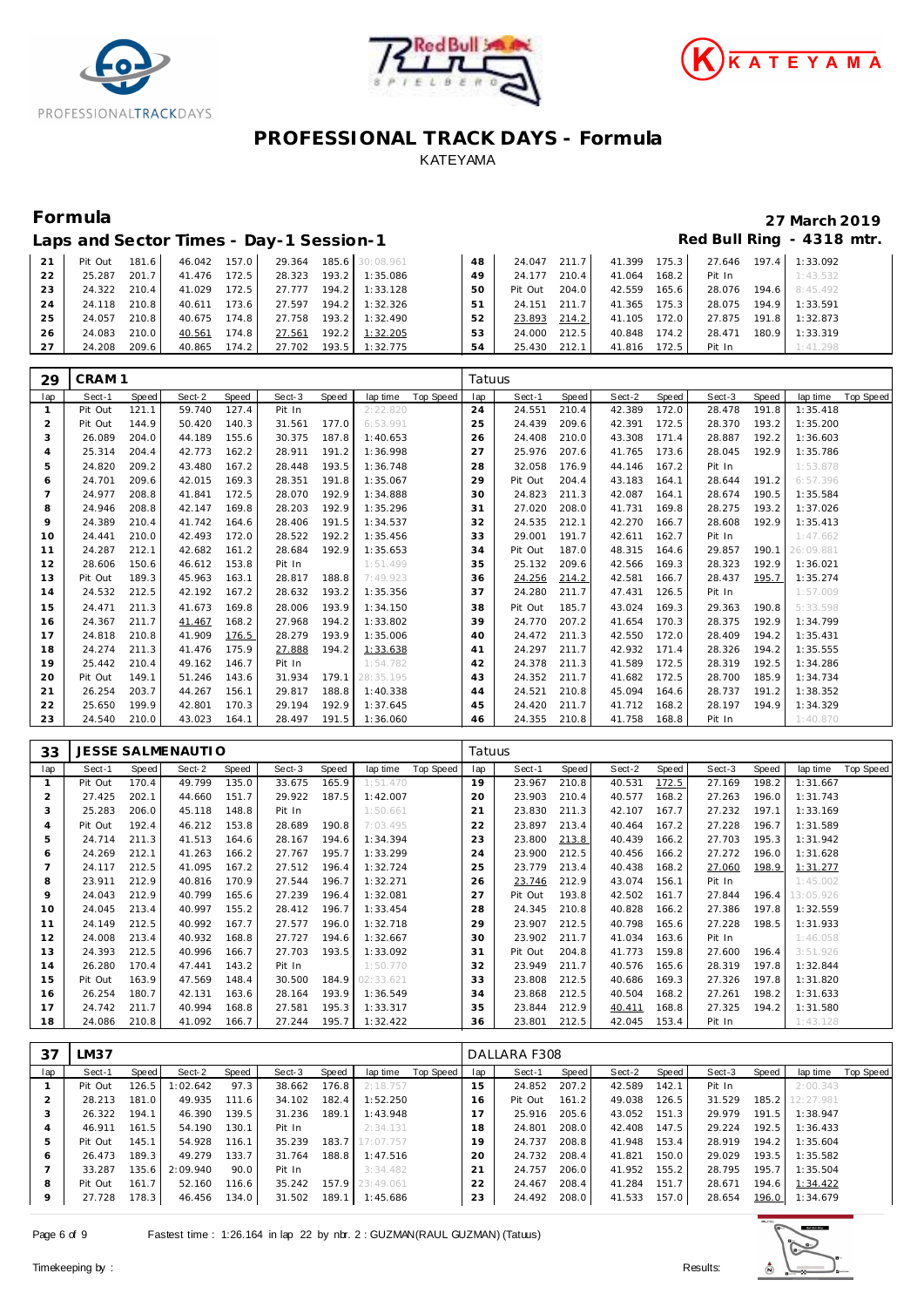





|    | Laps and Sector Times - Day-1 Session-1 |       |              |       |                                     |                         |    |              |       |              |       |                                                                                                               |       | Red Bull Ring - 4318 mtr. |
|----|-----------------------------------------|-------|--------------|-------|-------------------------------------|-------------------------|----|--------------|-------|--------------|-------|---------------------------------------------------------------------------------------------------------------|-------|---------------------------|
| 21 | Pit Out 181.6                           |       |              |       | 46.042 157.0 29.364 185.6 30:08.961 |                         | 48 | 24.047 211.7 |       | 41.399 175.3 |       |                                                                                                               |       | 27.646 197.4 1:33.092     |
| 22 | 25.287                                  | 201.7 | 41.476       | 172.5 |                                     | 28.323 193.2 1:35.086   | 49 | 24.177       | 210.4 | 41.064 168.2 |       | Pit In                                                                                                        |       | 1:43.532                  |
| 23 | 24.322 210.4                            |       | 41.029       | 172.5 |                                     | 27.777 194.2 1:33.128   | 50 | Pit Out      | 204.0 | 42.559 165.6 |       | 28.076                                                                                                        |       | 194.6 8:45.492            |
| 24 | 24.118 210.8                            |       | 40.611       | 173.6 |                                     | 27.597  194.2  1:32.326 | 51 | 24.151 211.7 |       | 41.365 175.3 |       | 28.075                                                                                                        |       | 194.9 1:33.591            |
| 25 | 24.057                                  | 210.8 | 40.675       | 174.8 |                                     | 27.758 193.2 1:32.490   | 52 | 23.893       | 214.2 | 41.105 172.0 |       | 27.875                                                                                                        | 191.8 | 1:32.873                  |
| 26 | 24.083                                  | 210.0 | 40.561       | 174.8 | 27.561                              | 192.2 1:32.205          | 53 | 24.000       | 212.5 | 40.848       | 174.2 | 28.471                                                                                                        | 180.9 | 1:33.319                  |
| 27 | 24.208                                  | 209.6 | 40.865 174.2 |       |                                     | 27.702 193.5 1:32.775   | 54 | 25.430 212.1 |       | 41.816 172.5 |       | Pit In the set of the set of the set of the set of the set of the set of the set of the set of the set of the |       | 1:41.298                  |

| 29             | CRAM <sub>1</sub> |       |        |       |        |       |           |           | Tatuus |         |       |        |       |        |       |           |           |
|----------------|-------------------|-------|--------|-------|--------|-------|-----------|-----------|--------|---------|-------|--------|-------|--------|-------|-----------|-----------|
| lap            | Sect-1            | Speed | Sect-2 | Speed | Sect-3 | Speed | lap time  | Top Speed | lap    | Sect-1  | Speed | Sect-2 | Speed | Sect-3 | Speed | lap time  | Top Speed |
|                | Pit Out           | 121.1 | 59.740 | 127.4 | Pit In |       | 2:22.820  |           | 24     | 24.551  | 210.4 | 42.389 | 172.0 | 28.478 | 191.8 | 1:35.418  |           |
| 2              | Pit Out           | 144.9 | 50.420 | 140.3 | 31.561 | 177.0 | 6:53.991  |           | 25     | 24.439  | 209.6 | 42.391 | 172.5 | 28.370 | 193.2 | 1:35.200  |           |
| 3              | 26.089            | 204.0 | 44.189 | 155.6 | 30.375 | 187.8 | 1:40.653  |           | 26     | 24.408  | 210.0 | 43.308 | 171.4 | 28.887 | 192.2 | 1:36.603  |           |
| $\overline{4}$ | 25.314            | 204.4 | 42.773 | 162.2 | 28.911 | 191.2 | 1:36.998  |           | 27     | 25.976  | 207.6 | 41.765 | 173.6 | 28.045 | 192.9 | 1:35.786  |           |
| 5              | 24.820            | 209.2 | 43.480 | 167.2 | 28.448 | 193.5 | 1:36.748  |           | 28     | 32.058  | 176.9 | 44.146 | 167.2 | Pit In |       | 1:53.878  |           |
| 6              | 24.701            | 209.6 | 42.015 | 169.3 | 28.351 | 191.8 | 1:35.067  |           | 29     | Pit Out | 204.4 | 43.183 | 164.1 | 28.644 | 191.2 | 6:57.396  |           |
| $\overline{7}$ | 24.977            | 208.8 | 41.841 | 172.5 | 28.070 | 192.9 | 1:34.888  |           | 30     | 24.823  | 211.3 | 42.087 | 164.1 | 28.674 | 190.5 | 1:35.584  |           |
| 8              | 24.946            | 208.8 | 42.147 | 169.8 | 28.203 | 192.9 | 1:35.296  |           | 31     | 27.020  | 208.0 | 41.731 | 169.8 | 28.275 | 193.2 | 1:37.026  |           |
| 9              | 24.389            | 210.4 | 41.742 | 164.6 | 28.406 | 191.5 | 1:34.537  |           | 32     | 24.535  | 212.1 | 42.270 | 166.7 | 28.608 | 192.9 | 1:35.413  |           |
| 10             | 24.441            | 210.0 | 42.493 | 172.0 | 28.522 | 192.2 | 1:35.456  |           | 33     | 29.001  | 191.7 | 42.611 | 162.7 | Pit In |       | 1:47.662  |           |
| 11             | 24.287            | 212.1 | 42.682 | 161.2 | 28.684 | 192.9 | 1:35.653  |           | 34     | Pit Out | 187.0 | 48.315 | 164.6 | 29.857 | 190.1 | 26:09.881 |           |
| 12             | 28.606            | 150.6 | 46.612 | 153.8 | Pit In |       | 1:51.499  |           | 35     | 25.132  | 209.6 | 42.566 | 169.3 | 28.323 | 192.9 | 1:36.021  |           |
| 13             | Pit Out           | 189.3 | 45.963 | 163.1 | 28.817 | 188.8 | 7:49.923  |           | 36     | 24.256  | 214.2 | 42.581 | 166.7 | 28.437 | 195.7 | 1:35.274  |           |
| 14             | 24.532            | 212.5 | 42.192 | 167.2 | 28.632 | 193.2 | 1:35.356  |           | 37     | 24.280  | 211.7 | 47.431 | 126.5 | Pit In |       | 1:57.009  |           |
| 15             | 24.471            | 211.3 | 41.673 | 169.8 | 28.006 | 193.9 | 1:34.150  |           | 38     | Pit Out | 185.7 | 43.024 | 169.3 | 29.363 | 190.8 | 5:33.598  |           |
| 16             | 24.367            | 211.7 | 41.467 | 168.2 | 27.968 | 194.2 | 1:33.802  |           | 39     | 24.770  | 207.2 | 41.654 | 170.3 | 28.375 | 192.9 | 1:34.799  |           |
| 17             | 24.818            | 210.8 | 41.909 | 176.5 | 28.279 | 193.9 | 1:35.006  |           | 40     | 24.472  | 211.3 | 42.550 | 172.0 | 28.409 | 194.2 | 1:35.431  |           |
| 18             | 24.274            | 211.3 | 41.476 | 175.9 | 27.888 | 194.2 | 1:33.638  |           | 41     | 24.297  | 211.7 | 42.932 | 171.4 | 28.326 | 194.2 | 1:35.555  |           |
| 19             | 25.442            | 210.4 | 49.162 | 146.7 | Pit In |       | 1:54.782  |           | 42     | 24.378  | 211.3 | 41.589 | 172.5 | 28.319 | 192.5 | 1:34.286  |           |
| 20             | Pit Out           | 149.1 | 51.246 | 143.6 | 31.934 | 179.1 | 28:35.195 |           | 43     | 24.352  | 211.7 | 41.682 | 172.5 | 28.700 | 185.9 | 1:34.734  |           |
| 21             | 26.254            | 203.7 | 44.267 | 156.1 | 29.817 | 188.8 | 1:40.338  |           | 44     | 24.521  | 210.8 | 45.094 | 164.6 | 28.737 | 191.2 | 1:38.352  |           |
| 22             | 25.650            | 199.9 | 42.801 | 170.3 | 29.194 | 192.9 | 1:37.645  |           | 45     | 24.420  | 211.7 | 41.712 | 168.2 | 28.197 | 194.9 | 1:34.329  |           |
| 23             | 24.540            | 210.0 | 43.023 | 164.1 | 28.497 | 191.5 | 1:36.060  |           | 46     | 24.355  | 210.8 | 41.758 | 168.8 | Pit In |       | 1:40.870  |           |

| 33             |         |       | JESSE SALMENAUTI O |       |        |       |           |           | Tatuus |         |       |        |       |        |       |           |           |
|----------------|---------|-------|--------------------|-------|--------|-------|-----------|-----------|--------|---------|-------|--------|-------|--------|-------|-----------|-----------|
| lap            | Sect-1  | Speed | Sect-2             | Speed | Sect-3 | Speed | lap time  | Top Speed | lap    | Sect-1  | Speed | Sect-2 | Speed | Sect-3 | Speed | lap time  | Top Speed |
| $\mathbf{1}$   | Pit Out | 170.4 | 49.799             | 135.0 | 33.675 | 165.9 | 1:51.470  |           | 19     | 23.967  | 210.8 | 40.531 | 172.5 | 27.169 | 198.2 | 1:31.667  |           |
| $\overline{2}$ | 27.425  | 202.1 | 44.660             | 151.7 | 29.922 | 187.5 | 1:42.007  |           | 20     | 23.903  | 210.4 | 40.577 | 168.2 | 27.263 | 196.0 | 1:31.743  |           |
| 3              | 25.283  | 206.0 | 45.118             | 148.8 | Pit In |       | 1:50.661  |           | 21     | 23.830  | 211.3 | 42.107 | 167.7 | 27.232 | 197.1 | 1:33.169  |           |
| $\overline{A}$ | Pit Out | 192.4 | 46.212             | 153.8 | 28.689 | 190.8 | 7:03.495  |           | 22     | 23.897  | 213.4 | 40.464 | 167.2 | 27.228 | 196.7 | 1:31.589  |           |
| 5              | 24.714  | 211.3 | 41.513             | 164.6 | 28.167 | 194.6 | 1:34.394  |           | 23     | 23.800  | 213.8 | 40.439 | 166.2 | 27.703 | 195.3 | 1:31.942  |           |
| 6              | 24.269  | 212.1 | 41.263             | 166.2 | 27.767 | 195.7 | 1:33.299  |           | 24     | 23.900  | 212.5 | 40.456 | 166.2 | 27.272 | 196.0 | 1:31.628  |           |
|                | 24.117  | 212.5 | 41.095             | 167.2 | 27.512 | 196.4 | 1:32.724  |           | 25     | 23.779  | 213.4 | 40.438 | 168.2 | 27.060 | 198.9 | 1:31.277  |           |
| 8              | 23.911  | 212.9 | 40.816             | 170.9 | 27.544 | 196.7 | 1:32.271  |           | 26     | 23.746  | 212.9 | 43.074 | 156.1 | Pit In |       | 1:45.002  |           |
| 9              | 24.043  | 212.9 | 40.799             | 165.6 | 27.239 | 196.4 | 1:32.081  |           | 27     | Pit Out | 193.8 | 42.502 | 161.7 | 27.844 | 196.4 | 13:05.926 |           |
| 10             | 24.045  | 213.4 | 40.997             | 155.2 | 28.412 | 196.7 | 1:33.454  |           | 28     | 24.345  | 210.8 | 40.828 | 166.2 | 27.386 | 197.8 | 1:32.559  |           |
| 11             | 24.149  | 212.5 | 40.992             | 167.7 | 27.577 | 196.0 | 1:32.718  |           | 29     | 23.907  | 212.5 | 40.798 | 165.6 | 27.228 | 198.5 | 1:31.933  |           |
| 12             | 24.008  | 213.4 | 40.932             | 168.8 | 27.727 | 194.6 | 1:32.667  |           | 30     | 23.902  | 211.7 | 41.034 | 163.6 | Pit In |       | 1:46.058  |           |
| 13             | 24.393  | 212.5 | 40.996             | 166.7 | 27.703 | 193.5 | 1:33.092  |           | 31     | Pit Out | 204.8 | 41.773 | 159.8 | 27.600 | 196.4 | 3:51.926  |           |
| 14             | 26.280  | 170.4 | 47.441             | 143.2 | Pit In |       | 1:50.770  |           | 32     | 23.949  | 211.7 | 40.576 | 165.6 | 28.319 | 197.8 | 1:32.844  |           |
| 15             | Pit Out | 163.9 | 47.569             | 148.4 | 30.500 | 184.9 | 02:33.621 |           | 33     | 23.808  | 212.5 | 40.686 | 169.3 | 27.326 | 197.8 | 1:31.820  |           |
| 16             | 26.254  | 180.7 | 42.131             | 163.6 | 28.164 | 193.9 | 1:36.549  |           | 34     | 23.868  | 212.5 | 40.504 | 168.2 | 27.261 | 198.2 | 1:31.633  |           |
| 17             | 24.742  | 211.7 | 40.994             | 168.8 | 27.581 | 195.3 | 1:33.317  |           | 35     | 23.844  | 212.9 | 40.411 | 168.8 | 27.325 | 194.2 | 1:31.580  |           |
| 18             | 24.086  | 210.8 | 41.092             | 166.7 | 27.244 | 195.7 | 1:32.422  |           | 36     | 23.801  | 212.5 | 42.045 | 153.4 | Pit In |       | 1:43.128  |           |

| 37      | LM37    |       |          |       |        |       |                 |           |     | DALLARA F308 |       |        |       |        |       |           |                  |
|---------|---------|-------|----------|-------|--------|-------|-----------------|-----------|-----|--------------|-------|--------|-------|--------|-------|-----------|------------------|
| lap     | Sect-1  | Speed | Sect-2   | Speed | Sect-3 | Speed | lap time        | Top Speed | lap | Sect-1       | Speed | Sect-2 | Speed | Sect-3 | Speed | lap time  | <b>Top Speed</b> |
|         | Pit Out | 126.5 | 1:02.642 | 97.3  | 38.662 | 176.8 | 2:18.757        |           | 15  | 24.852       | 207.2 | 42.589 | 142.1 | Pit In |       | 2:00.343  |                  |
|         | 28.213  | 181.0 | 49.935   | 111.6 | 34.102 | 182.4 | 1:52.250        |           | 16  | Pit Out      | 161.2 | 49.038 | 126.5 | 31.529 | 185.2 | 12:27.981 |                  |
|         | 26.322  | 194.1 | 46.390   | 139.5 | 31.236 | 189.1 | 1:43.948        |           |     | 25.916       | 205.6 | 43.052 | 151.3 | 29.979 | 191.5 | 1:38.947  |                  |
| 4       | 46.911  | 161.5 | 54.190   | 130.1 | Pit In |       | 2:34.131        |           | 18  | 24.801       | 208.0 | 42.408 | 147.5 | 29.224 | 192.5 | 1:36.433  |                  |
| 5       | Pit Out | 145.1 | 54.928   | 116.1 | 35.239 |       | 183.7 17:07.757 |           | 19  | 24.737       | 208.8 | 41.948 | 153.4 | 28.919 | 194.2 | 1:35.604  |                  |
| 6       | 26.473  | 189.3 | 49.279   | 133.7 | 31.764 | 188.8 | 1:47.516        |           | 20  | 24.732       | 208.4 | 41.821 | 150.0 | 29.029 | 193.5 | 1:35.582  |                  |
|         | 33.287  | 135.6 | 2:09.940 | 90.0  | Pit In |       | 3:34.482        |           | 21  | 24.757       | 206.0 | 41.952 | 155.2 | 28.795 | 195.7 | 1:35.504  |                  |
| 8       | Pit Out | 161.7 | 52.160   | 116.6 | 35.242 |       | 157.9 23:49.061 |           | 22  | 24.467       | 208.4 | 41.284 | 151.7 | 28.671 | 194.6 | 1:34.422  |                  |
| $\circ$ | 27.728  | 78.3  | 46.456   | 134.0 | 31.502 | 189.1 | 1:45.686        |           | 23  | 24.492       | 208.0 | 41.533 | 157.0 | 28.654 | 196.0 | 1:34.679  |                  |

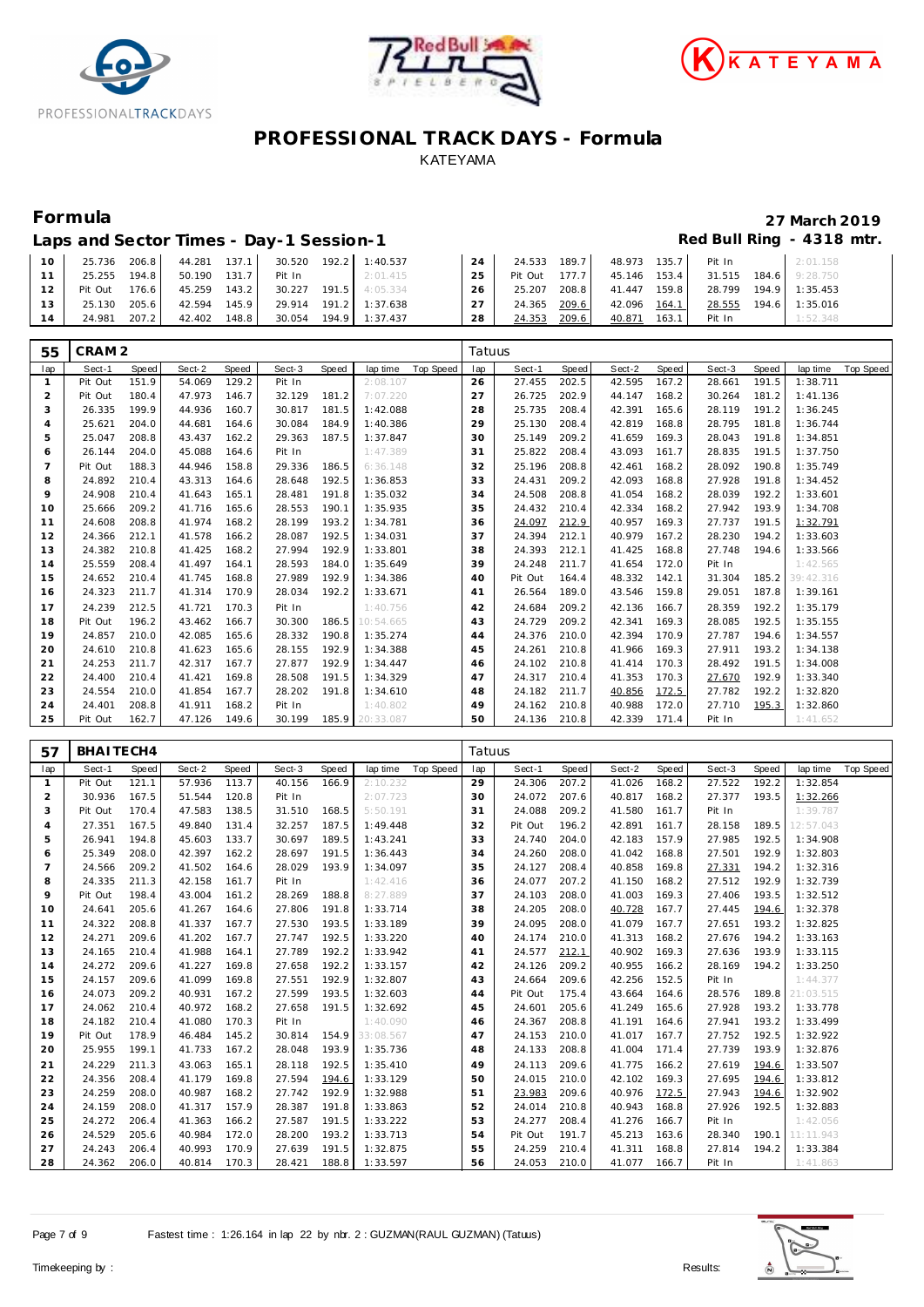





| Laps and Sector Times - Day-1 Session-1 | Red Bull Ring - 4318 mtr. |
|-----------------------------------------|---------------------------|
|-----------------------------------------|---------------------------|

| $10^{-}$ | 25.736  | 206.8 | 44.281 | 137.1 | 30.520 | 192.2 | 1:40.537       | 24 | 24.533  | 189.7 | 48.973 | 135.7   | Pit In |       | 2:01.158       |
|----------|---------|-------|--------|-------|--------|-------|----------------|----|---------|-------|--------|---------|--------|-------|----------------|
|          | 25.255  | 194.8 | 50.190 | 131.7 | Pit In |       | 2:01.415       | 25 | Pit Out | 177.7 | 45.146 | $153.4$ | 31.515 |       | 184.6 9:28.750 |
|          | Pit Out | 176.6 | 45.259 | 143.2 | 30.227 | 191.5 | 4:05.334       | 26 | 25.207  | 208.8 | 41.447 | 159.8   | 28.799 | 194.9 | 1:35.453       |
|          | 25.130  | 205.6 | 42.594 | 145.9 | 29.914 |       | 191.2 1:37.638 | 27 | 24.365  | 209.6 | 42.096 | 164.1   | 28.555 | 194.6 | 1:35.016       |
| 14       | 24.981  | 207.2 | 42.402 | 148.8 | 30.054 |       | 194.9 1:37.437 | 28 | 24.353  | 209.6 | 40.871 | 163.1   | Pit In |       | 1:52.348       |

| 55             | CRAM <sub>2</sub> |       |        |       |        |       |                 |                  | Tatuus |         |       |        |       |        |       |           |           |
|----------------|-------------------|-------|--------|-------|--------|-------|-----------------|------------------|--------|---------|-------|--------|-------|--------|-------|-----------|-----------|
| lap            | Sect-1            | Speed | Sect-2 | Speed | Sect-3 | Speed | lap time        | <b>Top Speed</b> | lap    | Sect-1  | Speed | Sect-2 | Speed | Sect-3 | Speed | lap time  | Top Speed |
| -1             | Pit Out           | 151.9 | 54.069 | 129.2 | Pit In |       | 2:08.107        |                  | 26     | 27.455  | 202.5 | 42.595 | 167.2 | 28.661 | 191.5 | 1:38.711  |           |
| 2              | Pit Out           | 180.4 | 47.973 | 146.7 | 32.129 | 181.2 | 7:07.220        |                  | 27     | 26.725  | 202.9 | 44.147 | 168.2 | 30.264 | 181.2 | 1:41.136  |           |
| 3              | 26.335            | 199.9 | 44.936 | 160.7 | 30.817 | 181.5 | 1:42.088        |                  | 28     | 25.735  | 208.4 | 42.391 | 165.6 | 28.119 | 191.2 | 1:36.245  |           |
| $\overline{4}$ | 25.621            | 204.0 | 44.681 | 164.6 | 30.084 | 184.9 | 1:40.386        |                  | 29     | 25.130  | 208.4 | 42.819 | 168.8 | 28.795 | 181.8 | 1:36.744  |           |
| 5              | 25.047            | 208.8 | 43.437 | 162.2 | 29.363 | 187.5 | 1:37.847        |                  | 30     | 25.149  | 209.2 | 41.659 | 169.3 | 28.043 | 191.8 | 1:34.851  |           |
| 6              | 26.144            | 204.0 | 45.088 | 164.6 | Pit In |       | 1:47.389        |                  | 31     | 25.822  | 208.4 | 43.093 | 161.7 | 28.835 | 191.5 | 1:37.750  |           |
| $\overline{7}$ | Pit Out           | 188.3 | 44.946 | 158.8 | 29.336 | 186.5 | 6:36.148        |                  | 32     | 25.196  | 208.8 | 42.461 | 168.2 | 28.092 | 190.8 | 1:35.749  |           |
| 8              | 24.892            | 210.4 | 43.313 | 164.6 | 28.648 | 192.5 | 1:36.853        |                  | 33     | 24.431  | 209.2 | 42.093 | 168.8 | 27.928 | 191.8 | 1:34.452  |           |
| 9              | 24.908            | 210.4 | 41.643 | 165.1 | 28.481 | 191.8 | 1:35.032        |                  | 34     | 24.508  | 208.8 | 41.054 | 168.2 | 28.039 | 192.2 | 1:33.601  |           |
| 10             | 25.666            | 209.2 | 41.716 | 165.6 | 28.553 | 190.1 | 1:35.935        |                  | 35     | 24.432  | 210.4 | 42.334 | 168.2 | 27.942 | 193.9 | 1:34.708  |           |
| 11             | 24.608            | 208.8 | 41.974 | 168.2 | 28.199 | 193.2 | 1:34.781        |                  | 36     | 24.097  | 212.9 | 40.957 | 169.3 | 27.737 | 191.5 | 1:32.791  |           |
| 12             | 24.366            | 212.1 | 41.578 | 166.2 | 28.087 | 192.5 | 1:34.031        |                  | 37     | 24.394  | 212.1 | 40.979 | 167.2 | 28.230 | 194.2 | 1:33.603  |           |
| 13             | 24.382            | 210.8 | 41.425 | 168.2 | 27.994 | 192.9 | 1:33.801        |                  | 38     | 24.393  | 212.1 | 41.425 | 168.8 | 27.748 | 194.6 | 1:33.566  |           |
| 14             | 25.559            | 208.4 | 41.497 | 164.1 | 28.593 | 184.0 | 1:35.649        |                  | 39     | 24.248  | 211.7 | 41.654 | 172.0 | Pit In |       | 1:42.565  |           |
| 15             | 24.652            | 210.4 | 41.745 | 168.8 | 27.989 | 192.9 | 1:34.386        |                  | 40     | Pit Out | 164.4 | 48.332 | 142.1 | 31.304 | 185.2 | 39:42.316 |           |
| 16             | 24.323            | 211.7 | 41.314 | 170.9 | 28.034 | 192.2 | 1:33.671        |                  | 41     | 26.564  | 189.0 | 43.546 | 159.8 | 29.051 | 187.8 | 1:39.161  |           |
| 17             | 24.239            | 212.5 | 41.721 | 170.3 | Pit In |       | 1:40.756        |                  | 42     | 24.684  | 209.2 | 42.136 | 166.7 | 28.359 | 192.2 | 1:35.179  |           |
| 18             | Pit Out           | 196.2 | 43.462 | 166.7 | 30.300 | 186.5 | 10:54.665       |                  | 43     | 24.729  | 209.2 | 42.341 | 169.3 | 28.085 | 192.5 | 1:35.155  |           |
| 19             | 24.857            | 210.0 | 42.085 | 165.6 | 28.332 | 190.8 | 1:35.274        |                  | 44     | 24.376  | 210.0 | 42.394 | 170.9 | 27.787 | 194.6 | 1:34.557  |           |
| 20             | 24.610            | 210.8 | 41.623 | 165.6 | 28.155 | 192.9 | 1:34.388        |                  | 45     | 24.261  | 210.8 | 41.966 | 169.3 | 27.911 | 193.2 | 1:34.138  |           |
| 21             | 24.253            | 211.7 | 42.317 | 167.7 | 27.877 | 192.9 | 1:34.447        |                  | 46     | 24.102  | 210.8 | 41.414 | 170.3 | 28.492 | 191.5 | 1:34.008  |           |
| 22             | 24.400            | 210.4 | 41.421 | 169.8 | 28.508 | 191.5 | 1:34.329        |                  | 47     | 24.317  | 210.4 | 41.353 | 170.3 | 27.670 | 192.9 | 1:33.340  |           |
| 23             | 24.554            | 210.0 | 41.854 | 167.7 | 28.202 | 191.8 | 1:34.610        |                  | 48     | 24.182  | 211.7 | 40.856 | 172.5 | 27.782 | 192.2 | 1:32.820  |           |
| 24             | 24.401            | 208.8 | 41.911 | 168.2 | Pit In |       | 1:40.802        |                  | 49     | 24.162  | 210.8 | 40.988 | 172.0 | 27.710 | 195.3 | 1:32.860  |           |
| 25             | Pit Out           | 162.7 | 47.126 | 149.6 | 30.199 |       | 185.9 20:33.087 |                  | 50     | 24.136  | 210.8 | 42.339 | 171.4 | Pit In |       | 1:41.652  |           |

| 57             | BHAITECH4 |       |        |       |        |       |           |                  | Tatuus |         |       |        |       |        |       |           |           |
|----------------|-----------|-------|--------|-------|--------|-------|-----------|------------------|--------|---------|-------|--------|-------|--------|-------|-----------|-----------|
| lap            | Sect-1    | Speed | Sect-2 | Speed | Sect-3 | Speed | lap time  | <b>Top Speed</b> | lap    | Sect-1  | Speed | Sect-2 | Speed | Sect-3 | Speed | lap time  | Top Speed |
| $\mathbf{1}$   | Pit Out   | 121.1 | 57.936 | 113.7 | 40.156 | 166.9 | 2:10.232  |                  | 29     | 24.306  | 207.2 | 41.026 | 168.2 | 27.522 | 192.2 | 1:32.854  |           |
| $\overline{2}$ | 30.936    | 167.5 | 51.544 | 120.8 | Pit In |       | 2:07.723  |                  | 30     | 24.072  | 207.6 | 40.817 | 168.2 | 27.377 | 193.5 | 1:32.266  |           |
| 3              | Pit Out   | 170.4 | 47.583 | 138.5 | 31.510 | 168.5 | 5:50.191  |                  | 31     | 24.088  | 209.2 | 41.580 | 161.7 | Pit In |       | 1:39.787  |           |
| $\overline{4}$ | 27.351    | 167.5 | 49.840 | 131.4 | 32.257 | 187.5 | 1:49.448  |                  | 32     | Pit Out | 196.2 | 42.891 | 161.7 | 28.158 | 189.5 | 12:57.043 |           |
| 5              | 26.941    | 194.8 | 45.603 | 133.7 | 30.697 | 189.5 | 1:43.241  |                  | 33     | 24.740  | 204.0 | 42.183 | 157.9 | 27.985 | 192.5 | 1:34.908  |           |
| 6              | 25.349    | 208.0 | 42.397 | 162.2 | 28.697 | 191.5 | 1:36.443  |                  | 34     | 24.260  | 208.0 | 41.042 | 168.8 | 27.501 | 192.9 | 1:32.803  |           |
| $\overline{7}$ | 24.566    | 209.2 | 41.502 | 164.6 | 28.029 | 193.9 | 1:34.097  |                  | 35     | 24.127  | 208.4 | 40.858 | 169.8 | 27.331 | 194.2 | 1:32.316  |           |
| 8              | 24.335    | 211.3 | 42.158 | 161.7 | Pit In |       | 1:42.416  |                  | 36     | 24.077  | 207.2 | 41.150 | 168.2 | 27.512 | 192.9 | 1:32.739  |           |
| 9              | Pit Out   | 198.4 | 43.004 | 161.2 | 28.269 | 188.8 | 8:27.889  |                  | 37     | 24.103  | 208.0 | 41.003 | 169.3 | 27.406 | 193.5 | 1:32.512  |           |
| 10             | 24.641    | 205.6 | 41.267 | 164.6 | 27.806 | 191.8 | 1:33.714  |                  | 38     | 24.205  | 208.0 | 40.728 | 167.7 | 27.445 | 194.6 | 1:32.378  |           |
| 11             | 24.322    | 208.8 | 41.337 | 167.7 | 27.530 | 193.5 | 1:33.189  |                  | 39     | 24.095  | 208.0 | 41.079 | 167.7 | 27.651 | 193.2 | 1:32.825  |           |
| 12             | 24.271    | 209.6 | 41.202 | 167.7 | 27.747 | 192.5 | 1:33.220  |                  | 40     | 24.174  | 210.0 | 41.313 | 168.2 | 27.676 | 194.2 | 1:33.163  |           |
| 13             | 24.165    | 210.4 | 41.988 | 164.1 | 27.789 | 192.2 | 1:33.942  |                  | 41     | 24.577  | 212.1 | 40.902 | 169.3 | 27.636 | 193.9 | 1:33.115  |           |
| 14             | 24.272    | 209.6 | 41.227 | 169.8 | 27.658 | 192.2 | 1:33.157  |                  | 42     | 24.126  | 209.2 | 40.955 | 166.2 | 28.169 | 194.2 | 1:33.250  |           |
| 15             | 24.157    | 209.6 | 41.099 | 169.8 | 27.551 | 192.9 | 1:32.807  |                  | 43     | 24.664  | 209.6 | 42.256 | 152.5 | Pit In |       | 1:44.377  |           |
| 16             | 24.073    | 209.2 | 40.931 | 167.2 | 27.599 | 193.5 | 1:32.603  |                  | 44     | Pit Out | 175.4 | 43.664 | 164.6 | 28.576 | 189.8 | 21:03.515 |           |
| 17             | 24.062    | 210.4 | 40.972 | 168.2 | 27.658 | 191.5 | 1:32.692  |                  | 45     | 24.601  | 205.6 | 41.249 | 165.6 | 27.928 | 193.2 | 1:33.778  |           |
| 18             | 24.182    | 210.4 | 41.080 | 170.3 | Pit In |       | 1:40.090  |                  | 46     | 24.367  | 208.8 | 41.191 | 164.6 | 27.941 | 193.2 | 1:33.499  |           |
| 19             | Pit Out   | 178.9 | 46.484 | 145.2 | 30.814 | 154.9 | 33:08.567 |                  | 47     | 24.153  | 210.0 | 41.017 | 167.7 | 27.752 | 192.5 | 1:32.922  |           |
| 20             | 25.955    | 199.1 | 41.733 | 167.2 | 28.048 | 193.9 | 1:35.736  |                  | 48     | 24.133  | 208.8 | 41.004 | 171.4 | 27.739 | 193.9 | 1:32.876  |           |
| 21             | 24.229    | 211.3 | 43.063 | 165.1 | 28.118 | 192.5 | 1:35.410  |                  | 49     | 24.113  | 209.6 | 41.775 | 166.2 | 27.619 | 194.6 | 1:33.507  |           |
| 22             | 24.356    | 208.4 | 41.179 | 169.8 | 27.594 | 194.6 | 1:33.129  |                  | 50     | 24.015  | 210.0 | 42.102 | 169.3 | 27.695 | 194.6 | 1:33.812  |           |
| 23             | 24.259    | 208.0 | 40.987 | 168.2 | 27.742 | 192.9 | 1:32.988  |                  | 51     | 23.983  | 209.6 | 40.976 | 172.5 | 27.943 | 194.6 | 1:32.902  |           |
| 24             | 24.159    | 208.0 | 41.317 | 157.9 | 28.387 | 191.8 | 1:33.863  |                  | 52     | 24.014  | 210.8 | 40.943 | 168.8 | 27.926 | 192.5 | 1:32.883  |           |
| 25             | 24.272    | 206.4 | 41.363 | 166.2 | 27.587 | 191.5 | 1:33.222  |                  | 53     | 24.277  | 208.4 | 41.276 | 166.7 | Pit In |       | 1:42.056  |           |
| 26             | 24.529    | 205.6 | 40.984 | 172.0 | 28.200 | 193.2 | 1:33.713  |                  | 54     | Pit Out | 191.7 | 45.213 | 163.6 | 28.340 | 190.1 | 11:11.943 |           |
| 27             | 24.243    | 206.4 | 40.993 | 170.9 | 27.639 | 191.5 | 1:32.875  |                  | 55     | 24.259  | 210.4 | 41.311 | 168.8 | 27.814 | 194.2 | 1:33.384  |           |
| 28             | 24.362    | 206.0 | 40.814 | 170.3 | 28.421 | 188.8 | 1:33.597  |                  | 56     | 24.053  | 210.0 | 41.077 | 166.7 | Pit In |       | 1:41.863  |           |

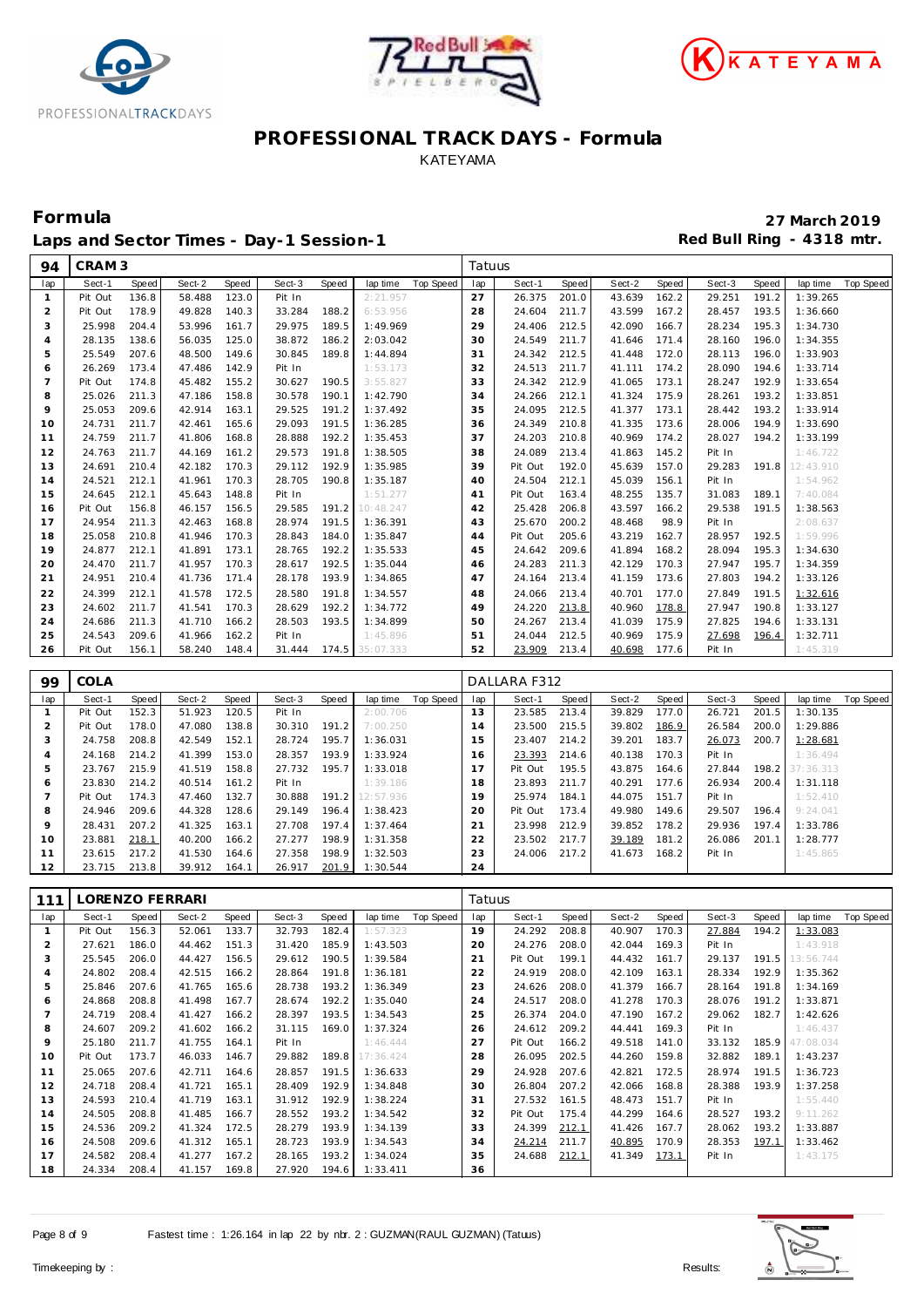





Laps and Sector Times - Day-1 Session-1 **Red Bull Ring - 4318 mtr.** 

**Formula 27 March 2019**

| 94             | CRAM <sub>3</sub> |                |                  |                |                  |                |                      |                  | Tatuus   |                   |                |                  |                |                  |                |                       |                  |
|----------------|-------------------|----------------|------------------|----------------|------------------|----------------|----------------------|------------------|----------|-------------------|----------------|------------------|----------------|------------------|----------------|-----------------------|------------------|
| lap            | Sect-1            | Speed          | Sect-2           | Speed          | Sect-3           | Speed          | lap time             | Top Speed        | lap      | Sect-1            | Speed          | Sect-2           | Speed          | Sect-3           | Speed          | lap time              | <b>Top Speed</b> |
| $\mathbf{1}$   | Pit Out           | 136.8          | 58.488           | 123.0          | Pit In           |                | 2:21.957             |                  | 27       | 26.375            | 201.0          | 43.639           | 162.2          | 29.251           | 191.2          | 1:39.265              |                  |
| $\overline{2}$ | Pit Out           | 178.9          | 49.828           | 140.3          | 33.284           | 188.2          | 6:53.956             |                  | 28       | 24.604            | 211.7          | 43.599           | 167.2          | 28.457           | 193.5          | 1:36.660              |                  |
| 3              | 25.998            | 204.4          | 53.996           | 161.7          | 29.975           | 189.5          | 1:49.969             |                  | 29       | 24.406            | 212.5          | 42.090           | 166.7          | 28.234           | 195.3          | 1:34.730              |                  |
| $\overline{4}$ | 28.135            | 138.6          | 56.035           | 125.0          | 38.872           | 186.2          | 2:03.042             |                  | 30       | 24.549            | 211.7          | 41.646           | 171.4          | 28.160           | 196.0          | 1:34.355              |                  |
| $\mathbf 5$    | 25.549            | 207.6          | 48.500           | 149.6          | 30.845           | 189.8          | 1:44.894             |                  | 31       | 24.342            | 212.5          | 41.448           | 172.0          | 28.113           | 196.0          | 1:33.903              |                  |
| 6              | 26.269            | 173.4          | 47.486           | 142.9          | Pit In           |                | 1:53.173             |                  | 32       | 24.513            | 211.7          | 41.111           | 174.2          | 28.090           | 194.6          | 1:33.714              |                  |
| $\overline{7}$ | Pit Out           | 174.8          | 45.482           | 155.2          | 30.627           | 190.5          | 3:55.827             |                  | 33       | 24.342            | 212.9          | 41.065           | 173.1          | 28.247           | 192.9          | 1:33.654              |                  |
| 8              | 25.026            | 211.3          | 47.186           | 158.8          | 30.578           | 190.1          | 1:42.790             |                  | 34       | 24.266            | 212.1          | 41.324           | 175.9          | 28.261           | 193.2          | 1:33.851              |                  |
| 9              | 25.053            | 209.6          | 42.914           | 163.1          | 29.525           | 191.2          | 1:37.492             |                  | 35       | 24.095            | 212.5          | 41.377           | 173.1          | 28.442           | 193.2          | 1:33.914              |                  |
| 10             | 24.731            | 211.7          | 42.461           | 165.6          | 29.093           | 191.5<br>192.2 | 1:36.285             |                  | 36<br>37 | 24.349            | 210.8          | 41.335           | 173.6<br>174.2 | 28.006           | 194.9<br>194.2 | 1:33.690              |                  |
| 11             | 24.759<br>24.763  | 211.7<br>211.7 | 41.806<br>44.169 | 168.8<br>161.2 | 28.888<br>29.573 | 191.8          | 1:35.453<br>1:38.505 |                  |          | 24.203<br>24.089  | 210.8<br>213.4 | 40.969<br>41.863 | 145.2          | 28.027           |                | 1:33.199              |                  |
| 12<br>13       | 24.691            | 210.4          | 42.182           | 170.3          | 29.112           | 192.9          | 1:35.985             |                  | 38<br>39 | Pit Out           | 192.0          | 45.639           | 157.0          | Pit In<br>29.283 | 191.8          | 1:46.722<br>12:43.910 |                  |
| 14             | 24.521            | 212.1          | 41.961           | 170.3          | 28.705           | 190.8          | 1:35.187             |                  | 40       | 24.504            | 212.1          | 45.039           | 156.1          | Pit In           |                | 1:54.962              |                  |
| 15             | 24.645            | 212.1          | 45.643           | 148.8          | Pit In           |                | 1:51.277             |                  | 41       | Pit Out           | 163.4          | 48.255           | 135.7          | 31.083           | 189.1          | 7:40.084              |                  |
| 16             | Pit Out           | 156.8          | 46.157           | 156.5          | 29.585           | 191.2          | 10:48.247            |                  | 42       | 25.428            | 206.8          | 43.597           | 166.2          | 29.538           | 191.5          | 1:38.563              |                  |
| 17             | 24.954            | 211.3          | 42.463           | 168.8          | 28.974           | 191.5          | 1:36.391             |                  | 43       | 25.670            | 200.2          | 48.468           | 98.9           | Pit In           |                | 2:08.637              |                  |
| 18             | 25.058            | 210.8          | 41.946           | 170.3          | 28.843           | 184.0          | 1:35.847             |                  | 44       | Pit Out           | 205.6          | 43.219           | 162.7          | 28.957           | 192.5          | 1:59.996              |                  |
| 19             | 24.877            | 212.1          | 41.891           | 173.1          | 28.765           | 192.2          | 1:35.533             |                  | 45       | 24.642            | 209.6          | 41.894           | 168.2          | 28.094           | 195.3          | 1:34.630              |                  |
| 20             | 24.470            | 211.7          | 41.957           | 170.3          | 28.617           | 192.5          | 1:35.044             |                  | 46       | 24.283            | 211.3          | 42.129           | 170.3          | 27.947           | 195.7          | 1:34.359              |                  |
| 21             | 24.951            | 210.4          | 41.736           | 171.4          | 28.178           | 193.9          | 1:34.865             |                  | 47       | 24.164            | 213.4          | 41.159           | 173.6          | 27.803           | 194.2          | 1:33.126              |                  |
| 22             | 24.399            | 212.1          | 41.578           | 172.5          | 28.580           | 191.8          | 1:34.557             |                  | 48       | 24.066            | 213.4          | 40.701           | 177.0          | 27.849           | 191.5          | 1:32.616              |                  |
| 23             | 24.602            | 211.7          | 41.541           | 170.3          | 28.629           | 192.2          | 1:34.772             |                  | 49       | 24.220            | 213.8          | 40.960           | 178.8          | 27.947           | 190.8          | 1:33.127              |                  |
| 24             | 24.686            | 211.3          | 41.710           | 166.2          | 28.503           | 193.5          | 1:34.899             |                  | 50       | 24.267            | 213.4          | 41.039           | 175.9          | 27.825           | 194.6          | 1:33.131              |                  |
| 25             | 24.543            | 209.6          | 41.966           | 162.2          | Pit In           |                | 1:45.896             |                  | 51       | 24.044            | 212.5          | 40.969           | 175.9          | 27.698           | 196.4          | 1:32.711              |                  |
| 26             | Pit Out           | 156.1          | 58.240           | 148.4          | 31.444           | 174.5          | 35:07.333            |                  | 52       | 23.909            | 213.4          | 40.698           | 177.6          | Pit In           |                | 1:45.319              |                  |
|                |                   |                |                  |                |                  |                |                      |                  |          |                   |                |                  |                |                  |                |                       |                  |
|                |                   |                |                  |                |                  |                |                      |                  |          |                   |                |                  |                |                  |                |                       |                  |
| 99             | COLA              |                |                  |                |                  |                |                      |                  |          | DALLARA F312      |                |                  |                |                  |                |                       |                  |
| lap            | Sect-1            | Speed          | Sect-2           | Speed          | Sect-3           | Speed          | lap time             | Top Speed        | lap      | Sect-1            | Speed          | Sect-2           | Speed          | Sect-3           | Speed          | lap time              | <b>Top Speed</b> |
| $\mathbf{1}$   | Pit Out           | 152.3          | 51.923           | 120.5          | Pit In           |                | 2:00.706             |                  | 13       | 23.585            | 213.4          | 39.829           | 177.0          | 26.721           | 201.5          | 1:30.135              |                  |
| $\overline{2}$ | Pit Out           | 178.0          | 47.080           | 138.8          | 30.310           | 191.2          | 7:00.250             |                  | 14       | 23.500            | 215.5          | 39.802           | 186.9          | 26.584           | 200.0          | 1:29.886              |                  |
| 3              | 24.758            | 208.8          | 42.549           | 152.1          | 28.724           | 195.7          | 1:36.031             |                  | 15       | 23.407            | 214.2          | 39.201           | 183.7          | 26.073           | 200.7          | 1:28.681              |                  |
| $\overline{4}$ | 24.168            | 214.2          | 41.399           | 153.0          | 28.357           | 193.9          | 1:33.924             |                  | 16       | 23.393            | 214.6          | 40.138           | 170.3          | Pit In           |                | 1:36.494              |                  |
| 5              | 23.767            | 215.9          | 41.519           | 158.8          | 27.732           | 195.7          | 1:33.018             |                  | 17       | Pit Out           | 195.5          | 43.875           | 164.6          | 27.844           | 198.2          | 37:36.313             |                  |
| 6              | 23.830            | 214.2          | 40.514           | 161.2          | Pit In           |                | 1:39.186             |                  | 18       | 23.893            | 211.7          | 40.291           | 177.6          | 26.934           | 200.4          | 1:31.118              |                  |
| $\overline{7}$ | Pit Out           | 174.3          | 47.460           | 132.7          | 30.888           | 191.2          | 12:57.936            |                  | 19       | 25.974            | 184.1          | 44.075           | 151.7          | Pit In           |                | 1:52.410              |                  |
| 8<br>$\circ$   | 24.946            | 209.6          | 44.328           | 128.6          | 29.149           | 196.4          | 1:38.423             |                  | 20       | Pit Out           | 173.4          | 49.980           | 149.6          | 29.507           | 196.4          | 9:24.041              |                  |
| 10             | 28.431<br>23.881  | 207.2<br>218.1 | 41.325<br>40.200 | 163.1<br>166.2 | 27.708<br>27.277 | 197.4<br>198.9 | 1:37.464<br>1:31.358 |                  | 21<br>22 | 23.998<br>23.502  | 212.9<br>217.7 | 39.852<br>39.189 | 178.2<br>181.2 | 29.936<br>26.086 | 197.4<br>201.1 | 1:33.786<br>1:28.777  |                  |
| 11             | 23.615            | 217.2          | 41.530           | 164.6          | 27.358           | 198.9          | 1:32.503             |                  | 23       | 24.006            | 217.2          | 41.673           | 168.2          | Pit In           |                | 1:45.865              |                  |
| 12             | 23.715            | 213.8          | 39.912           | 164.1          | 26.917           | 201.9          | 1:30.544             |                  | 24       |                   |                |                  |                |                  |                |                       |                  |
|                |                   |                |                  |                |                  |                |                      |                  |          |                   |                |                  |                |                  |                |                       |                  |
| 111            |                   |                | LORENZO FERRARI  |                |                  |                |                      |                  | Tatuus   |                   |                |                  |                |                  |                |                       |                  |
| lap            | Sect-1            | <b>Speed</b>   | Sect-2           | Speed          | Sect-3           | Speed          | lap time             | <b>Top Speed</b> | lap      | Sect-1            | <b>Speed</b>   | Sect-2           | Speed          | Sect-3           | Speed          | lap time              | <b>Top Speed</b> |
| $\mathbf{1}$   | Pit Out           | 156.3          | 52.061           | 133.7          | 32.793           | 182.4          | 1:57.323             |                  | 19       | 24.292            | 208.8          | 40.907           | 170.3          | 27.884           | 194.2          | 1:33.083              |                  |
| $\overline{2}$ | 27.621            | 186.0          | 44.462           | 151.3          | 31.420           | 185.9          | 1:43.503             |                  | 20       | 24.276            | 208.0          | 42.044           | 169.3          | Pit In           |                | 1:43.918              |                  |
| 3              | 25.545            | 206.0          | 44.427           | 156.5          | 29.612           | 190.5          | 1:39.584             |                  | 21       | Pit Out           | 199.1          | 44.432           | 161.7          | 29.137           | 191.5          | 13:56.744             |                  |
| $\overline{4}$ | 24.802            | 208.4          | 42.515           | 166.2          | 28.864           | 191.8          | 1:36.181             |                  | 22       | 24.919            | 208.0          | 42.109           | 163.1          | 28.334           | 192.9          | 1:35.362              |                  |
| 5              | 25.846            | 207.6          | 41.765           | 165.6          | 28.738           | 193.2          | 1:36.349             |                  | 23       | 24.626            | 208.0          | 41.379           | 166.7          | 28.164           | 191.8          | 1:34.169              |                  |
| 6              | 24.868            | 208.8          | 41.498           | 167.7          | 28.674           | 192.2          | 1:35.040             |                  | 24       | 24.517            | 208.0          | 41.278           | 170.3          | 28.076           | 191.2          | 1:33.871              |                  |
| $\overline{7}$ | 24.719            | 208.4          | 41.427           | 166.2          | 28.397           | 193.5          | 1:34.543             |                  | 25       | 26.374            | 204.0          | 47.190           | 167.2          | 29.062           | 182.7          | 1:42.626              |                  |
| 8<br>9         | 24.607<br>25.180  | 209.2<br>211.7 | 41.602<br>41.755 | 166.2<br>164.1 | 31.115<br>Pit In | 169.0          | 1:37.324<br>1:46.444 |                  | 26<br>27 | 24.612<br>Pit Out | 209.2<br>166.2 | 44.441<br>49.518 | 169.3<br>141.0 | Pit In<br>33.132 | 185.9          | 1:46.437<br>47:08.034 |                  |

**Pit Out 173.7** 46.033 146.7 29.882 189.8 17:36.424 25.065 207.6 42.711 164.6 28.857 191.5 1:36.633 24.718 208.4 41.721 165.1 28.409 192.9 1:34.848 24.593 210.4 41.719 163.1 31.912 192.9 1:38.224 24.505 208.8 41.485 166.7 28.552 193.2 1:34.542 24.536 209.2 41.324 172.5 28.279 193.9 1:34.139 24.508 209.6 41.312 165.1 28.723 193.9 1:34.543 24.582 208.4 41.277 167.2 28.165 193.2 1:34.024 24.334 208.4 41.157 169.8 27.920 194.6 1:33.411



 26.095 202.5 44.260 159.8 32.882 189.1 1:43.237 24.928 207.6 42.821 172.5 28.974 191.5 1:36.723 26.804 207.2 42.066 168.8 28.388 193.9 1:37.258 **27.532 161.5 48.473 151.7 Pit In 1:55.440**  Pit Out 175.4 44.299 164.6 28.527 193.2 9:11.262 24.399 212.1 41.426 167.7 28.062 193.2 1:33.887 24.214 211.7 40.895 170.9 28.353 197.1 1:33.462 24.688 212.1 41.349 173.1 Pit In 1:43.175